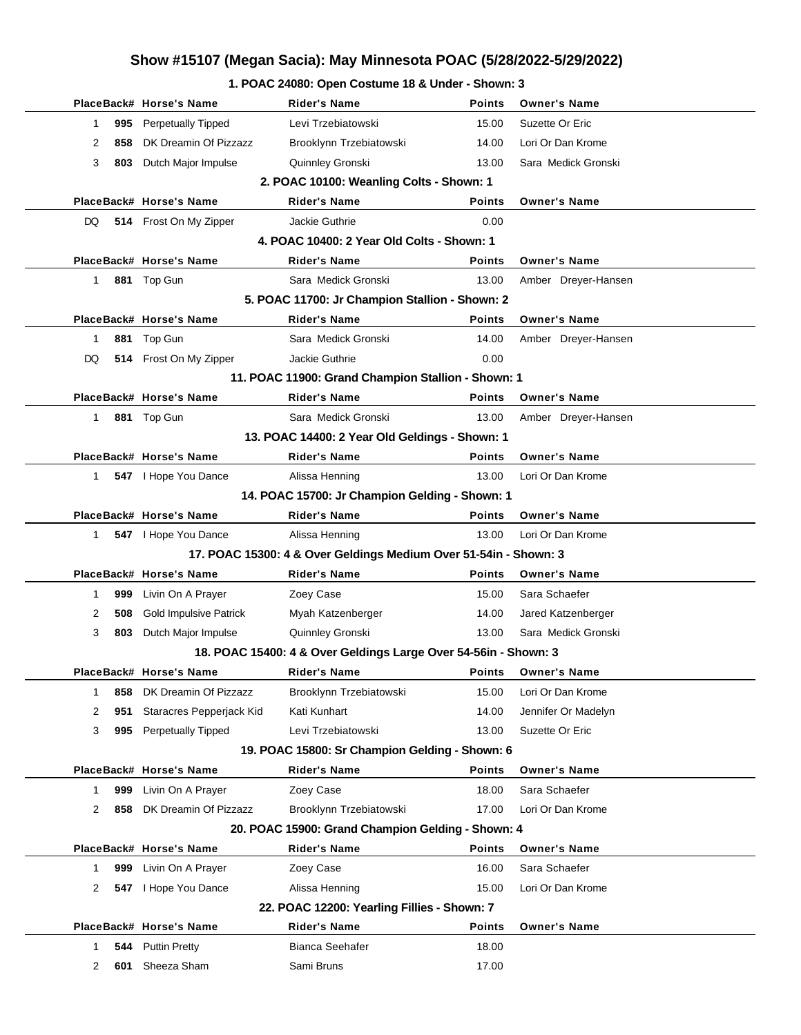#### **1. POAC 24080: Open Costume 18 & Under - Shown: 3**

|              |     | PlaceBack# Horse's Name       | Rider's Name                                                     | <b>Points</b> | <b>Owner's Name</b> |
|--------------|-----|-------------------------------|------------------------------------------------------------------|---------------|---------------------|
| 1            |     | 995 Perpetually Tipped        | Levi Trzebiatowski                                               | 15.00         | Suzette Or Eric     |
| 2            | 858 | DK Dreamin Of Pizzazz         | Brooklynn Trzebiatowski                                          | 14.00         | Lori Or Dan Krome   |
| 3            | 803 | Dutch Major Impulse           | Quinnley Gronski                                                 | 13.00         | Sara Medick Gronski |
|              |     |                               | 2. POAC 10100: Weanling Colts - Shown: 1                         |               |                     |
|              |     | PlaceBack# Horse's Name       | <b>Rider's Name</b>                                              | <b>Points</b> | <b>Owner's Name</b> |
| DQ           |     | 514 Frost On My Zipper        | Jackie Guthrie                                                   | 0.00          |                     |
|              |     |                               | 4. POAC 10400: 2 Year Old Colts - Shown: 1                       |               |                     |
|              |     | PlaceBack# Horse's Name       | Rider's Name                                                     | <b>Points</b> | <b>Owner's Name</b> |
| $\mathbf{1}$ |     | 881 Top Gun                   | Sara Medick Gronski                                              | 13.00         | Amber Dreyer-Hansen |
|              |     |                               | 5. POAC 11700: Jr Champion Stallion - Shown: 2                   |               |                     |
|              |     | PlaceBack# Horse's Name       | <b>Rider's Name</b>                                              | <b>Points</b> | <b>Owner's Name</b> |
| 1            |     | 881 Top Gun                   | Sara Medick Gronski                                              | 14.00         | Amber Dreyer-Hansen |
| DQ           |     | 514 Frost On My Zipper        | Jackie Guthrie                                                   | 0.00          |                     |
|              |     |                               | 11. POAC 11900: Grand Champion Stallion - Shown: 1               |               |                     |
|              |     | PlaceBack# Horse's Name       | <b>Rider's Name</b>                                              | <b>Points</b> | <b>Owner's Name</b> |
| $\mathbf{1}$ |     | 881 Top Gun                   | Sara Medick Gronski                                              | 13.00         | Amber Dreyer-Hansen |
|              |     |                               | 13. POAC 14400: 2 Year Old Geldings - Shown: 1                   |               |                     |
|              |     | PlaceBack# Horse's Name       | <b>Rider's Name</b>                                              | <b>Points</b> | <b>Owner's Name</b> |
| 1            |     | 547   Hope You Dance          | Alissa Henning                                                   | 13.00         | Lori Or Dan Krome   |
|              |     |                               | 14. POAC 15700: Jr Champion Gelding - Shown: 1                   |               |                     |
|              |     | PlaceBack# Horse's Name       | <b>Rider's Name</b>                                              | <b>Points</b> | <b>Owner's Name</b> |
| 1            |     | 547   Hope You Dance          | Alissa Henning                                                   | 13.00         | Lori Or Dan Krome   |
|              |     |                               | 17. POAC 15300: 4 & Over Geldings Medium Over 51-54in - Shown: 3 |               |                     |
|              |     | PlaceBack# Horse's Name       | <b>Rider's Name</b>                                              | <b>Points</b> | <b>Owner's Name</b> |
| 1            |     | 999 Livin On A Prayer         | Zoey Case                                                        | 15.00         | Sara Schaefer       |
| 2            | 508 | <b>Gold Impulsive Patrick</b> | Myah Katzenberger                                                | 14.00         | Jared Katzenberger  |
| 3            | 803 | Dutch Major Impulse           | Quinnley Gronski                                                 | 13.00         | Sara Medick Gronski |
|              |     |                               | 18. POAC 15400: 4 & Over Geldings Large Over 54-56in - Shown: 3  |               |                     |
|              |     | PlaceBack# Horse's Name       | <b>Rider's Name</b>                                              |               | Points Owner's Name |
| 1            | 858 | DK Dreamin Of Pizzazz         | Brooklynn Trzebiatowski                                          | 15.00         | Lori Or Dan Krome   |
| 2            | 951 | Staracres Pepperjack Kid      | Kati Kunhart                                                     | 14.00         | Jennifer Or Madelyn |
| 3            | 995 | <b>Perpetually Tipped</b>     | Levi Trzebiatowski                                               | 13.00         | Suzette Or Eric     |
|              |     |                               | 19. POAC 15800: Sr Champion Gelding - Shown: 6                   |               |                     |
|              |     | PlaceBack# Horse's Name       | <b>Rider's Name</b>                                              | Points        | <b>Owner's Name</b> |
| 1            | 999 | Livin On A Prayer             | Zoey Case                                                        | 18.00         | Sara Schaefer       |
| 2            | 858 | DK Dreamin Of Pizzazz         | Brooklynn Trzebiatowski                                          | 17.00         | Lori Or Dan Krome   |
|              |     |                               | 20. POAC 15900: Grand Champion Gelding - Shown: 4                |               |                     |
|              |     | PlaceBack# Horse's Name       | <b>Rider's Name</b>                                              | Points        | <b>Owner's Name</b> |
| 1            | 999 | Livin On A Prayer             | Zoey Case                                                        | 16.00         | Sara Schaefer       |
| 2            |     | 547   Hope You Dance          | Alissa Henning                                                   | 15.00         | Lori Or Dan Krome   |
|              |     |                               | 22. POAC 12200: Yearling Fillies - Shown: 7                      |               |                     |
|              |     | PlaceBack# Horse's Name       | <b>Rider's Name</b>                                              | Points        | <b>Owner's Name</b> |
| 1            | 544 | <b>Puttin Pretty</b>          | Bianca Seehafer                                                  | 18.00         |                     |
| 2            | 601 | Sheeza Sham                   | Sami Bruns                                                       | 17.00         |                     |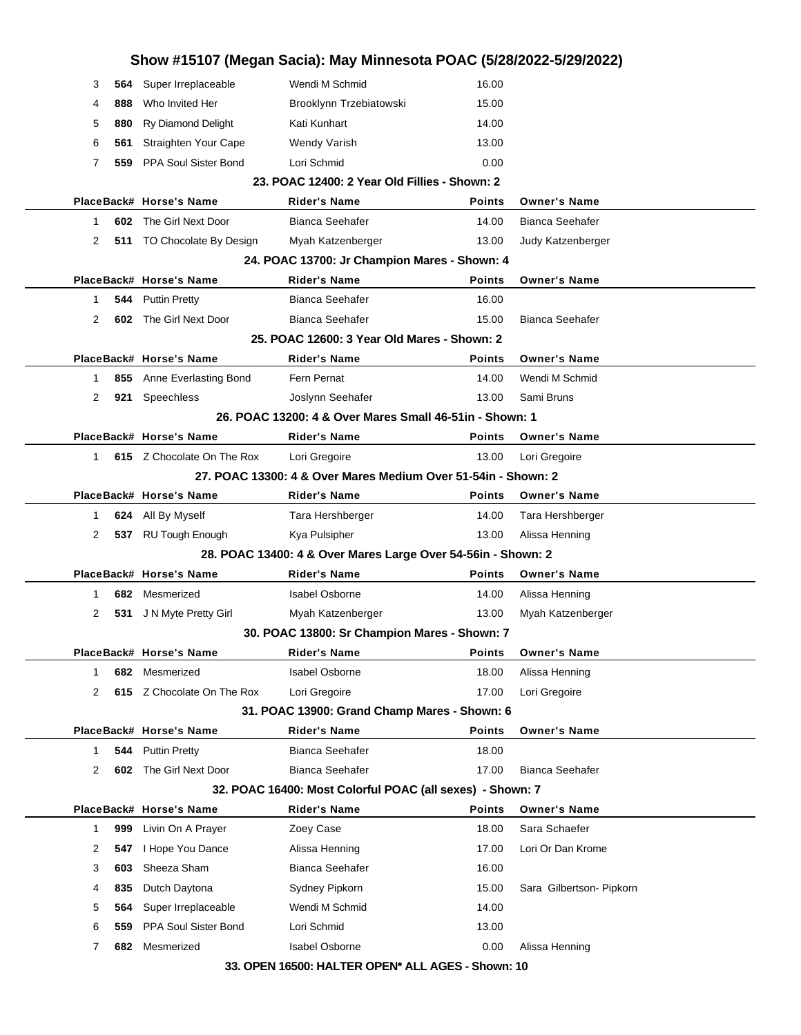|             |     |                            |                                                               |               | Show #15107 (Megan Sacia): May Minnesota POAC (5/28/2022-5/29/2022) |
|-------------|-----|----------------------------|---------------------------------------------------------------|---------------|---------------------------------------------------------------------|
| 3           |     | 564 Super Irreplaceable    | Wendi M Schmid                                                | 16.00         |                                                                     |
| 4           | 888 | Who Invited Her            | Brooklynn Trzebiatowski                                       | 15.00         |                                                                     |
| 5           | 880 | Ry Diamond Delight         | Kati Kunhart                                                  | 14.00         |                                                                     |
| 6           | 561 | Straighten Your Cape       | Wendy Varish                                                  | 13.00         |                                                                     |
| 7           | 559 | PPA Soul Sister Bond       | Lori Schmid                                                   | 0.00          |                                                                     |
|             |     |                            | 23. POAC 12400: 2 Year Old Fillies - Shown: 2                 |               |                                                                     |
|             |     | PlaceBack# Horse's Name    | Rider's Name                                                  | <b>Points</b> | <b>Owner's Name</b>                                                 |
| 1           |     | 602 The Girl Next Door     | <b>Bianca Seehafer</b>                                        | 14.00         | Bianca Seehafer                                                     |
| 2           |     | 511 TO Chocolate By Design | Myah Katzenberger                                             | 13.00         | Judy Katzenberger                                                   |
|             |     |                            | 24. POAC 13700: Jr Champion Mares - Shown: 4                  |               |                                                                     |
|             |     | PlaceBack# Horse's Name    | <b>Rider's Name</b>                                           | <b>Points</b> | <b>Owner's Name</b>                                                 |
| 1           |     | 544 Puttin Pretty          | Bianca Seehafer                                               | 16.00         |                                                                     |
| 2           | 602 | The Girl Next Door         | <b>Bianca Seehafer</b>                                        | 15.00         | <b>Bianca Seehafer</b>                                              |
|             |     |                            | 25. POAC 12600: 3 Year Old Mares - Shown: 2                   |               |                                                                     |
|             |     | PlaceBack# Horse's Name    | <b>Rider's Name</b>                                           | <b>Points</b> | <b>Owner's Name</b>                                                 |
| 1           |     | 855 Anne Everlasting Bond  | Fern Pernat                                                   | 14.00         | Wendi M Schmid                                                      |
| 2           |     | 921 Speechless             | Joslynn Seehafer                                              | 13.00         | Sami Bruns                                                          |
|             |     |                            | 26. POAC 13200: 4 & Over Mares Small 46-51 in - Shown: 1      |               |                                                                     |
|             |     | PlaceBack# Horse's Name    | <b>Rider's Name</b>                                           | <b>Points</b> | <b>Owner's Name</b>                                                 |
| 1           |     | 615 Z Chocolate On The Rox | Lori Gregoire                                                 | 13.00         | Lori Gregoire                                                       |
|             |     |                            | 27. POAC 13300: 4 & Over Mares Medium Over 51-54in - Shown: 2 |               |                                                                     |
|             |     | PlaceBack# Horse's Name    | Rider's Name                                                  | <b>Points</b> | <b>Owner's Name</b>                                                 |
| 1           |     | 624 All By Myself          | Tara Hershberger                                              | 14.00         | Tara Hershberger                                                    |
| 2           |     | 537 RU Tough Enough        | Kya Pulsipher                                                 | 13.00         | Alissa Henning                                                      |
|             |     |                            |                                                               |               |                                                                     |
|             |     |                            | 28. POAC 13400: 4 & Over Mares Large Over 54-56in - Shown: 2  |               |                                                                     |
|             |     | PlaceBack# Horse's Name    | <b>Rider's Name</b>                                           | <b>Points</b> | <b>Owner's Name</b>                                                 |
| 1           | 682 | Mesmerized                 | <b>Isabel Osborne</b>                                         | 14.00         | Alissa Henning                                                      |
| 2           |     | 531 J N Myte Pretty Girl   | Myah Katzenberger                                             | 13.00         | Myah Katzenberger                                                   |
|             |     |                            | 30. POAC 13800: Sr Champion Mares - Shown: 7                  |               |                                                                     |
|             |     | PlaceBack# Horse's Name    | Rider's Name                                                  | <b>Points</b> | <b>Owner's Name</b>                                                 |
| 1           | 682 | Mesmerized                 | <b>Isabel Osborne</b>                                         | 18.00         | Alissa Henning                                                      |
| 2           |     | 615 Z Chocolate On The Rox | Lori Gregoire                                                 | 17.00         | Lori Gregoire                                                       |
|             |     |                            | 31. POAC 13900: Grand Champ Mares - Shown: 6                  |               |                                                                     |
|             |     | PlaceBack# Horse's Name    | <b>Rider's Name</b>                                           | Points        | <b>Owner's Name</b>                                                 |
| $\mathbf 1$ | 544 | <b>Puttin Pretty</b>       | <b>Bianca Seehafer</b>                                        | 18.00         |                                                                     |
| 2           |     | 602 The Girl Next Door     | <b>Bianca Seehafer</b>                                        | 17.00         | <b>Bianca Seehafer</b>                                              |
|             |     |                            | 32. POAC 16400: Most Colorful POAC (all sexes) - Shown: 7     |               |                                                                     |
|             |     | PlaceBack# Horse's Name    | <b>Rider's Name</b>                                           | <b>Points</b> | <b>Owner's Name</b>                                                 |
| $\mathbf 1$ | 999 | Livin On A Prayer          | Zoey Case                                                     | 18.00         | Sara Schaefer                                                       |
| 2           | 547 | I Hope You Dance           | Alissa Henning                                                | 17.00         | Lori Or Dan Krome                                                   |
| 3           | 603 | Sheeza Sham                | <b>Bianca Seehafer</b>                                        | 16.00         |                                                                     |
| 4           | 835 | Dutch Daytona              | Sydney Pipkorn                                                | 15.00         | Sara Gilbertson- Pipkorn                                            |
| 5           | 564 | Super Irreplaceable        | Wendi M Schmid                                                | 14.00         |                                                                     |
| 6           | 559 | PPA Soul Sister Bond       | Lori Schmid                                                   | 13.00         |                                                                     |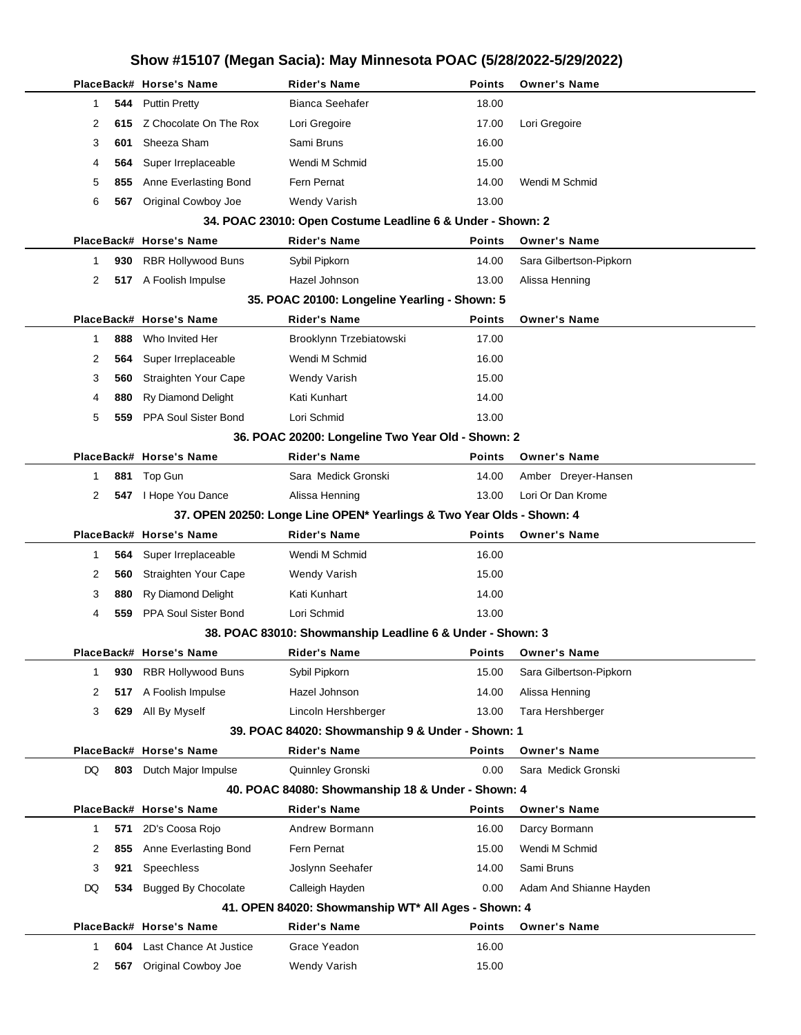|    |     | PlaceBack# Horse's Name     | Rider's Name                                                          | Points        | <b>Owner's Name</b>     |
|----|-----|-----------------------------|-----------------------------------------------------------------------|---------------|-------------------------|
| 1  | 544 | <b>Puttin Pretty</b>        | Bianca Seehafer                                                       | 18.00         |                         |
| 2  | 615 | Z Chocolate On The Rox      | Lori Gregoire                                                         | 17.00         | Lori Gregoire           |
| 3  | 601 | Sheeza Sham                 | Sami Bruns                                                            | 16.00         |                         |
| 4  | 564 | Super Irreplaceable         | Wendi M Schmid                                                        | 15.00         |                         |
| 5  | 855 | Anne Everlasting Bond       | Fern Pernat                                                           | 14.00         | Wendi M Schmid          |
| 6  | 567 | Original Cowboy Joe         | Wendy Varish                                                          | 13.00         |                         |
|    |     |                             | 34. POAC 23010: Open Costume Leadline 6 & Under - Shown: 2            |               |                         |
|    |     | PlaceBack# Horse's Name     | <b>Rider's Name</b>                                                   | <b>Points</b> | <b>Owner's Name</b>     |
| 1  | 930 | <b>RBR Hollywood Buns</b>   | Sybil Pipkorn                                                         | 14.00         | Sara Gilbertson-Pipkorn |
| 2  |     | 517 A Foolish Impulse       | Hazel Johnson                                                         | 13.00         | Alissa Henning          |
|    |     |                             | 35. POAC 20100: Longeline Yearling - Shown: 5                         |               |                         |
|    |     | PlaceBack# Horse's Name     | <b>Rider's Name</b>                                                   | <b>Points</b> | <b>Owner's Name</b>     |
| 1  | 888 | Who Invited Her             | Brooklynn Trzebiatowski                                               | 17.00         |                         |
| 2  | 564 | Super Irreplaceable         | Wendi M Schmid                                                        | 16.00         |                         |
| 3  | 560 | Straighten Your Cape        | <b>Wendy Varish</b>                                                   | 15.00         |                         |
| 4  | 880 | Ry Diamond Delight          | Kati Kunhart                                                          | 14.00         |                         |
| 5  | 559 | PPA Soul Sister Bond        | Lori Schmid                                                           | 13.00         |                         |
|    |     |                             | 36. POAC 20200: Longeline Two Year Old - Shown: 2                     |               |                         |
|    |     | PlaceBack# Horse's Name     | <b>Rider's Name</b>                                                   | Points        | <b>Owner's Name</b>     |
| 1  | 881 | Top Gun                     | Sara Medick Gronski                                                   | 14.00         | Amber Dreyer-Hansen     |
| 2  |     | 547 I Hope You Dance        | Alissa Henning                                                        | 13.00         | Lori Or Dan Krome       |
|    |     |                             | 37. OPEN 20250: Longe Line OPEN* Yearlings & Two Year Olds - Shown: 4 |               |                         |
|    |     | PlaceBack# Horse's Name     | <b>Rider's Name</b>                                                   | <b>Points</b> | <b>Owner's Name</b>     |
| 1  | 564 | Super Irreplaceable         | Wendi M Schmid                                                        | 16.00         |                         |
| 2  | 560 | Straighten Your Cape        | <b>Wendy Varish</b>                                                   | 15.00         |                         |
| 3  | 880 | <b>Ry Diamond Delight</b>   | Kati Kunhart                                                          | 14.00         |                         |
| 4  | 559 | <b>PPA Soul Sister Bond</b> | Lori Schmid                                                           | 13.00         |                         |
|    |     |                             | 38. POAC 83010: Showmanship Leadline 6 & Under - Shown: 3             |               |                         |
|    |     | PlaceBack# Horse's Name     | <b>Rider's Name</b>                                                   | Points        | <b>Owner's Name</b>     |
| 1  | 930 | <b>RBR Hollywood Buns</b>   | Sybil Pipkorn                                                         | 15.00         | Sara Gilbertson-Pipkorn |
| 2  | 517 | A Foolish Impulse           | Hazel Johnson                                                         | 14.00         | Alissa Henning          |
| 3  | 629 | All By Myself               | Lincoln Hershberger                                                   | 13.00         | Tara Hershberger        |
|    |     |                             | 39. POAC 84020: Showmanship 9 & Under - Shown: 1                      |               |                         |
|    |     | PlaceBack# Horse's Name     | <b>Rider's Name</b>                                                   | <b>Points</b> | <b>Owner's Name</b>     |
| DQ | 803 | Dutch Major Impulse         | Quinnley Gronski                                                      | 0.00          | Sara Medick Gronski     |
|    |     |                             | 40. POAC 84080: Showmanship 18 & Under - Shown: 4                     |               |                         |
|    |     | PlaceBack# Horse's Name     | <b>Rider's Name</b>                                                   | <b>Points</b> | <b>Owner's Name</b>     |
| 1  | 571 | 2D's Coosa Rojo             | Andrew Bormann                                                        | 16.00         | Darcy Bormann           |
| 2  | 855 | Anne Everlasting Bond       | Fern Pernat                                                           | 15.00         | Wendi M Schmid          |
| 3  | 921 | Speechless                  | Joslynn Seehafer                                                      | 14.00         | Sami Bruns              |
| DQ | 534 | <b>Bugged By Chocolate</b>  | Calleigh Hayden                                                       | 0.00          | Adam And Shianne Hayden |
|    |     |                             | 41. OPEN 84020: Showmanship WT* All Ages - Shown: 4                   |               |                         |
|    |     | PlaceBack# Horse's Name     | Rider's Name                                                          | <b>Points</b> | <b>Owner's Name</b>     |
| 1  | 604 | Last Chance At Justice      | Grace Yeadon                                                          | 16.00         |                         |
| 2  | 567 | Original Cowboy Joe         | Wendy Varish                                                          | 15.00         |                         |
|    |     |                             |                                                                       |               |                         |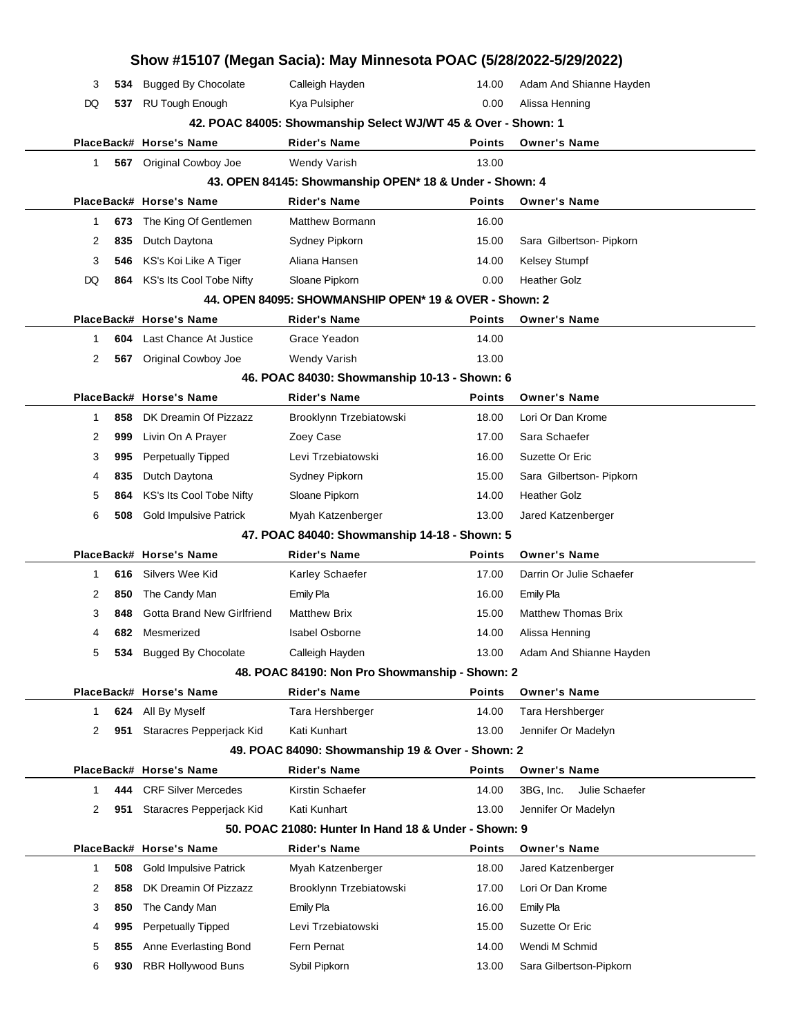|    |            | Show #15107 (Megan Sacia): May Minnesota POAC (5/28/2022-5/29/2022) |                                                               |               |                                         |  |
|----|------------|---------------------------------------------------------------------|---------------------------------------------------------------|---------------|-----------------------------------------|--|
| 3  | 534        | <b>Bugged By Chocolate</b>                                          | Calleigh Hayden                                               | 14.00         | Adam And Shianne Hayden                 |  |
| DQ | 537        | <b>RU Tough Enough</b>                                              | Kya Pulsipher                                                 | 0.00          | Alissa Henning                          |  |
|    |            |                                                                     | 42. POAC 84005: Showmanship Select WJ/WT 45 & Over - Shown: 1 |               |                                         |  |
|    |            | PlaceBack# Horse's Name                                             | <b>Rider's Name</b>                                           | <b>Points</b> | <b>Owner's Name</b>                     |  |
| 1  |            | 567 Original Cowboy Joe                                             | Wendy Varish                                                  | 13.00         |                                         |  |
|    |            |                                                                     | 43. OPEN 84145: Showmanship OPEN* 18 & Under - Shown: 4       |               |                                         |  |
|    |            | PlaceBack# Horse's Name                                             | <b>Rider's Name</b>                                           | <b>Points</b> | <b>Owner's Name</b>                     |  |
| 1  | 673        | The King Of Gentlemen                                               | <b>Matthew Bormann</b>                                        | 16.00         |                                         |  |
| 2  | 835        | Dutch Daytona                                                       | Sydney Pipkorn                                                | 15.00         | Sara Gilbertson- Pipkorn                |  |
| 3  | 546        | KS's Koi Like A Tiger                                               | Aliana Hansen                                                 | 14.00         | Kelsey Stumpf                           |  |
| DQ | 864        | KS's Its Cool Tobe Nifty                                            | Sloane Pipkorn                                                | 0.00          | <b>Heather Golz</b>                     |  |
|    |            |                                                                     | 44. OPEN 84095: SHOWMANSHIP OPEN* 19 & OVER - Shown: 2        |               |                                         |  |
|    |            | PlaceBack# Horse's Name                                             | Rider's Name                                                  | <b>Points</b> | <b>Owner's Name</b>                     |  |
| 1  | 604        | Last Chance At Justice                                              | Grace Yeadon                                                  | 14.00         |                                         |  |
| 2  |            | 567 Original Cowboy Joe                                             | <b>Wendy Varish</b>                                           | 13.00         |                                         |  |
|    |            |                                                                     | 46. POAC 84030: Showmanship 10-13 - Shown: 6                  |               |                                         |  |
|    |            | PlaceBack# Horse's Name                                             | <b>Rider's Name</b>                                           | <b>Points</b> | <b>Owner's Name</b>                     |  |
| 1  | 858        | DK Dreamin Of Pizzazz                                               | Brooklynn Trzebiatowski                                       | 18.00         | Lori Or Dan Krome                       |  |
| 2  | 999        | Livin On A Prayer                                                   | Zoey Case                                                     | 17.00         | Sara Schaefer                           |  |
| 3  | 995        | <b>Perpetually Tipped</b>                                           | Levi Trzebiatowski                                            | 16.00         | Suzette Or Eric                         |  |
| 4  | 835        | Dutch Daytona                                                       | Sydney Pipkorn                                                | 15.00         | Sara Gilbertson- Pipkorn                |  |
| 5  | 864        | KS's Its Cool Tobe Nifty                                            | Sloane Pipkorn                                                | 14.00         | <b>Heather Golz</b>                     |  |
| 6  | 508        | <b>Gold Impulsive Patrick</b>                                       | Myah Katzenberger                                             | 13.00         | Jared Katzenberger                      |  |
|    |            |                                                                     | 47. POAC 84040: Showmanship 14-18 - Shown: 5                  |               |                                         |  |
|    |            | PlaceBack# Horse's Name                                             | <b>Rider's Name</b>                                           | <b>Points</b> | <b>Owner's Name</b>                     |  |
| 1  | 616        | Silvers Wee Kid                                                     | Karley Schaefer                                               | 17.00         | Darrin Or Julie Schaefer                |  |
| 2  | 850        | The Candy Man                                                       | Emily Pla                                                     | 16.00         | <b>Emily Pla</b>                        |  |
| 3  | 848        | <b>Gotta Brand New Girlfriend</b>                                   | <b>Matthew Brix</b>                                           | 15.00         | <b>Matthew Thomas Brix</b>              |  |
| 4  | 682        | Mesmerized                                                          | <b>Isabel Osborne</b>                                         | 14.00         | Alissa Henning                          |  |
| 5  | 534        | <b>Bugged By Chocolate</b>                                          | Calleigh Hayden                                               | 13.00         | Adam And Shianne Hayden                 |  |
|    |            |                                                                     | 48. POAC 84190: Non Pro Showmanship - Shown: 2                | <b>Points</b> |                                         |  |
| 1  |            | PlaceBack# Horse's Name                                             | <b>Rider's Name</b>                                           | 14.00         | <b>Owner's Name</b>                     |  |
| 2  | 624<br>951 | All By Myself<br>Staracres Pepperjack Kid                           | Tara Hershberger<br>Kati Kunhart                              | 13.00         | Tara Hershberger<br>Jennifer Or Madelyn |  |
|    |            |                                                                     | 49. POAC 84090: Showmanship 19 & Over - Shown: 2              |               |                                         |  |
|    |            | PlaceBack# Horse's Name                                             | <b>Rider's Name</b>                                           | <b>Points</b> | <b>Owner's Name</b>                     |  |
| 1  | 444        | <b>CRF Silver Mercedes</b>                                          | Kirstin Schaefer                                              | 14.00         | Julie Schaefer<br>3BG, Inc.             |  |
| 2  | 951        | Staracres Pepperjack Kid                                            | Kati Kunhart                                                  | 13.00         | Jennifer Or Madelyn                     |  |
|    |            |                                                                     | 50, POAC 21080: Hunter In Hand 18 & Under - Shown: 9          |               |                                         |  |
|    |            | PlaceBack# Horse's Name                                             | <b>Rider's Name</b>                                           | <b>Points</b> | <b>Owner's Name</b>                     |  |
| 1  | 508        | <b>Gold Impulsive Patrick</b>                                       | Myah Katzenberger                                             | 18.00         | Jared Katzenberger                      |  |
| 2  | 858        | DK Dreamin Of Pizzazz                                               | Brooklynn Trzebiatowski                                       | 17.00         | Lori Or Dan Krome                       |  |
| 3  | 850        | The Candy Man                                                       | <b>Emily Pla</b>                                              | 16.00         | <b>Emily Pla</b>                        |  |
| 4  | 995        | Perpetually Tipped                                                  | Levi Trzebiatowski                                            | 15.00         | Suzette Or Eric                         |  |
| 5  | 855        | Anne Everlasting Bond                                               | Fern Pernat                                                   | 14.00         | Wendi M Schmid                          |  |
| 6  | 930        | RBR Hollywood Buns                                                  | Sybil Pipkorn                                                 | 13.00         | Sara Gilbertson-Pipkorn                 |  |
|    |            |                                                                     |                                                               |               |                                         |  |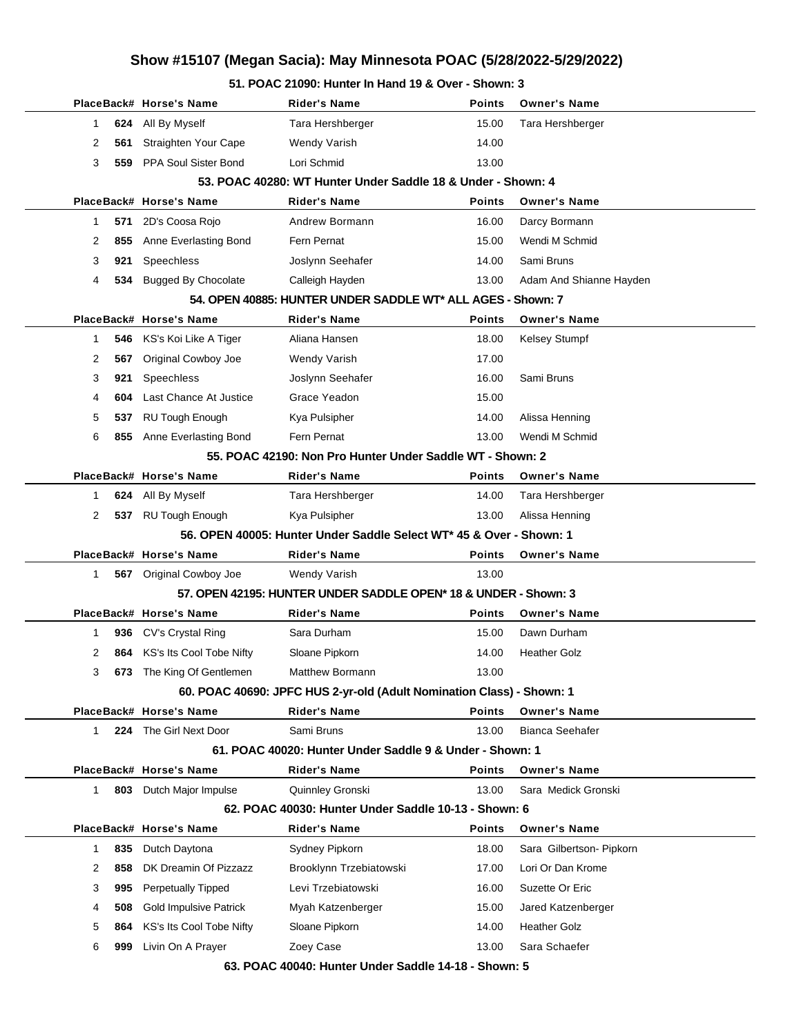**51. POAC 21090: Hunter In Hand 19 & Over - Shown: 3**

|                |     | PlaceBack# Horse's Name          | Rider's Name                                                          | Points        | <b>Owner's Name</b>      |  |
|----------------|-----|----------------------------------|-----------------------------------------------------------------------|---------------|--------------------------|--|
| $\mathbf{1}$   | 624 | All By Myself                    | Tara Hershberger                                                      | 15.00         | Tara Hershberger         |  |
| 2              | 561 | Straighten Your Cape             | <b>Wendy Varish</b>                                                   | 14.00         |                          |  |
| 3              | 559 | PPA Soul Sister Bond             | Lori Schmid                                                           | 13.00         |                          |  |
|                |     |                                  | 53. POAC 40280: WT Hunter Under Saddle 18 & Under - Shown: 4          |               |                          |  |
|                |     | PlaceBack# Horse's Name          | <b>Rider's Name</b>                                                   | <b>Points</b> | <b>Owner's Name</b>      |  |
| 1              | 571 | 2D's Coosa Rojo                  | Andrew Bormann                                                        | 16.00         | Darcy Bormann            |  |
| 2              | 855 | Anne Everlasting Bond            | Fern Pernat                                                           | 15.00         | Wendi M Schmid           |  |
| 3              | 921 | Speechless                       | Joslynn Seehafer                                                      | 14.00         | Sami Bruns               |  |
| 4              | 534 | <b>Bugged By Chocolate</b>       | Calleigh Hayden                                                       | 13.00         | Adam And Shianne Hayden  |  |
|                |     |                                  | 54. OPEN 40885: HUNTER UNDER SADDLE WT* ALL AGES - Shown: 7           |               |                          |  |
|                |     | PlaceBack# Horse's Name          | <b>Rider's Name</b>                                                   | Points        | <b>Owner's Name</b>      |  |
| $\mathbf 1$    | 546 | KS's Koi Like A Tiger            | Aliana Hansen                                                         | 18.00         | Kelsey Stumpf            |  |
| 2              | 567 | Original Cowboy Joe              | <b>Wendy Varish</b>                                                   | 17.00         |                          |  |
| 3              | 921 | Speechless                       | Joslynn Seehafer                                                      | 16.00         | Sami Bruns               |  |
| 4              | 604 | Last Chance At Justice           | Grace Yeadon                                                          | 15.00         |                          |  |
| 5              | 537 | <b>RU Tough Enough</b>           | Kya Pulsipher                                                         | 14.00         | Alissa Henning           |  |
| 6              |     | 855 Anne Everlasting Bond        | Fern Pernat                                                           | 13.00         | Wendi M Schmid           |  |
|                |     |                                  | 55. POAC 42190: Non Pro Hunter Under Saddle WT - Shown: 2             |               |                          |  |
|                |     | PlaceBack# Horse's Name          | <b>Rider's Name</b>                                                   | Points        | <b>Owner's Name</b>      |  |
| 1              | 624 | All By Myself                    | Tara Hershberger                                                      | 14.00         | Tara Hershberger         |  |
| $\overline{2}$ |     | 537 RU Tough Enough              | Kya Pulsipher                                                         | 13.00         | Alissa Henning           |  |
|                |     |                                  | 56. OPEN 40005: Hunter Under Saddle Select WT* 45 & Over - Shown: 1   |               |                          |  |
|                |     | PlaceBack# Horse's Name          | <b>Rider's Name</b>                                                   | <b>Points</b> | <b>Owner's Name</b>      |  |
| 1              |     | 567 Original Cowboy Joe          | Wendy Varish                                                          | 13.00         |                          |  |
|                |     |                                  | 57. OPEN 42195: HUNTER UNDER SADDLE OPEN* 18 & UNDER - Shown: 3       |               |                          |  |
|                |     | PlaceBack# Horse's Name          | <b>Rider's Name</b>                                                   | <b>Points</b> | <b>Owner's Name</b>      |  |
| 1              | 936 | CV's Crystal Ring                | Sara Durham                                                           | 15.00         | Dawn Durham              |  |
| 2              |     | 864 KS's Its Cool Tobe Nifty     | Sloane Pipkorn                                                        | 14.00         | <b>Heather Golz</b>      |  |
| 3              |     | <b>673</b> The King Of Gentlemen | Matthew Bormann                                                       | 13.00         |                          |  |
|                |     |                                  | 60. POAC 40690: JPFC HUS 2-yr-old (Adult Nomination Class) - Shown: 1 |               |                          |  |
|                |     | PlaceBack# Horse's Name          | <b>Rider's Name</b>                                                   | <b>Points</b> | <b>Owner's Name</b>      |  |
| 1              |     | 224 The Girl Next Door           | Sami Bruns                                                            | 13.00         | <b>Bianca Seehafer</b>   |  |
|                |     |                                  | 61. POAC 40020: Hunter Under Saddle 9 & Under - Shown: 1              |               |                          |  |
|                |     | PlaceBack# Horse's Name          | <b>Rider's Name</b>                                                   | <b>Points</b> | <b>Owner's Name</b>      |  |
| $\mathbf{1}$   | 803 | Dutch Major Impulse              | Quinnley Gronski                                                      | 13.00         | Sara Medick Gronski      |  |
|                |     |                                  | 62. POAC 40030: Hunter Under Saddle 10-13 - Shown: 6                  |               |                          |  |
|                |     | PlaceBack# Horse's Name          | <b>Rider's Name</b>                                                   | Points        | <b>Owner's Name</b>      |  |
| $\mathbf 1$    | 835 | Dutch Daytona                    | Sydney Pipkorn                                                        | 18.00         | Sara Gilbertson- Pipkorn |  |
| 2              | 858 | DK Dreamin Of Pizzazz            | Brooklynn Trzebiatowski                                               | 17.00         | Lori Or Dan Krome        |  |
| 3              | 995 | <b>Perpetually Tipped</b>        | Levi Trzebiatowski                                                    | 16.00         | Suzette Or Eric          |  |
| 4              | 508 | <b>Gold Impulsive Patrick</b>    | Myah Katzenberger                                                     | 15.00         | Jared Katzenberger       |  |
| 5              | 864 | KS's Its Cool Tobe Nifty         | Sloane Pipkorn                                                        | 14.00         | <b>Heather Golz</b>      |  |
| 6              | 999 | Livin On A Prayer                | Zoey Case                                                             | 13.00         | Sara Schaefer            |  |
|                |     |                                  | 63. POAC 40040: Hunter Under Saddle 14-18 - Shown: 5                  |               |                          |  |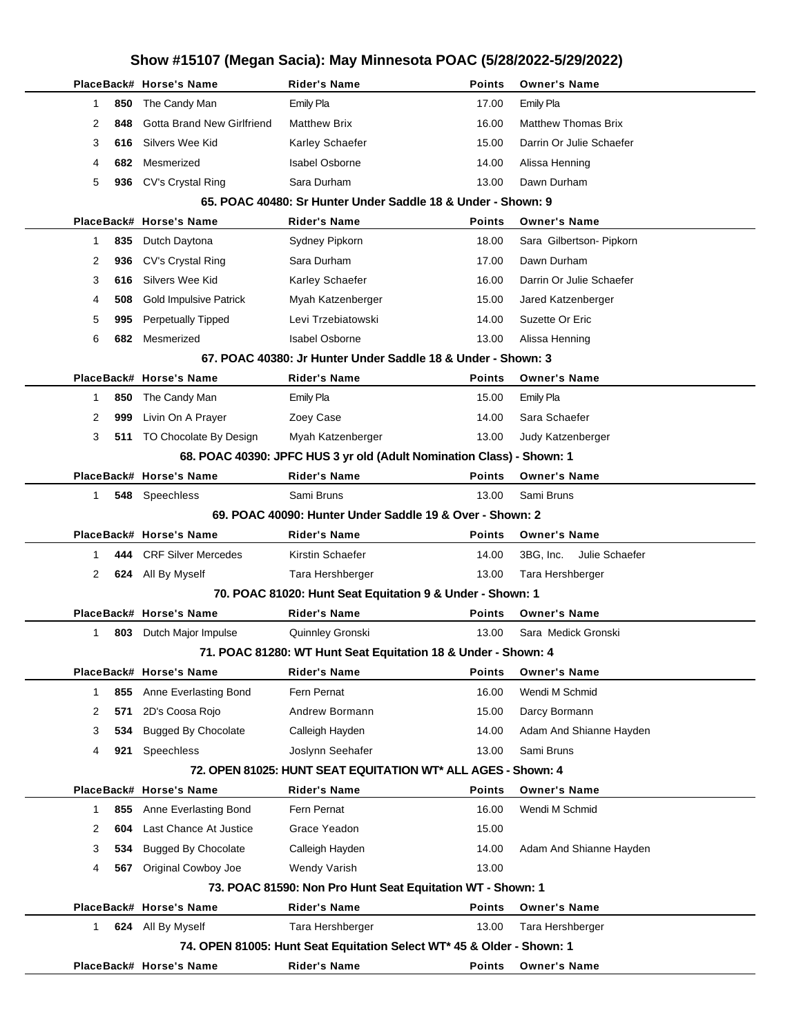|          | PlaceBack# Horse's Name           | Rider's Name                                                          | Points        | <b>Owner's Name</b>         |
|----------|-----------------------------------|-----------------------------------------------------------------------|---------------|-----------------------------|
| 850<br>1 | The Candy Man                     | <b>Emily Pla</b>                                                      | 17.00         | <b>Emily Pla</b>            |
| 2<br>848 | <b>Gotta Brand New Girlfriend</b> | <b>Matthew Brix</b>                                                   | 16.00         | <b>Matthew Thomas Brix</b>  |
| 3<br>616 | Silvers Wee Kid                   | Karley Schaefer                                                       | 15.00         | Darrin Or Julie Schaefer    |
| 682<br>4 | Mesmerized                        | <b>Isabel Osborne</b>                                                 | 14.00         | Alissa Henning              |
| 5        | 936 CV's Crystal Ring             | Sara Durham                                                           | 13.00         | Dawn Durham                 |
|          |                                   | 65. POAC 40480: Sr Hunter Under Saddle 18 & Under - Shown: 9          |               |                             |
|          | PlaceBack# Horse's Name           | <b>Rider's Name</b>                                                   | <b>Points</b> | <b>Owner's Name</b>         |
| 835<br>1 | Dutch Daytona                     | Sydney Pipkorn                                                        | 18.00         | Sara Gilbertson- Pipkorn    |
| 2<br>936 | CV's Crystal Ring                 | Sara Durham                                                           | 17.00         | Dawn Durham                 |
| 3<br>616 | Silvers Wee Kid                   | Karley Schaefer                                                       | 16.00         | Darrin Or Julie Schaefer    |
| 4<br>508 | <b>Gold Impulsive Patrick</b>     | Myah Katzenberger                                                     | 15.00         | Jared Katzenberger          |
| 995<br>5 | Perpetually Tipped                | Levi Trzebiatowski                                                    | 14.00         | Suzette Or Eric             |
| 6<br>682 | Mesmerized                        | <b>Isabel Osborne</b>                                                 | 13.00         | Alissa Henning              |
|          |                                   | 67. POAC 40380: Jr Hunter Under Saddle 18 & Under - Shown: 3          |               |                             |
|          | PlaceBack# Horse's Name           | <b>Rider's Name</b>                                                   | <b>Points</b> | <b>Owner's Name</b>         |
| 850<br>1 | The Candy Man                     | Emily Pla                                                             | 15.00         | Emily Pla                   |
| 2<br>999 | Livin On A Prayer                 | Zoey Case                                                             | 14.00         | Sara Schaefer               |
| 3<br>511 | TO Chocolate By Design            | Myah Katzenberger                                                     | 13.00         | Judy Katzenberger           |
|          |                                   | 68. POAC 40390: JPFC HUS 3 yr old (Adult Nomination Class) - Shown: 1 |               |                             |
|          | PlaceBack# Horse's Name           | <b>Rider's Name</b>                                                   | <b>Points</b> | <b>Owner's Name</b>         |
| 1        | 548 Speechless                    | Sami Bruns                                                            | 13.00         | Sami Bruns                  |
|          |                                   | 69. POAC 40090: Hunter Under Saddle 19 & Over - Shown: 2              |               |                             |
|          | PlaceBack# Horse's Name           | <b>Rider's Name</b>                                                   | <b>Points</b> | <b>Owner's Name</b>         |
| 444<br>1 | <b>CRF Silver Mercedes</b>        | Kirstin Schaefer                                                      | 14.00         | 3BG, Inc.<br>Julie Schaefer |
| 2        | 624 All By Myself                 | Tara Hershberger                                                      | 13.00         | Tara Hershberger            |
|          |                                   | 70. POAC 81020: Hunt Seat Equitation 9 & Under - Shown: 1             |               |                             |
|          | PlaceBack# Horse's Name           | Rider's Name                                                          | Points        | <b>Owner's Name</b>         |
| 1<br>803 | Dutch Major Impulse               | Quinnley Gronski                                                      | 13.00         | Sara Medick Gronski         |
|          |                                   | 71. POAC 81280: WT Hunt Seat Equitation 18 & Under - Shown: 4         |               |                             |
|          | PlaceBack# Horse's Name           | <b>Rider's Name</b>                                                   | Points        | <b>Owner's Name</b>         |
| 1<br>855 | Anne Everlasting Bond             | Fern Pernat                                                           | 16.00         | Wendi M Schmid              |
| 2<br>571 | 2D's Coosa Rojo                   | Andrew Bormann                                                        | 15.00         | Darcy Bormann               |
| 3<br>534 | <b>Bugged By Chocolate</b>        | Calleigh Hayden                                                       | 14.00         | Adam And Shianne Hayden     |
| 921<br>4 | Speechless                        | Joslynn Seehafer                                                      | 13.00         | Sami Bruns                  |
|          |                                   | 72. OPEN 81025: HUNT SEAT EQUITATION WT* ALL AGES - Shown: 4          |               |                             |
|          | PlaceBack# Horse's Name           | <b>Rider's Name</b>                                                   | Points        | <b>Owner's Name</b>         |
| 1<br>855 | Anne Everlasting Bond             | Fern Pernat                                                           | 16.00         | Wendi M Schmid              |
| 2<br>604 | Last Chance At Justice            | Grace Yeadon                                                          | 15.00         |                             |
| 3<br>534 | <b>Bugged By Chocolate</b>        | Calleigh Hayden                                                       | 14.00         | Adam And Shianne Hayden     |
| 4<br>567 | Original Cowboy Joe               | <b>Wendy Varish</b>                                                   | 13.00         |                             |
|          |                                   | 73. POAC 81590: Non Pro Hunt Seat Equitation WT - Shown: 1            |               |                             |
|          | PlaceBack# Horse's Name           | <b>Rider's Name</b>                                                   | Points        | <b>Owner's Name</b>         |
| 1        | 624 All By Myself                 | Tara Hershberger                                                      | 13.00         | Tara Hershberger            |
|          |                                   | 74. OPEN 81005: Hunt Seat Equitation Select WT* 45 & Older - Shown: 1 |               |                             |
|          | PlaceBack# Horse's Name           | <b>Rider's Name</b>                                                   | Points        | <b>Owner's Name</b>         |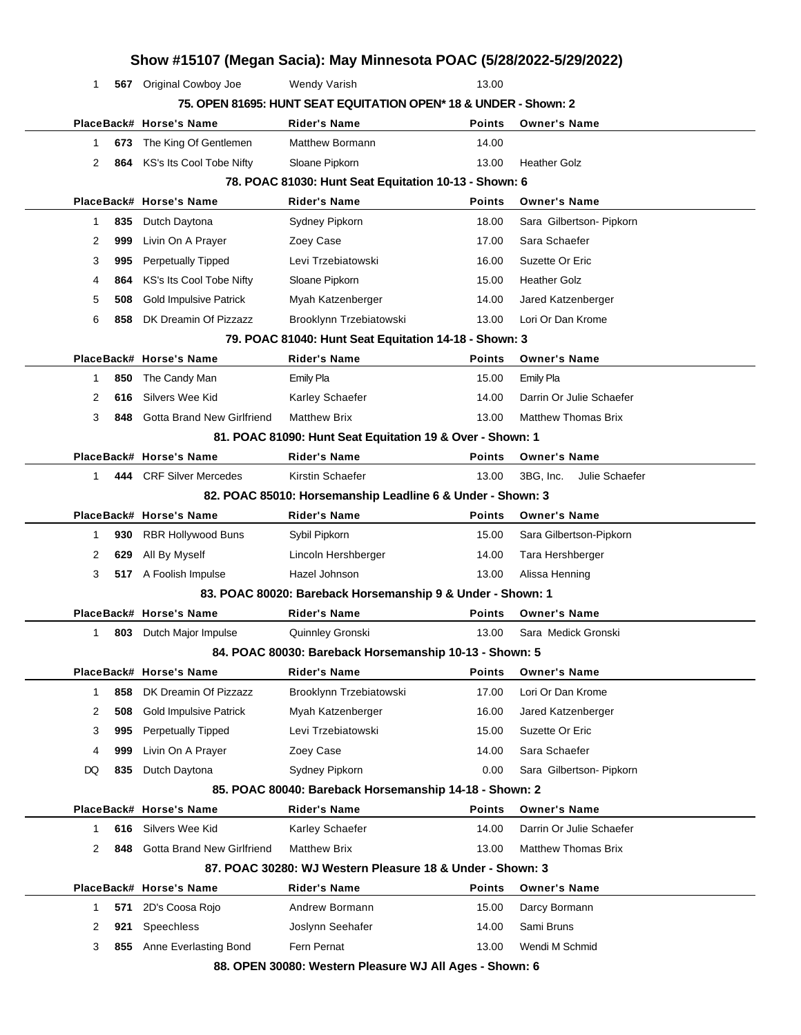|    |     |                                   |                                                                  |               | Show #15107 (Megan Sacia): May Minnesota POAC (5/28/2022-5/29/2022) |
|----|-----|-----------------------------------|------------------------------------------------------------------|---------------|---------------------------------------------------------------------|
| 1  |     | 567 Original Cowboy Joe           | <b>Wendy Varish</b>                                              | 13.00         |                                                                     |
|    |     |                                   | 75. OPEN 81695: HUNT SEAT EQUITATION OPEN* 18 & UNDER - Shown: 2 |               |                                                                     |
|    |     | PlaceBack# Horse's Name           | <b>Rider's Name</b>                                              | Points        | <b>Owner's Name</b>                                                 |
| 1  | 673 | The King Of Gentlemen             | Matthew Bormann                                                  | 14.00         |                                                                     |
| 2  | 864 | KS's Its Cool Tobe Nifty          | Sloane Pipkorn                                                   | 13.00         | <b>Heather Golz</b>                                                 |
|    |     |                                   | 78. POAC 81030: Hunt Seat Equitation 10-13 - Shown: 6            |               |                                                                     |
|    |     | PlaceBack# Horse's Name           | <b>Rider's Name</b>                                              | <b>Points</b> | <b>Owner's Name</b>                                                 |
| 1  | 835 | Dutch Daytona                     | Sydney Pipkorn                                                   | 18.00         | Sara Gilbertson- Pipkorn                                            |
| 2  | 999 | Livin On A Prayer                 | Zoey Case                                                        | 17.00         | Sara Schaefer                                                       |
| 3  | 995 | <b>Perpetually Tipped</b>         | Levi Trzebiatowski                                               | 16.00         | Suzette Or Eric                                                     |
| 4  | 864 | KS's Its Cool Tobe Nifty          | Sloane Pipkorn                                                   | 15.00         | <b>Heather Golz</b>                                                 |
| 5  | 508 | <b>Gold Impulsive Patrick</b>     | Myah Katzenberger                                                | 14.00         | Jared Katzenberger                                                  |
| 6  | 858 | DK Dreamin Of Pizzazz             | Brooklynn Trzebiatowski                                          | 13.00         | Lori Or Dan Krome                                                   |
|    |     |                                   | 79. POAC 81040: Hunt Seat Equitation 14-18 - Shown: 3            |               |                                                                     |
|    |     | PlaceBack# Horse's Name           | <b>Rider's Name</b>                                              | <b>Points</b> | <b>Owner's Name</b>                                                 |
| 1  | 850 | The Candy Man                     | Emily Pla                                                        | 15.00         | Emily Pla                                                           |
| 2  | 616 | Silvers Wee Kid                   | Karley Schaefer                                                  | 14.00         | Darrin Or Julie Schaefer                                            |
| 3  | 848 | <b>Gotta Brand New Girlfriend</b> | <b>Matthew Brix</b>                                              | 13.00         | <b>Matthew Thomas Brix</b>                                          |
|    |     |                                   | 81. POAC 81090: Hunt Seat Equitation 19 & Over - Shown: 1        |               |                                                                     |
|    |     | PlaceBack# Horse's Name           | <b>Rider's Name</b>                                              | <b>Points</b> | <b>Owner's Name</b>                                                 |
| 1  |     | 444 CRF Silver Mercedes           | Kirstin Schaefer                                                 | 13.00         | 3BG, Inc.<br>Julie Schaefer                                         |
|    |     |                                   | 82. POAC 85010: Horsemanship Leadline 6 & Under - Shown: 3       |               |                                                                     |
|    |     | PlaceBack# Horse's Name           | <b>Rider's Name</b>                                              | Points        | <b>Owner's Name</b>                                                 |
| 1  | 930 | <b>RBR Hollywood Buns</b>         | Sybil Pipkorn                                                    | 15.00         | Sara Gilbertson-Pipkorn                                             |
|    |     |                                   |                                                                  |               |                                                                     |
| 2  | 629 | All By Myself                     | Lincoln Hershberger                                              | 14.00         | Tara Hershberger                                                    |
| 3  |     | 517 A Foolish Impulse             | Hazel Johnson                                                    | 13.00         | Alissa Henning                                                      |
|    |     |                                   | 83. POAC 80020: Bareback Horsemanship 9 & Under - Shown: 1       |               |                                                                     |
|    |     | PlaceBack# Horse's Name           | <b>Rider's Name</b>                                              | <b>Points</b> | <b>Owner's Name</b>                                                 |
| 1  |     | <b>803</b> Dutch Major Impulse    | Quinnley Gronski                                                 | 13.00         | Sara Medick Gronski                                                 |
|    |     |                                   | 84. POAC 80030: Bareback Horsemanship 10-13 - Shown: 5           |               |                                                                     |
|    |     | PlaceBack# Horse's Name           | Rider's Name                                                     | Points        | <b>Owner's Name</b>                                                 |
| 1  | 858 | DK Dreamin Of Pizzazz             | Brooklynn Trzebiatowski                                          | 17.00         | Lori Or Dan Krome                                                   |
| 2  | 508 | <b>Gold Impulsive Patrick</b>     | Myah Katzenberger                                                | 16.00         | Jared Katzenberger                                                  |
| 3  | 995 | <b>Perpetually Tipped</b>         | Levi Trzebiatowski                                               | 15.00         | Suzette Or Eric                                                     |
| 4  | 999 | Livin On A Prayer                 | Zoey Case                                                        | 14.00         | Sara Schaefer                                                       |
| DQ | 835 | Dutch Daytona                     | Sydney Pipkorn                                                   | 0.00          | Sara Gilbertson- Pipkorn                                            |
|    |     |                                   | 85. POAC 80040: Bareback Horsemanship 14-18 - Shown: 2           |               |                                                                     |
|    |     | PlaceBack# Horse's Name           | <b>Rider's Name</b>                                              | <b>Points</b> | <b>Owner's Name</b>                                                 |
| 1  | 616 | Silvers Wee Kid                   | Karley Schaefer                                                  | 14.00         | Darrin Or Julie Schaefer                                            |
| 2  | 848 | Gotta Brand New Girlfriend        | <b>Matthew Brix</b>                                              | 13.00         | <b>Matthew Thomas Brix</b>                                          |
|    |     |                                   | 87. POAC 30280: WJ Western Pleasure 18 & Under - Shown: 3        |               |                                                                     |
|    |     | PlaceBack# Horse's Name           | <b>Rider's Name</b>                                              | Points        | <b>Owner's Name</b>                                                 |
| 1  | 571 | 2D's Coosa Rojo                   | Andrew Bormann                                                   | 15.00         | Darcy Bormann                                                       |
| 2  | 921 | <b>Speechless</b>                 | Joslynn Seehafer                                                 | 14.00         | Sami Bruns                                                          |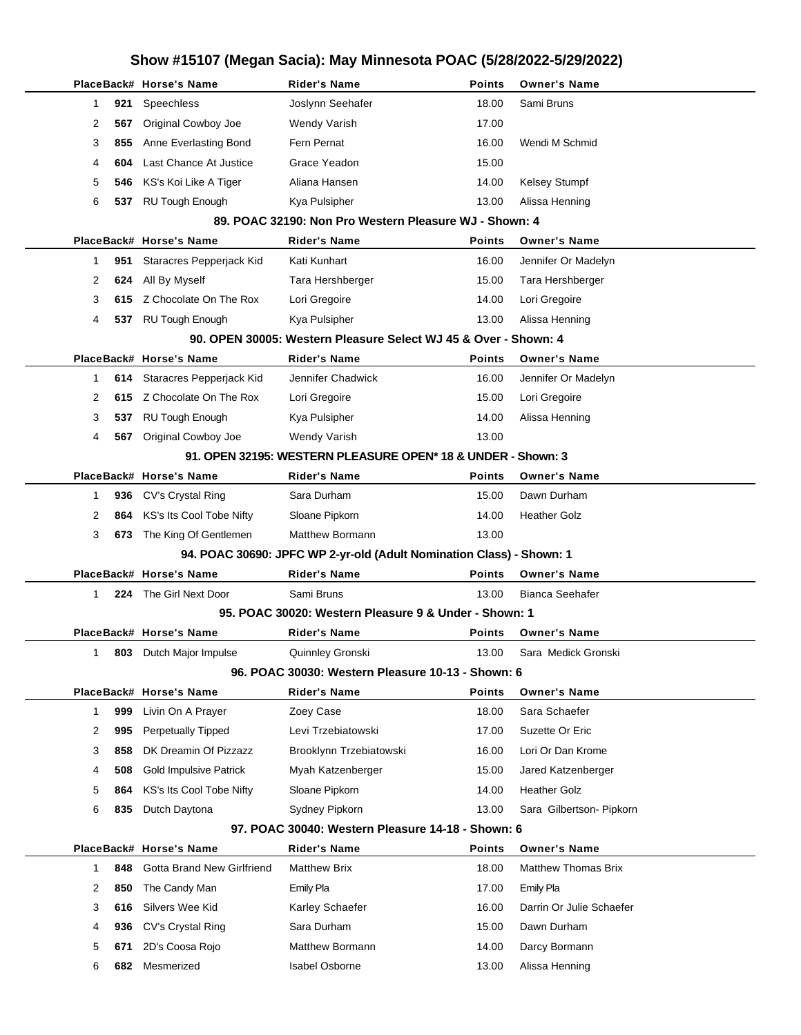| Show #15107 (Megan Sacia): May Minnesota POAC (5/28/2022-5/29/2022) |     |                               |                                                                      |        |                            |  |
|---------------------------------------------------------------------|-----|-------------------------------|----------------------------------------------------------------------|--------|----------------------------|--|
|                                                                     |     | PlaceBack# Horse's Name       | <b>Rider's Name</b>                                                  | Points | <b>Owner's Name</b>        |  |
| 1                                                                   | 921 | Speechless                    | Joslynn Seehafer                                                     | 18.00  | Sami Bruns                 |  |
| 2                                                                   | 567 | Original Cowboy Joe           | <b>Wendy Varish</b>                                                  | 17.00  |                            |  |
| 3                                                                   | 855 | Anne Everlasting Bond         | Fern Pernat                                                          | 16.00  | Wendi M Schmid             |  |
| 4                                                                   | 604 | Last Chance At Justice        | Grace Yeadon                                                         | 15.00  |                            |  |
| 5                                                                   | 546 | KS's Koi Like A Tiger         | Aliana Hansen                                                        | 14.00  | <b>Kelsey Stumpf</b>       |  |
| 6                                                                   |     | 537 RU Tough Enough           | Kya Pulsipher                                                        | 13.00  | Alissa Henning             |  |
|                                                                     |     |                               | 89. POAC 32190: Non Pro Western Pleasure WJ - Shown: 4               |        |                            |  |
|                                                                     |     | PlaceBack# Horse's Name       | <b>Rider's Name</b>                                                  | Points | <b>Owner's Name</b>        |  |
| 1                                                                   | 951 | Staracres Pepperjack Kid      | Kati Kunhart                                                         | 16.00  | Jennifer Or Madelyn        |  |
| 2                                                                   | 624 | All By Myself                 | Tara Hershberger                                                     | 15.00  | Tara Hershberger           |  |
| 3                                                                   | 615 | Z Chocolate On The Rox        | Lori Gregoire                                                        | 14.00  | Lori Gregoire              |  |
| 4                                                                   |     | 537 RU Tough Enough           | Kya Pulsipher                                                        | 13.00  | Alissa Henning             |  |
|                                                                     |     |                               | 90. OPEN 30005: Western Pleasure Select WJ 45 & Over - Shown: 4      |        |                            |  |
|                                                                     |     | PlaceBack# Horse's Name       | <b>Rider's Name</b>                                                  | Points | <b>Owner's Name</b>        |  |
| $\mathbf{1}$                                                        | 614 | Staracres Pepperjack Kid      | Jennifer Chadwick                                                    | 16.00  | Jennifer Or Madelyn        |  |
| 2                                                                   | 615 | Z Chocolate On The Rox        | Lori Gregoire                                                        | 15.00  | Lori Gregoire              |  |
| 3                                                                   | 537 | <b>RU Tough Enough</b>        | Kya Pulsipher                                                        | 14.00  | Alissa Henning             |  |
| 4                                                                   | 567 | Original Cowboy Joe           | Wendy Varish                                                         | 13.00  |                            |  |
|                                                                     |     |                               | 91. OPEN 32195: WESTERN PLEASURE OPEN* 18 & UNDER - Shown: 3         |        |                            |  |
|                                                                     |     | PlaceBack# Horse's Name       | <b>Rider's Name</b>                                                  | Points | <b>Owner's Name</b>        |  |
| 1                                                                   | 936 | CV's Crystal Ring             | Sara Durham                                                          | 15.00  | Dawn Durham                |  |
| 2                                                                   | 864 | KS's Its Cool Tobe Nifty      | Sloane Pipkorn                                                       | 14.00  | <b>Heather Golz</b>        |  |
| 3                                                                   |     | 673 The King Of Gentlemen     | <b>Matthew Bormann</b>                                               | 13.00  |                            |  |
|                                                                     |     |                               | 94. POAC 30690: JPFC WP 2-yr-old (Adult Nomination Class) - Shown: 1 |        |                            |  |
|                                                                     |     | PlaceBack# Horse's Name       | <b>Rider's Name</b>                                                  | Points | <b>Owner's Name</b>        |  |
| 1                                                                   |     | 224 The Girl Next Door        | Sami Bruns                                                           | 13.00  | <b>Bianca Seehafer</b>     |  |
|                                                                     |     |                               | 95. POAC 30020: Western Pleasure 9 & Under - Shown: 1                |        |                            |  |
|                                                                     |     | PlaceBack# Horse's Name       | Rider's Name                                                         | Points | <b>Owner's Name</b>        |  |
| 1                                                                   | 803 | Dutch Major Impulse           | Quinnley Gronski                                                     | 13.00  | Sara Medick Gronski        |  |
|                                                                     |     |                               | 96. POAC 30030: Western Pleasure 10-13 - Shown: 6                    |        |                            |  |
|                                                                     |     | PlaceBack# Horse's Name       | <b>Rider's Name</b>                                                  | Points | <b>Owner's Name</b>        |  |
| 1                                                                   | 999 | Livin On A Prayer             | Zoey Case                                                            | 18.00  | Sara Schaefer              |  |
| 2                                                                   | 995 | <b>Perpetually Tipped</b>     | Levi Trzebiatowski                                                   | 17.00  | Suzette Or Eric            |  |
| 3                                                                   | 858 | DK Dreamin Of Pizzazz         | Brooklynn Trzebiatowski                                              | 16.00  | Lori Or Dan Krome          |  |
| 4                                                                   | 508 | <b>Gold Impulsive Patrick</b> | Myah Katzenberger                                                    | 15.00  | Jared Katzenberger         |  |
| 5                                                                   | 864 | KS's Its Cool Tobe Nifty      | Sloane Pipkorn                                                       | 14.00  | <b>Heather Golz</b>        |  |
| 6                                                                   | 835 | Dutch Daytona                 | Sydney Pipkorn                                                       | 13.00  | Sara Gilbertson- Pipkorn   |  |
|                                                                     |     |                               | 97. POAC 30040: Western Pleasure 14-18 - Shown: 6                    |        |                            |  |
|                                                                     |     | PlaceBack# Horse's Name       | <b>Rider's Name</b>                                                  | Points | <b>Owner's Name</b>        |  |
| 1                                                                   | 848 | Gotta Brand New Girlfriend    | <b>Matthew Brix</b>                                                  | 18.00  | <b>Matthew Thomas Brix</b> |  |
| 2                                                                   | 850 | The Candy Man                 | <b>Emily Pla</b>                                                     | 17.00  | Emily Pla                  |  |
| 3                                                                   | 616 | Silvers Wee Kid               | Karley Schaefer                                                      | 16.00  | Darrin Or Julie Schaefer   |  |
| 4                                                                   | 936 | CV's Crystal Ring             | Sara Durham                                                          | 15.00  | Dawn Durham                |  |
| 5                                                                   | 671 | 2D's Coosa Rojo               | Matthew Bormann                                                      | 14.00  | Darcy Bormann              |  |
| 6                                                                   | 682 | Mesmerized                    | <b>Isabel Osborne</b>                                                | 13.00  | Alissa Henning             |  |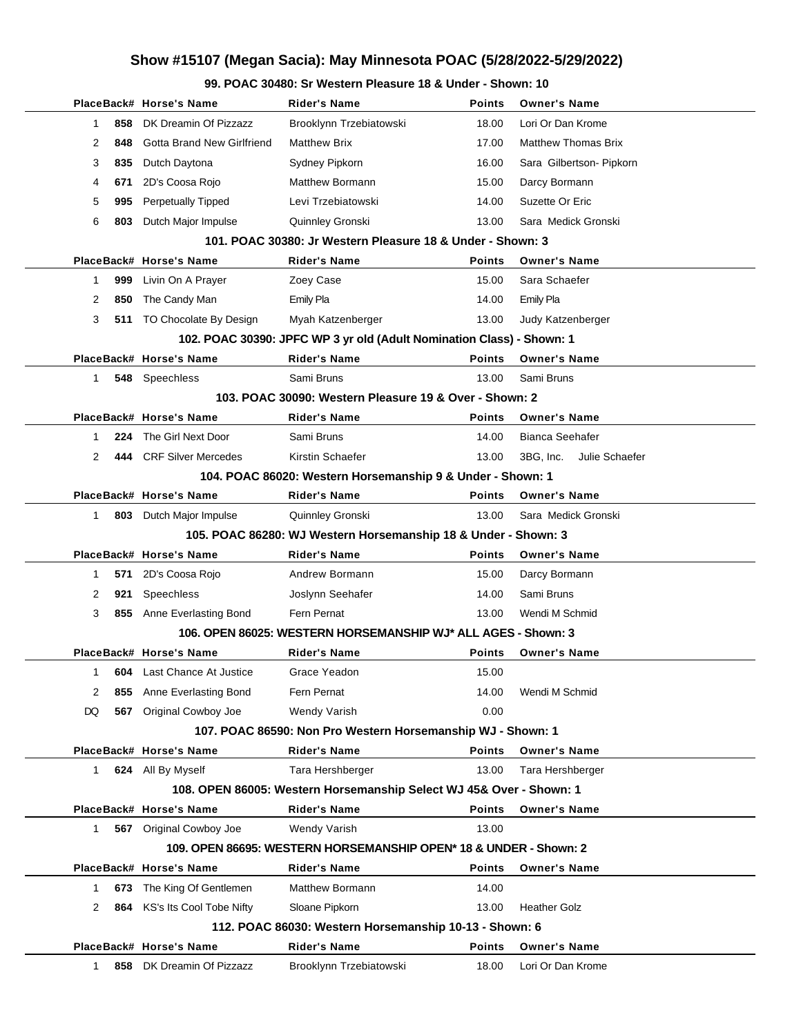### **99. POAC 30480: Sr Western Pleasure 18 & Under - Shown: 10**

|                                                            |     | PlaceBack# Horse's Name           | Rider's Name                                                          | <b>Points</b> | <b>Owner's Name</b>         |  |
|------------------------------------------------------------|-----|-----------------------------------|-----------------------------------------------------------------------|---------------|-----------------------------|--|
| 1                                                          | 858 | DK Dreamin Of Pizzazz             | Brooklynn Trzebiatowski                                               | 18.00         | Lori Or Dan Krome           |  |
| 2                                                          | 848 | Gotta Brand New Girlfriend        | <b>Matthew Brix</b>                                                   | 17.00         | <b>Matthew Thomas Brix</b>  |  |
| 3                                                          | 835 | Dutch Daytona                     | Sydney Pipkorn                                                        | 16.00         | Sara Gilbertson- Pipkorn    |  |
| 4                                                          | 671 | 2D's Coosa Rojo                   | Matthew Bormann                                                       | 15.00         | Darcy Bormann               |  |
| 5                                                          | 995 | <b>Perpetually Tipped</b>         | Levi Trzebiatowski                                                    | 14.00         | Suzette Or Eric             |  |
| 6                                                          | 803 | Dutch Major Impulse               | Quinnley Gronski                                                      | 13.00         | Sara Medick Gronski         |  |
|                                                            |     |                                   | 101. POAC 30380: Jr Western Pleasure 18 & Under - Shown: 3            |               |                             |  |
|                                                            |     | PlaceBack# Horse's Name           | <b>Rider's Name</b>                                                   | <b>Points</b> | <b>Owner's Name</b>         |  |
| 1                                                          | 999 | Livin On A Prayer                 | Zoey Case                                                             | 15.00         | Sara Schaefer               |  |
| 2                                                          | 850 | The Candy Man                     | <b>Emily Pla</b>                                                      | 14.00         | Emily Pla                   |  |
| 3                                                          | 511 | TO Chocolate By Design            | Myah Katzenberger                                                     | 13.00         | Judy Katzenberger           |  |
|                                                            |     |                                   | 102. POAC 30390: JPFC WP 3 yr old (Adult Nomination Class) - Shown: 1 |               |                             |  |
|                                                            |     | PlaceBack# Horse's Name           | <b>Rider's Name</b>                                                   | Points        | <b>Owner's Name</b>         |  |
| 1                                                          |     | 548 Speechless                    | Sami Bruns                                                            | 13.00         | Sami Bruns                  |  |
|                                                            |     |                                   | 103. POAC 30090: Western Pleasure 19 & Over - Shown: 2                |               |                             |  |
|                                                            |     | PlaceBack# Horse's Name           | <b>Rider's Name</b>                                                   | <b>Points</b> | <b>Owner's Name</b>         |  |
| 1                                                          | 224 | The Girl Next Door                | Sami Bruns                                                            | 14.00         | <b>Bianca Seehafer</b>      |  |
| 2                                                          |     | 444 CRF Silver Mercedes           | Kirstin Schaefer                                                      | 13.00         | Julie Schaefer<br>3BG. Inc. |  |
| 104. POAC 86020: Western Horsemanship 9 & Under - Shown: 1 |     |                                   |                                                                       |               |                             |  |
|                                                            |     | PlaceBack# Horse's Name           | <b>Rider's Name</b>                                                   | Points        | <b>Owner's Name</b>         |  |
| 1                                                          |     | 803 Dutch Major Impulse           | Quinnley Gronski                                                      | 13.00         | Sara Medick Gronski         |  |
|                                                            |     |                                   | 105. POAC 86280: WJ Western Horsemanship 18 & Under - Shown: 3        |               |                             |  |
|                                                            |     | PlaceBack# Horse's Name           | <b>Rider's Name</b>                                                   | Points        | <b>Owner's Name</b>         |  |
| 1                                                          | 571 | 2D's Coosa Rojo                   | Andrew Bormann                                                        | 15.00         | Darcy Bormann               |  |
| 2                                                          | 921 | Speechless                        | Joslynn Seehafer                                                      | 14.00         | Sami Bruns                  |  |
| 3                                                          |     | 855 Anne Everlasting Bond         | Fern Pernat                                                           | 13.00         | Wendi M Schmid              |  |
|                                                            |     |                                   | 106. OPEN 86025: WESTERN HORSEMANSHIP WJ* ALL AGES - Shown: 3         |               |                             |  |
|                                                            |     | PlaceBack# Horse's Name           | Rider's Name                                                          | Points        | <b>Owner's Name</b>         |  |
| 1                                                          |     | <b>604</b> Last Chance At Justice | Grace Yeadon                                                          | 15.00         |                             |  |
| 2                                                          | 855 | Anne Everlasting Bond             | Fern Pernat                                                           | 14.00         | Wendi M Schmid              |  |
| DQ                                                         | 567 | <b>Original Cowboy Joe</b>        | <b>Wendy Varish</b>                                                   | 0.00          |                             |  |
|                                                            |     |                                   | 107. POAC 86590: Non Pro Western Horsemanship WJ - Shown: 1           |               |                             |  |
|                                                            |     | PlaceBack# Horse's Name           | <b>Rider's Name</b>                                                   | <b>Points</b> | <b>Owner's Name</b>         |  |
| 1                                                          |     | 624 All By Myself                 | Tara Hershberger                                                      | 13.00         | Tara Hershberger            |  |
|                                                            |     |                                   | 108. OPEN 86005: Western Horsemanship Select WJ 45& Over - Shown: 1   |               |                             |  |
|                                                            |     | PlaceBack# Horse's Name           | <b>Rider's Name</b>                                                   | Points        | <b>Owner's Name</b>         |  |
| 1                                                          |     | <b>567</b> Original Cowboy Joe    | Wendy Varish                                                          | 13.00         |                             |  |
|                                                            |     |                                   | 109. OPEN 86695: WESTERN HORSEMANSHIP OPEN* 18 & UNDER - Shown: 2     |               |                             |  |
|                                                            |     | PlaceBack# Horse's Name           | Rider's Name                                                          | Points        | <b>Owner's Name</b>         |  |
| 1                                                          | 673 | The King Of Gentlemen             | Matthew Bormann                                                       | 14.00         |                             |  |
| 2                                                          |     | 864 KS's Its Cool Tobe Nifty      | Sloane Pipkorn                                                        | 13.00         | <b>Heather Golz</b>         |  |
|                                                            |     |                                   | 112. POAC 86030: Western Horsemanship 10-13 - Shown: 6                |               |                             |  |
|                                                            |     | PlaceBack# Horse's Name           | <b>Rider's Name</b>                                                   | Points        | <b>Owner's Name</b>         |  |
|                                                            |     |                                   |                                                                       |               |                             |  |
| 1                                                          | 858 | DK Dreamin Of Pizzazz             | Brooklynn Trzebiatowski                                               | 18.00         | Lori Or Dan Krome           |  |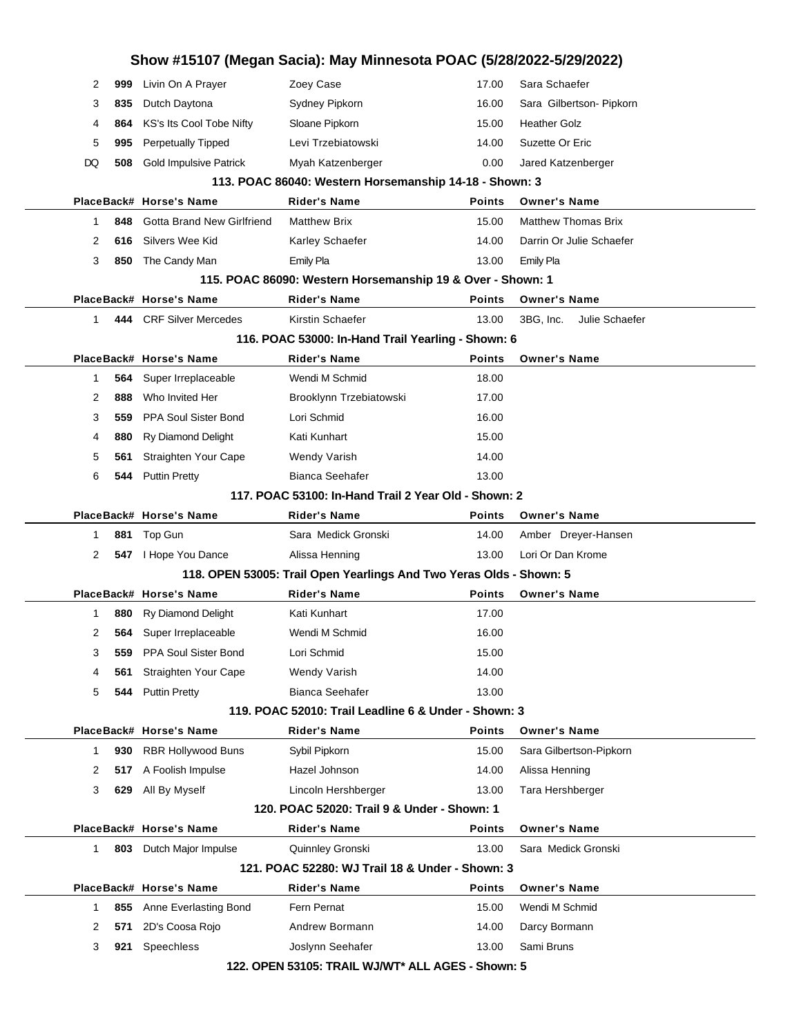|           | Show #15107 (Megan Sacia): May Minnesota POAC (5/28/2022-5/29/2022) |                                                                     |               |                             |  |
|-----------|---------------------------------------------------------------------|---------------------------------------------------------------------|---------------|-----------------------------|--|
| 2<br>999  | Livin On A Prayer                                                   | Zoey Case                                                           | 17.00         | Sara Schaefer               |  |
| 3<br>835  | Dutch Daytona                                                       | Sydney Pipkorn                                                      | 16.00         | Sara Gilbertson- Pipkorn    |  |
| 4<br>864  | KS's Its Cool Tobe Nifty                                            | Sloane Pipkorn                                                      | 15.00         | <b>Heather Golz</b>         |  |
| 5<br>995  | <b>Perpetually Tipped</b>                                           | Levi Trzebiatowski                                                  | 14.00         | Suzette Or Eric             |  |
| DQ<br>508 | <b>Gold Impulsive Patrick</b>                                       | Myah Katzenberger                                                   | 0.00          | Jared Katzenberger          |  |
|           |                                                                     | 113. POAC 86040: Western Horsemanship 14-18 - Shown: 3              |               |                             |  |
|           | PlaceBack# Horse's Name                                             | <b>Rider's Name</b>                                                 | <b>Points</b> | <b>Owner's Name</b>         |  |
| 848<br>1  | <b>Gotta Brand New Girlfriend</b>                                   | <b>Matthew Brix</b>                                                 | 15.00         | <b>Matthew Thomas Brix</b>  |  |
| 2<br>616  | Silvers Wee Kid                                                     | Karley Schaefer                                                     | 14.00         | Darrin Or Julie Schaefer    |  |
| 3<br>850  | The Candy Man                                                       | Emily Pla                                                           | 13.00         | Emily Pla                   |  |
|           |                                                                     | 115. POAC 86090: Western Horsemanship 19 & Over - Shown: 1          |               |                             |  |
|           | PlaceBack# Horse's Name                                             | <b>Rider's Name</b>                                                 | <b>Points</b> | <b>Owner's Name</b>         |  |
| 1         | 444 CRF Silver Mercedes                                             | Kirstin Schaefer                                                    | 13.00         | 3BG. Inc.<br>Julie Schaefer |  |
|           |                                                                     | 116. POAC 53000: In-Hand Trail Yearling - Shown: 6                  |               |                             |  |
|           | PlaceBack# Horse's Name                                             | <b>Rider's Name</b>                                                 | <b>Points</b> | <b>Owner's Name</b>         |  |
| 564<br>1  | Super Irreplaceable                                                 | Wendi M Schmid                                                      | 18.00         |                             |  |
| 2<br>888  | Who Invited Her                                                     | Brooklynn Trzebiatowski                                             | 17.00         |                             |  |
| 3<br>559  | PPA Soul Sister Bond                                                | Lori Schmid                                                         | 16.00         |                             |  |
| 4<br>880  | Ry Diamond Delight                                                  | Kati Kunhart                                                        | 15.00         |                             |  |
| 5<br>561  | Straighten Your Cape                                                | Wendy Varish                                                        | 14.00         |                             |  |
| 6<br>544  | <b>Puttin Pretty</b>                                                | Bianca Seehafer                                                     | 13.00         |                             |  |
|           |                                                                     | 117, POAC 53100: In-Hand Trail 2 Year Old - Shown: 2                |               |                             |  |
|           | PlaceBack# Horse's Name                                             | <b>Rider's Name</b>                                                 | <b>Points</b> | <b>Owner's Name</b>         |  |
| 1         | 881 Top Gun                                                         | Sara Medick Gronski                                                 | 14.00         | Amber Dreyer-Hansen         |  |
| 2         | 547   Hope You Dance                                                | Alissa Henning                                                      | 13.00         | Lori Or Dan Krome           |  |
|           |                                                                     | 118. OPEN 53005: Trail Open Yearlings And Two Yeras Olds - Shown: 5 |               |                             |  |
|           | PlaceBack# Horse's Name                                             | <b>Rider's Name</b>                                                 | <b>Points</b> | <b>Owner's Name</b>         |  |
| 1<br>880  | <b>Ry Diamond Delight</b>                                           | Kati Kunhart                                                        | 17.00         |                             |  |
| 2<br>564  | Super Irreplaceable                                                 | Wendi M Schmid                                                      | 16.00         |                             |  |
| 3<br>559  | PPA Soul Sister Bond                                                | Lori Schmid                                                         | 15.00         |                             |  |
| 4<br>561  | Straighten Your Cape                                                | <b>Wendy Varish</b>                                                 | 14.00         |                             |  |
| 5<br>544  | <b>Puttin Pretty</b>                                                | <b>Bianca Seehafer</b>                                              | 13.00         |                             |  |
|           |                                                                     | 119. POAC 52010: Trail Leadline 6 & Under - Shown: 3                |               |                             |  |
|           | PlaceBack# Horse's Name                                             | <b>Rider's Name</b>                                                 | <b>Points</b> | <b>Owner's Name</b>         |  |
| 930<br>1  | <b>RBR Hollywood Buns</b>                                           | Sybil Pipkorn                                                       | 15.00         | Sara Gilbertson-Pipkorn     |  |
| 2<br>517  | A Foolish Impulse                                                   | Hazel Johnson                                                       | 14.00         | Alissa Henning              |  |
| 3<br>629  | All By Myself                                                       | Lincoln Hershberger                                                 | 13.00         | Tara Hershberger            |  |
|           |                                                                     | 120. POAC 52020: Trail 9 & Under - Shown: 1                         |               |                             |  |
|           | PlaceBack# Horse's Name                                             | <b>Rider's Name</b>                                                 | <b>Points</b> | <b>Owner's Name</b>         |  |
| 1<br>803  | Dutch Major Impulse                                                 | Quinnley Gronski                                                    | 13.00         | Sara Medick Gronski         |  |
|           |                                                                     | 121, POAC 52280: WJ Trail 18 & Under - Shown: 3                     |               |                             |  |
|           | PlaceBack# Horse's Name                                             | Rider's Name                                                        | <b>Points</b> | <b>Owner's Name</b>         |  |
| 855<br>1  | Anne Everlasting Bond                                               | Fern Pernat                                                         | 15.00         | Wendi M Schmid              |  |
| 2<br>571  | 2D's Coosa Rojo                                                     | Andrew Bormann                                                      | 14.00         | Darcy Bormann               |  |
| 3<br>921  | Speechless                                                          | Joslynn Seehafer                                                    | 13.00         | Sami Bruns                  |  |
|           |                                                                     | 122. OPEN 53105: TRAIL WJ/WT* ALL AGES - Shown: 5                   |               |                             |  |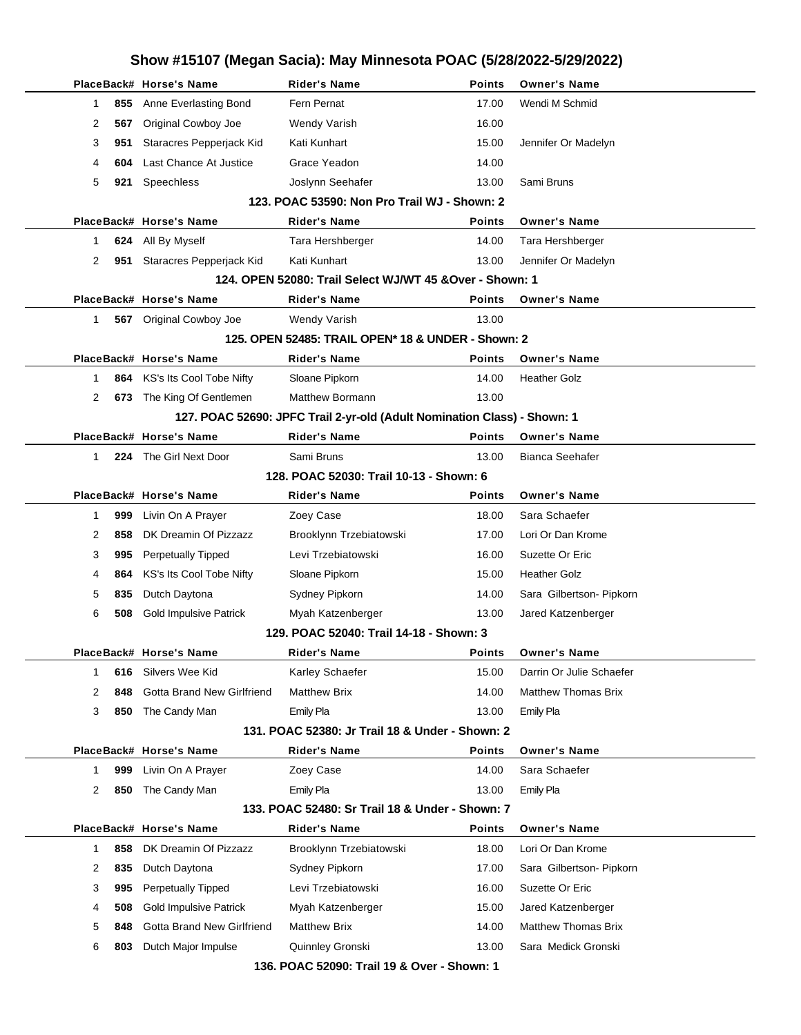|                     | PlaceBack# Horse's Name       | <b>Rider's Name</b>                                                      | <b>Points</b> | <b>Owner's Name</b>        |
|---------------------|-------------------------------|--------------------------------------------------------------------------|---------------|----------------------------|
| 855<br>1            | Anne Everlasting Bond         | Fern Pernat                                                              | 17.00         | Wendi M Schmid             |
| 2<br>567            | Original Cowboy Joe           | Wendy Varish                                                             | 16.00         |                            |
|                     |                               | Kati Kunhart                                                             | 15.00         |                            |
| 3<br>951            | Staracres Pepperjack Kid      |                                                                          |               | Jennifer Or Madelyn        |
| 4<br>604            | Last Chance At Justice        | Grace Yeadon                                                             | 14.00         |                            |
| 5<br>921            | Speechless                    | Joslynn Seehafer                                                         | 13.00         | Sami Bruns                 |
|                     |                               | 123. POAC 53590: Non Pro Trail WJ - Shown: 2                             |               |                            |
|                     | PlaceBack# Horse's Name       | <b>Rider's Name</b>                                                      | <b>Points</b> | <b>Owner's Name</b>        |
| 624<br>1            | All By Myself                 | Tara Hershberger                                                         | 14.00         | Tara Hershberger           |
| 2<br>951            | Staracres Pepperjack Kid      | Kati Kunhart                                                             | 13.00         | Jennifer Or Madelyn        |
|                     |                               | 124. OPEN 52080: Trail Select WJ/WT 45 & Over - Shown: 1                 |               |                            |
|                     | PlaceBack# Horse's Name       | <b>Rider's Name</b>                                                      | <b>Points</b> | <b>Owner's Name</b>        |
| $\mathbf{1}$        | 567 Original Cowboy Joe       | <b>Wendy Varish</b>                                                      | 13.00         |                            |
|                     |                               | 125. OPEN 52485: TRAIL OPEN* 18 & UNDER - Shown: 2                       |               |                            |
|                     | PlaceBack# Horse's Name       | <b>Rider's Name</b>                                                      | <b>Points</b> | <b>Owner's Name</b>        |
| 864<br>1            | KS's Its Cool Tobe Nifty      | Sloane Pipkorn                                                           | 14.00         | <b>Heather Golz</b>        |
| 2<br>673            | The King Of Gentlemen         | <b>Matthew Bormann</b>                                                   | 13.00         |                            |
|                     |                               | 127. POAC 52690: JPFC Trail 2-yr-old (Adult Nomination Class) - Shown: 1 |               |                            |
|                     | PlaceBack# Horse's Name       | <b>Rider's Name</b>                                                      | Points        | <b>Owner's Name</b>        |
| 1                   | 224 The Girl Next Door        | Sami Bruns                                                               | 13.00         | Bianca Seehafer            |
|                     |                               | 128. POAC 52030: Trail 10-13 - Shown: 6                                  |               |                            |
|                     | PlaceBack# Horse's Name       | <b>Rider's Name</b>                                                      | <b>Points</b> | <b>Owner's Name</b>        |
| $\mathbf{1}$<br>999 | Livin On A Prayer             | Zoey Case                                                                | 18.00         | Sara Schaefer              |
| 858<br>2            | DK Dreamin Of Pizzazz         | Brooklynn Trzebiatowski                                                  | 17.00         | Lori Or Dan Krome          |
| 3<br>995            | <b>Perpetually Tipped</b>     | Levi Trzebiatowski                                                       | 16.00         | Suzette Or Eric            |
| 4<br>864            | KS's Its Cool Tobe Nifty      | Sloane Pipkorn                                                           | 15.00         | <b>Heather Golz</b>        |
| 5<br>835            | Dutch Daytona                 | Sydney Pipkorn                                                           | 14.00         | Sara Gilbertson- Pipkorn   |
| 6<br>508            | <b>Gold Impulsive Patrick</b> | Myah Katzenberger                                                        | 13.00         | Jared Katzenberger         |
|                     |                               | 129. POAC 52040: Trail 14-18 - Shown: 3                                  |               |                            |
|                     | PlaceBack# Horse's Name       | Rider's Name                                                             | <b>Points</b> | <b>Owner's Name</b>        |
| 616<br>1            | Silvers Wee Kid               | Karley Schaefer                                                          | 15.00         | Darrin Or Julie Schaefer   |
| 2<br>848            | Gotta Brand New Girlfriend    | <b>Matthew Brix</b>                                                      | 14.00         | <b>Matthew Thomas Brix</b> |
| 3<br>850            | The Candy Man                 | <b>Emily Pla</b>                                                         | 13.00         | Emily Pla                  |
|                     |                               | 131. POAC 52380: Jr Trail 18 & Under - Shown: 2                          |               |                            |
|                     | PlaceBack# Horse's Name       | <b>Rider's Name</b>                                                      | Points        | <b>Owner's Name</b>        |
|                     |                               |                                                                          |               | Sara Schaefer              |
| 999<br>$\mathbf 1$  | Livin On A Prayer             | Zoey Case                                                                | 14.00         |                            |
| 2<br>850            | The Candy Man                 | Emily Pla                                                                | 13.00         | Emily Pla                  |
|                     |                               | 133. POAC 52480: Sr Trail 18 & Under - Shown: 7                          |               |                            |
|                     | PlaceBack# Horse's Name       | <b>Rider's Name</b>                                                      | Points        | <b>Owner's Name</b>        |
| 858<br>$\mathbf 1$  | DK Dreamin Of Pizzazz         | Brooklynn Trzebiatowski                                                  | 18.00         | Lori Or Dan Krome          |
| 835<br>2            | Dutch Daytona                 | Sydney Pipkorn                                                           | 17.00         | Sara Gilbertson- Pipkorn   |
| 3<br>995            | <b>Perpetually Tipped</b>     | Levi Trzebiatowski                                                       | 16.00         | Suzette Or Eric            |
| 4<br>508            | <b>Gold Impulsive Patrick</b> | Myah Katzenberger                                                        | 15.00         | Jared Katzenberger         |
| 5<br>848            | Gotta Brand New Girlfriend    | <b>Matthew Brix</b>                                                      | 14.00         | <b>Matthew Thomas Brix</b> |
| 6<br>803            | Dutch Major Impulse           | Quinnley Gronski                                                         | 13.00         | Sara Medick Gronski        |
|                     |                               | 136. POAC 52090: Trail 19 & Over - Shown: 1                              |               |                            |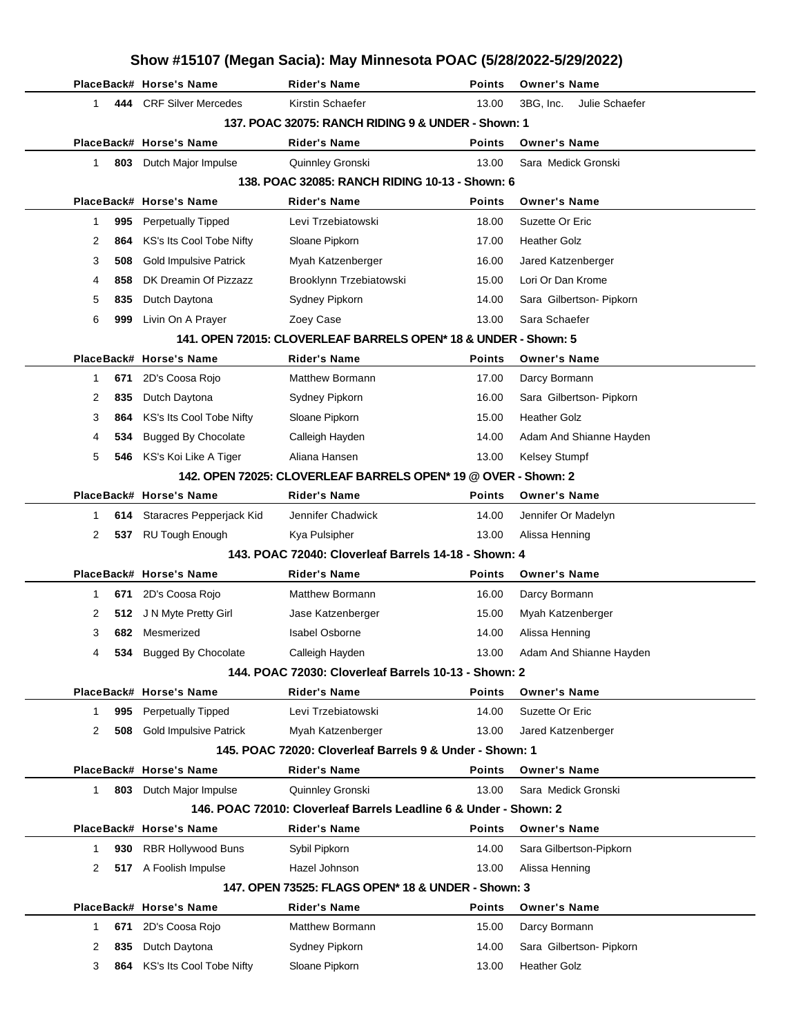|    |     |                                                      | Show #15107 (Megan Sacia): May Minnesota POAC (5/28/2022-5/29/2022)                      |                |                                      |
|----|-----|------------------------------------------------------|------------------------------------------------------------------------------------------|----------------|--------------------------------------|
|    |     | PlaceBack# Horse's Name                              | <b>Rider's Name</b>                                                                      | Points         | <b>Owner's Name</b>                  |
| 1  |     | 444 CRF Silver Mercedes                              | Kirstin Schaefer                                                                         | 13.00          | Julie Schaefer<br>3BG, Inc.          |
|    |     |                                                      | 137, POAC 32075: RANCH RIDING 9 & UNDER - Shown: 1                                       |                |                                      |
|    |     | PlaceBack# Horse's Name                              | Rider's Name                                                                             | Points         | <b>Owner's Name</b>                  |
| 1  | 803 | Dutch Major Impulse                                  | Quinnley Gronski                                                                         | 13.00          | Sara Medick Gronski                  |
|    |     |                                                      | 138. POAC 32085: RANCH RIDING 10-13 - Shown: 6                                           |                |                                      |
|    |     | PlaceBack# Horse's Name                              | Rider's Name                                                                             | Points         | <b>Owner's Name</b>                  |
| 1  | 995 | <b>Perpetually Tipped</b>                            | Levi Trzebiatowski                                                                       | 18.00          | Suzette Or Eric                      |
| 2  | 864 | KS's Its Cool Tobe Nifty                             | Sloane Pipkorn                                                                           | 17.00          | <b>Heather Golz</b>                  |
| 3  | 508 | <b>Gold Impulsive Patrick</b>                        | Myah Katzenberger                                                                        | 16.00          | Jared Katzenberger                   |
| 4  | 858 | DK Dreamin Of Pizzazz                                | Brooklynn Trzebiatowski                                                                  | 15.00          | Lori Or Dan Krome                    |
| 5  | 835 | Dutch Daytona                                        | Sydney Pipkorn                                                                           | 14.00          | Sara Gilbertson- Pipkorn             |
| 6  | 999 | Livin On A Prayer                                    | Zoey Case                                                                                | 13.00          | Sara Schaefer                        |
|    |     |                                                      | 141. OPEN 72015: CLOVERLEAF BARRELS OPEN* 18 & UNDER - Shown: 5                          |                |                                      |
|    |     | PlaceBack# Horse's Name                              | <b>Rider's Name</b>                                                                      | <b>Points</b>  | <b>Owner's Name</b>                  |
| 1  | 671 | 2D's Coosa Rojo                                      | Matthew Bormann                                                                          | 17.00          | Darcy Bormann                        |
| 2  | 835 | Dutch Daytona                                        | Sydney Pipkorn                                                                           | 16.00          | Sara Gilbertson- Pipkorn             |
| 3  | 864 | KS's Its Cool Tobe Nifty                             | Sloane Pipkorn                                                                           | 15.00          | <b>Heather Golz</b>                  |
| 4  | 534 | <b>Bugged By Chocolate</b>                           | Calleigh Hayden                                                                          | 14.00          | Adam And Shianne Hayden              |
| 5  |     | 546 KS's Koi Like A Tiger                            | Aliana Hansen                                                                            | 13.00          | <b>Kelsey Stumpf</b>                 |
|    |     |                                                      | 142. OPEN 72025: CLOVERLEAF BARRELS OPEN* 19 @ OVER - Shown: 2                           |                |                                      |
|    |     | PlaceBack# Horse's Name                              | <b>Rider's Name</b>                                                                      | Points         | <b>Owner's Name</b>                  |
| 1  |     | 614 Staracres Pepperjack Kid                         | Jennifer Chadwick                                                                        | 14.00          | Jennifer Or Madelyn                  |
| 2  | 537 | <b>RU Tough Enough</b>                               | Kya Pulsipher                                                                            | 13.00          | Alissa Henning                       |
|    |     |                                                      | 143. POAC 72040: Cloverleaf Barrels 14-18 - Shown: 4                                     |                |                                      |
|    |     | PlaceBack# Horse's Name                              | <b>Rider's Name</b>                                                                      | Points         | <b>Owner's Name</b>                  |
| 1  | 671 | 2D's Coosa Rojo                                      | <b>Matthew Bormann</b>                                                                   | 16.00          | Darcy Bormann                        |
| 2  |     | 512 J N Myte Pretty Girl                             | Jase Katzenberger                                                                        | 15.00          | Myah Katzenberger                    |
| 3  |     | 682 Mesmerized                                       | Isabel Osborne                                                                           | 14.00          | Alissa Henning                       |
| 4  |     | 534 Bugged By Chocolate                              | Calleigh Hayden                                                                          | 13.00          | Adam And Shianne Hayden              |
|    |     |                                                      | 144. POAC 72030: Cloverleaf Barrels 10-13 - Shown: 2                                     |                |                                      |
|    |     | PlaceBack# Horse's Name                              | <b>Rider's Name</b>                                                                      | Points         | <b>Owner's Name</b>                  |
| 1  | 995 | <b>Perpetually Tipped</b>                            | Levi Trzebiatowski                                                                       | 14.00          | Suzette Or Eric                      |
| 2  | 508 | <b>Gold Impulsive Patrick</b>                        | Myah Katzenberger                                                                        | 13.00          | Jared Katzenberger                   |
|    |     |                                                      | 145. POAC 72020: Cloverleaf Barrels 9 & Under - Shown: 1                                 |                |                                      |
|    |     | PlaceBack# Horse's Name                              | Rider's Name                                                                             | Points         | <b>Owner's Name</b>                  |
| 1. |     | 803 Dutch Major Impulse                              | Quinnley Gronski                                                                         | 13.00          | Sara Medick Gronski                  |
|    |     |                                                      | 146. POAC 72010: Cloverleaf Barrels Leadline 6 & Under - Shown: 2<br><b>Rider's Name</b> |                | <b>Owner's Name</b>                  |
|    |     | PlaceBack# Horse's Name<br><b>RBR Hollywood Buns</b> |                                                                                          | Points         |                                      |
| 1  | 930 | 517 A Foolish Impulse                                | Sybil Pipkorn<br>Hazel Johnson                                                           | 14.00<br>13.00 | Sara Gilbertson-Pipkorn              |
| 2  |     |                                                      |                                                                                          |                | Alissa Henning                       |
|    |     | PlaceBack# Horse's Name                              | 147. OPEN 73525: FLAGS OPEN* 18 & UNDER - Shown: 3                                       | <b>Points</b>  |                                      |
| 1  | 671 | 2D's Coosa Rojo                                      | Rider's Name<br><b>Matthew Bormann</b>                                                   | 15.00          | <b>Owner's Name</b><br>Darcy Bormann |
| 2  | 835 | Dutch Daytona                                        | Sydney Pipkorn                                                                           | 14.00          | Sara Gilbertson- Pipkorn             |
|    |     |                                                      |                                                                                          |                | <b>Heather Golz</b>                  |
| 3  |     | 864 KS's Its Cool Tobe Nifty                         | Sloane Pipkorn                                                                           | 13.00          |                                      |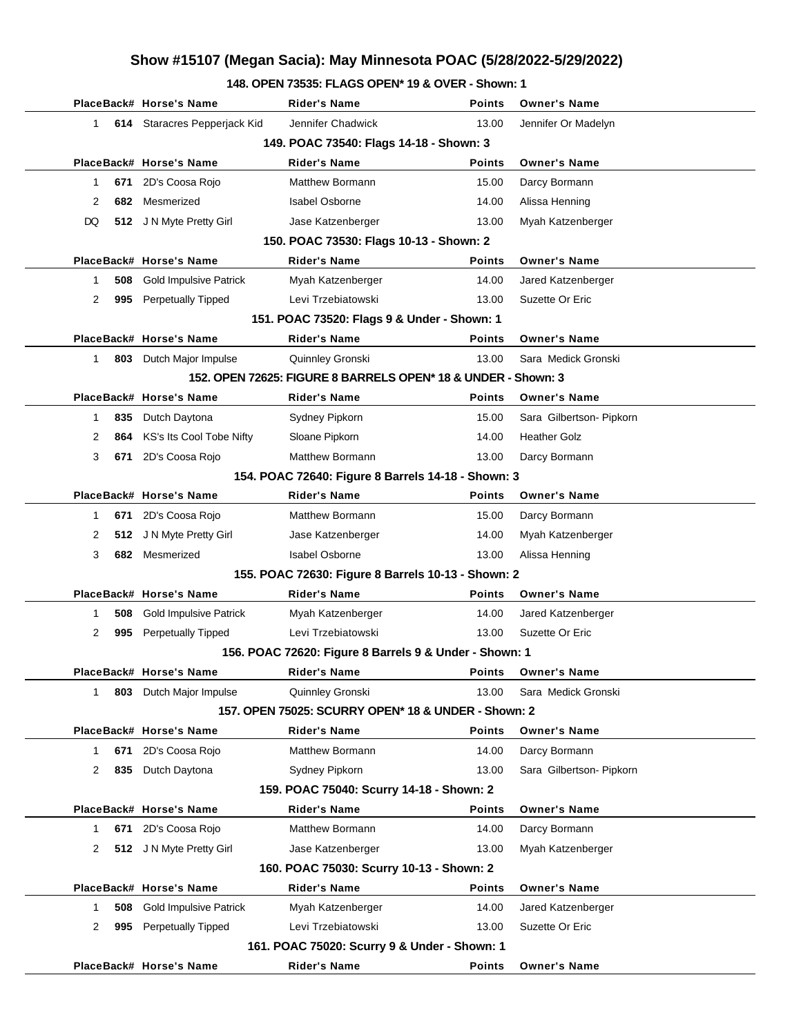### **148. OPEN 73535: FLAGS OPEN\* 19 & OVER - Shown: 1**

|              |     | PlaceBack# Horse's Name       | <b>Rider's Name</b>                                           | <b>Points</b> | <b>Owner's Name</b>      |
|--------------|-----|-------------------------------|---------------------------------------------------------------|---------------|--------------------------|
|              |     |                               |                                                               |               |                          |
| $\mathbf{1}$ |     | 614 Staracres Pepperjack Kid  | Jennifer Chadwick                                             | 13.00         | Jennifer Or Madelyn      |
|              |     |                               | 149. POAC 73540: Flags 14-18 - Shown: 3                       |               |                          |
|              |     | PlaceBack# Horse's Name       | <b>Rider's Name</b>                                           | <b>Points</b> | <b>Owner's Name</b>      |
| 1            | 671 | 2D's Coosa Rojo               | <b>Matthew Bormann</b>                                        | 15.00         | Darcy Bormann            |
| 2            | 682 | Mesmerized                    | <b>Isabel Osborne</b>                                         | 14.00         | Alissa Henning           |
| DQ           |     | 512 J N Myte Pretty Girl      | Jase Katzenberger                                             | 13.00         | Myah Katzenberger        |
|              |     |                               | 150. POAC 73530: Flags 10-13 - Shown: 2                       |               |                          |
|              |     | PlaceBack# Horse's Name       | <b>Rider's Name</b>                                           | <b>Points</b> | <b>Owner's Name</b>      |
| 1            | 508 | <b>Gold Impulsive Patrick</b> | Myah Katzenberger                                             | 14.00         | Jared Katzenberger       |
| 2            | 995 | Perpetually Tipped            | Levi Trzebiatowski                                            | 13.00         | Suzette Or Eric          |
|              |     |                               | 151. POAC 73520: Flags 9 & Under - Shown: 1                   |               |                          |
|              |     | PlaceBack# Horse's Name       | <b>Rider's Name</b>                                           | <b>Points</b> | <b>Owner's Name</b>      |
| 1            |     | 803 Dutch Major Impulse       | Quinnley Gronski                                              | 13.00         | Sara Medick Gronski      |
|              |     |                               | 152. OPEN 72625: FIGURE 8 BARRELS OPEN* 18 & UNDER - Shown: 3 |               |                          |
|              |     | PlaceBack# Horse's Name       | <b>Rider's Name</b>                                           | <b>Points</b> | <b>Owner's Name</b>      |
| 1            | 835 | Dutch Daytona                 | Sydney Pipkorn                                                | 15.00         | Sara Gilbertson- Pipkorn |
| 2            | 864 | KS's Its Cool Tobe Nifty      | Sloane Pipkorn                                                | 14.00         | <b>Heather Golz</b>      |
| 3            | 671 | 2D's Coosa Rojo               | <b>Matthew Bormann</b>                                        | 13.00         | Darcy Bormann            |
|              |     |                               | 154. POAC 72640: Figure 8 Barrels 14-18 - Shown: 3            |               |                          |
|              |     | PlaceBack# Horse's Name       | <b>Rider's Name</b>                                           | <b>Points</b> | <b>Owner's Name</b>      |
| 1            | 671 | 2D's Coosa Rojo               | <b>Matthew Bormann</b>                                        | 15.00         | Darcy Bormann            |
| 2            | 512 | J N Myte Pretty Girl          | Jase Katzenberger                                             | 14.00         | Myah Katzenberger        |
| 3            | 682 | Mesmerized                    | <b>Isabel Osborne</b>                                         | 13.00         | Alissa Henning           |
|              |     |                               | 155. POAC 72630: Figure 8 Barrels 10-13 - Shown: 2            |               |                          |
|              |     | PlaceBack# Horse's Name       | <b>Rider's Name</b>                                           | <b>Points</b> | <b>Owner's Name</b>      |
| 1            | 508 | <b>Gold Impulsive Patrick</b> | Myah Katzenberger                                             | 14.00         | Jared Katzenberger       |
| 2            | 995 | <b>Perpetually Tipped</b>     | Levi Trzebiatowski                                            | 13.00         | Suzette Or Eric          |
|              |     |                               | 156. POAC 72620: Figure 8 Barrels 9 & Under - Shown: 1        |               |                          |
|              |     | PlaceBack# Horse's Name       | <b>Rider's Name</b>                                           | <b>Points</b> | <b>Owner's Name</b>      |
| $\mathbf 1$  | 803 | Dutch Major Impulse           | Quinnley Gronski                                              | 13.00         | Sara Medick Gronski      |
|              |     |                               | 157. OPEN 75025: SCURRY OPEN* 18 & UNDER - Shown: 2           |               |                          |
|              |     | PlaceBack# Horse's Name       | <b>Rider's Name</b>                                           | Points        | <b>Owner's Name</b>      |
| 1            | 671 | 2D's Coosa Rojo               | <b>Matthew Bormann</b>                                        | 14.00         | Darcy Bormann            |
| 2            | 835 | Dutch Daytona                 | Sydney Pipkorn                                                | 13.00         | Sara Gilbertson- Pipkorn |
|              |     |                               | 159. POAC 75040: Scurry 14-18 - Shown: 2                      |               |                          |
|              |     | PlaceBack# Horse's Name       | <b>Rider's Name</b>                                           | Points        | <b>Owner's Name</b>      |
| 1            | 671 | 2D's Coosa Rojo               | Matthew Bormann                                               | 14.00         | Darcy Bormann            |
| 2            | 512 | J N Myte Pretty Girl          | Jase Katzenberger                                             | 13.00         | Myah Katzenberger        |
|              |     |                               | 160. POAC 75030: Scurry 10-13 - Shown: 2                      |               |                          |
|              |     | PlaceBack# Horse's Name       | <b>Rider's Name</b>                                           | <b>Points</b> | <b>Owner's Name</b>      |
| 1            | 508 | <b>Gold Impulsive Patrick</b> | Myah Katzenberger                                             | 14.00         | Jared Katzenberger       |
| 2            | 995 | <b>Perpetually Tipped</b>     | Levi Trzebiatowski                                            | 13.00         | Suzette Or Eric          |
|              |     |                               | 161. POAC 75020: Scurry 9 & Under - Shown: 1                  |               |                          |
|              |     | PlaceBack# Horse's Name       | <b>Rider's Name</b>                                           | <b>Points</b> | <b>Owner's Name</b>      |
|              |     |                               |                                                               |               |                          |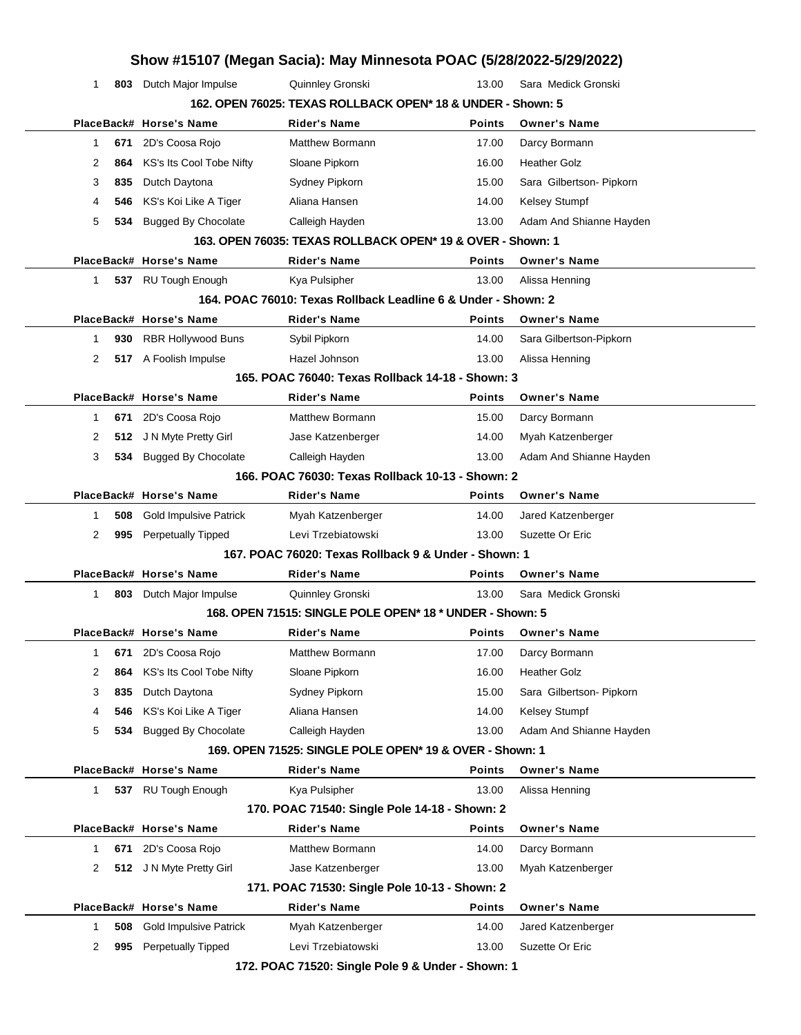|              |     |                               | Show #15107 (Megan Sacia): May Minnesota POAC (5/28/2022-5/29/2022) |               |                          |
|--------------|-----|-------------------------------|---------------------------------------------------------------------|---------------|--------------------------|
| 1            |     | 803 Dutch Major Impulse       | Quinnley Gronski                                                    | 13.00         | Sara Medick Gronski      |
|              |     |                               | 162. OPEN 76025: TEXAS ROLLBACK OPEN* 18 & UNDER - Shown: 5         |               |                          |
|              |     | PlaceBack# Horse's Name       | <b>Rider's Name</b>                                                 | <b>Points</b> | <b>Owner's Name</b>      |
| $\mathbf{1}$ | 671 | 2D's Coosa Rojo               | <b>Matthew Bormann</b>                                              | 17.00         | Darcy Bormann            |
| 2            | 864 | KS's Its Cool Tobe Nifty      | Sloane Pipkorn                                                      | 16.00         | <b>Heather Golz</b>      |
| 3            | 835 | Dutch Daytona                 | Sydney Pipkorn                                                      | 15.00         | Sara Gilbertson- Pipkorn |
| 4            | 546 | KS's Koi Like A Tiger         | Aliana Hansen                                                       | 14.00         | Kelsey Stumpf            |
| 5            | 534 | <b>Bugged By Chocolate</b>    | Calleigh Hayden                                                     | 13.00         | Adam And Shianne Hayden  |
|              |     |                               | 163. OPEN 76035: TEXAS ROLLBACK OPEN* 19 & OVER - Shown: 1          |               |                          |
|              |     | PlaceBack# Horse's Name       | Rider's Name                                                        | <b>Points</b> | <b>Owner's Name</b>      |
| $\mathbf{1}$ | 537 | RU Tough Enough               | Kya Pulsipher                                                       | 13.00         | Alissa Henning           |
|              |     |                               | 164, POAC 76010: Texas Rollback Leadline 6 & Under - Shown: 2       |               |                          |
|              |     | PlaceBack# Horse's Name       | <b>Rider's Name</b>                                                 | <b>Points</b> | <b>Owner's Name</b>      |
| 1            | 930 | RBR Hollywood Buns            | Sybil Pipkorn                                                       | 14.00         | Sara Gilbertson-Pipkorn  |
| 2            |     | 517 A Foolish Impulse         | Hazel Johnson                                                       | 13.00         | Alissa Henning           |
|              |     |                               | 165. POAC 76040: Texas Rollback 14-18 - Shown: 3                    |               |                          |
|              |     | PlaceBack# Horse's Name       | <b>Rider's Name</b>                                                 | <b>Points</b> | <b>Owner's Name</b>      |
| 1            | 671 | 2D's Coosa Rojo               | Matthew Bormann                                                     | 15.00         | Darcy Bormann            |
| 2            | 512 | J N Myte Pretty Girl          | Jase Katzenberger                                                   | 14.00         | Myah Katzenberger        |
| 3            | 534 | <b>Bugged By Chocolate</b>    | Calleigh Hayden                                                     | 13.00         | Adam And Shianne Hayden  |
|              |     |                               | 166. POAC 76030: Texas Rollback 10-13 - Shown: 2                    |               |                          |
|              |     | PlaceBack# Horse's Name       | Rider's Name                                                        | <b>Points</b> | <b>Owner's Name</b>      |
| 1            | 508 | <b>Gold Impulsive Patrick</b> | Myah Katzenberger                                                   | 14.00         | Jared Katzenberger       |
| 2            | 995 | Perpetually Tipped            | Levi Trzebiatowski                                                  | 13.00         | Suzette Or Eric          |
|              |     |                               | 167, POAC 76020: Texas Rollback 9 & Under - Shown: 1                |               |                          |
|              |     | PlaceBack# Horse's Name       | <b>Rider's Name</b>                                                 | <b>Points</b> | <b>Owner's Name</b>      |
| 1            | 803 | Dutch Major Impulse           | Quinnley Gronski                                                    | 13.00         | Sara Medick Gronski      |
|              |     |                               | 168, OPEN 71515: SINGLE POLE OPEN* 18 * UNDER - Shown: 5            |               |                          |
|              |     | PlaceBack# Horse's Name       | Rider's Name                                                        | <b>Points</b> | <b>Owner's Name</b>      |
| 1            | 671 | 2D's Coosa Rojo               | Matthew Bormann                                                     | 17.00         | Darcy Bormann            |
| 2            | 864 | KS's Its Cool Tobe Nifty      | Sloane Pipkorn                                                      | 16.00         | <b>Heather Golz</b>      |
| 3            | 835 | Dutch Daytona                 | Sydney Pipkorn                                                      | 15.00         | Sara Gilbertson- Pipkorn |
| 4            | 546 | KS's Koi Like A Tiger         | Aliana Hansen                                                       | 14.00         | Kelsey Stumpf            |
| 5            | 534 | <b>Bugged By Chocolate</b>    | Calleigh Hayden                                                     | 13.00         | Adam And Shianne Hayden  |
|              |     |                               | 169. OPEN 71525: SINGLE POLE OPEN* 19 & OVER - Shown: 1             |               |                          |
|              |     |                               |                                                                     |               |                          |
|              |     | PlaceBack# Horse's Name       | Rider's Name                                                        | <b>Points</b> | <b>Owner's Name</b>      |

|   |     | PlaceBack# Horse's Name       | <b>Rider's Name</b>                           | <b>Points</b> | <b>Owner's Name</b> |
|---|-----|-------------------------------|-----------------------------------------------|---------------|---------------------|
|   | 671 | 2D's Coosa Rojo               | Matthew Bormann                               | 14.00         | Darcy Bormann       |
| 2 |     | 512 J N Myte Pretty Girl      | Jase Katzenberger                             | 13.00         | Myah Katzenberger   |
|   |     |                               | 171. POAC 71530: Single Pole 10-13 - Shown: 2 |               |                     |
|   |     | PlaceBack# Horse's Name       | <b>Rider's Name</b>                           | <b>Points</b> | <b>Owner's Name</b> |
|   | 508 | <b>Gold Impulsive Patrick</b> | Myah Katzenberger                             | 14.00         | Jared Katzenberger  |
|   | 995 | <b>Perpetually Tipped</b>     | Levi Trzebiatowski                            | 13.00         | Suzette Or Eric     |
|   |     |                               |                                               |               |                     |

**172. POAC 71520: Single Pole 9 & Under - Shown: 1**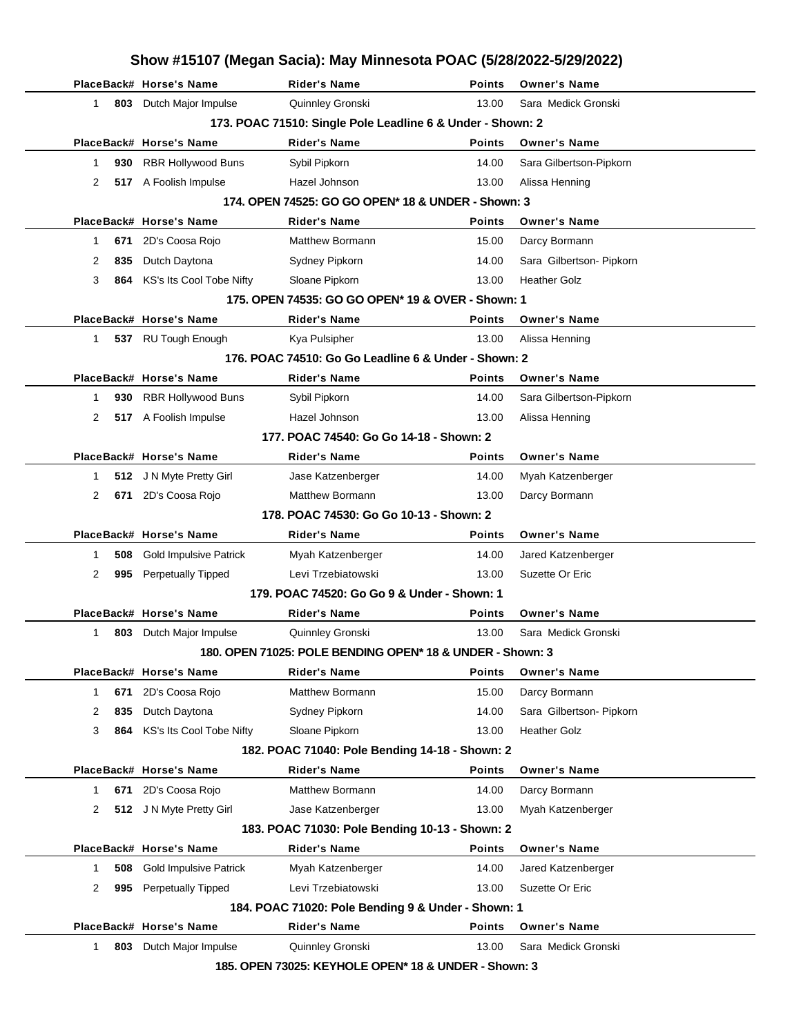|    |     |                               | Show #15107 (Megan Sacia): May Minnesota POAC (5/28/2022-5/29/2022) |               |                          |
|----|-----|-------------------------------|---------------------------------------------------------------------|---------------|--------------------------|
|    |     | PlaceBack# Horse's Name       | <b>Rider's Name</b>                                                 | <b>Points</b> | <b>Owner's Name</b>      |
| 1  |     | 803 Dutch Major Impulse       | Quinnley Gronski                                                    | 13.00         | Sara Medick Gronski      |
|    |     |                               | 173. POAC 71510: Single Pole Leadline 6 & Under - Shown: 2          |               |                          |
|    |     | PlaceBack# Horse's Name       | Rider's Name                                                        | Points        | <b>Owner's Name</b>      |
| 1  | 930 | RBR Hollywood Buns            | Sybil Pipkorn                                                       | 14.00         | Sara Gilbertson-Pipkorn  |
| 2  |     | 517 A Foolish Impulse         | Hazel Johnson                                                       | 13.00         | Alissa Henning           |
|    |     |                               | 174. OPEN 74525: GO GO OPEN* 18 & UNDER - Shown: 3                  |               |                          |
|    |     | PlaceBack# Horse's Name       | Rider's Name                                                        | Points        | <b>Owner's Name</b>      |
| 1  | 671 | 2D's Coosa Rojo               | Matthew Bormann                                                     | 15.00         | Darcy Bormann            |
| 2  | 835 | Dutch Daytona                 | Sydney Pipkorn                                                      | 14.00         | Sara Gilbertson- Pipkorn |
| 3  | 864 | KS's Its Cool Tobe Nifty      | Sloane Pipkorn                                                      | 13.00         | <b>Heather Golz</b>      |
|    |     |                               | 175, OPEN 74535: GO GO OPEN* 19 & OVER - Shown: 1                   |               |                          |
|    |     | PlaceBack# Horse's Name       | <b>Rider's Name</b>                                                 | Points        | <b>Owner's Name</b>      |
| 1  |     | 537 RU Tough Enough           | Kya Pulsipher                                                       | 13.00         | Alissa Henning           |
|    |     |                               | 176. POAC 74510: Go Go Leadline 6 & Under - Shown: 2                |               |                          |
|    |     | PlaceBack# Horse's Name       | Rider's Name                                                        | Points        | <b>Owner's Name</b>      |
| 1  | 930 | <b>RBR Hollywood Buns</b>     | Sybil Pipkorn                                                       | 14.00         | Sara Gilbertson-Pipkorn  |
| 2  |     | 517 A Foolish Impulse         | Hazel Johnson                                                       | 13.00         | Alissa Henning           |
|    |     |                               | 177. POAC 74540: Go Go 14-18 - Shown: 2                             |               |                          |
|    |     | PlaceBack# Horse's Name       | <b>Rider's Name</b>                                                 | Points        | <b>Owner's Name</b>      |
| 1  |     | 512 J N Myte Pretty Girl      | Jase Katzenberger                                                   | 14.00         | Myah Katzenberger        |
| 2  |     | 671 2D's Coosa Rojo           | <b>Matthew Bormann</b>                                              | 13.00         | Darcy Bormann            |
|    |     |                               | 178. POAC 74530: Go Go 10-13 - Shown: 2                             |               |                          |
|    |     | PlaceBack# Horse's Name       | Rider's Name                                                        | Points        | <b>Owner's Name</b>      |
| 1  | 508 | <b>Gold Impulsive Patrick</b> | Myah Katzenberger                                                   | 14.00         | Jared Katzenberger       |
| 2  | 995 | <b>Perpetually Tipped</b>     | Levi Trzebiatowski                                                  | 13.00         | Suzette Or Eric          |
|    |     |                               | 179. POAC 74520: Go Go 9 & Under - Shown: 1                         |               |                          |
|    |     | PlaceBack# Horse's Name       | <b>Rider's Name</b>                                                 | Points        | <b>Owner's Name</b>      |
| 1. |     | 803 Dutch Major Impulse       | Quinnley Gronski                                                    | 13.00         | Sara Medick Gronski      |
|    |     |                               | 180. OPEN 71025: POLE BENDING OPEN* 18 & UNDER - Shown: 3           |               |                          |
|    |     |                               |                                                                     |               |                          |
|    |     | PlaceBack# Horse's Name       | <b>Rider's Name</b>                                                 | Points        | <b>Owner's Name</b>      |
| 1  |     | 671 2D's Coosa Rojo           | Matthew Bormann                                                     | 15.00         | Darcy Bormann            |
| 2  | 835 | Dutch Daytona                 | Sydney Pipkorn                                                      | 14.00         | Sara Gilbertson- Pipkorn |
| 3  |     | 864 KS's Its Cool Tobe Nifty  | Sloane Pipkorn                                                      | 13.00         | <b>Heather Golz</b>      |
|    |     |                               | 182. POAC 71040: Pole Bending 14-18 - Shown: 2                      |               |                          |
|    |     | PlaceBack# Horse's Name       | <b>Rider's Name</b>                                                 | <b>Points</b> | <b>Owner's Name</b>      |
| 1  |     | 671 2D's Coosa Rojo           | Matthew Bormann                                                     | 14.00         | Darcy Bormann            |
| 2  |     | 512 J N Myte Pretty Girl      | Jase Katzenberger                                                   | 13.00         | Myah Katzenberger        |
|    |     |                               | 183. POAC 71030: Pole Bending 10-13 - Shown: 2                      |               |                          |
|    |     | PlaceBack# Horse's Name       | <b>Rider's Name</b>                                                 | <b>Points</b> | <b>Owner's Name</b>      |
| 1  | 508 | <b>Gold Impulsive Patrick</b> | Myah Katzenberger                                                   | 14.00         | Jared Katzenberger       |
| 2  | 995 | <b>Perpetually Tipped</b>     | Levi Trzebiatowski                                                  | 13.00         | Suzette Or Eric          |
|    |     |                               | 184. POAC 71020: Pole Bending 9 & Under - Shown: 1                  |               |                          |
|    |     | PlaceBack# Horse's Name       | <b>Rider's Name</b>                                                 | <b>Points</b> | <b>Owner's Name</b>      |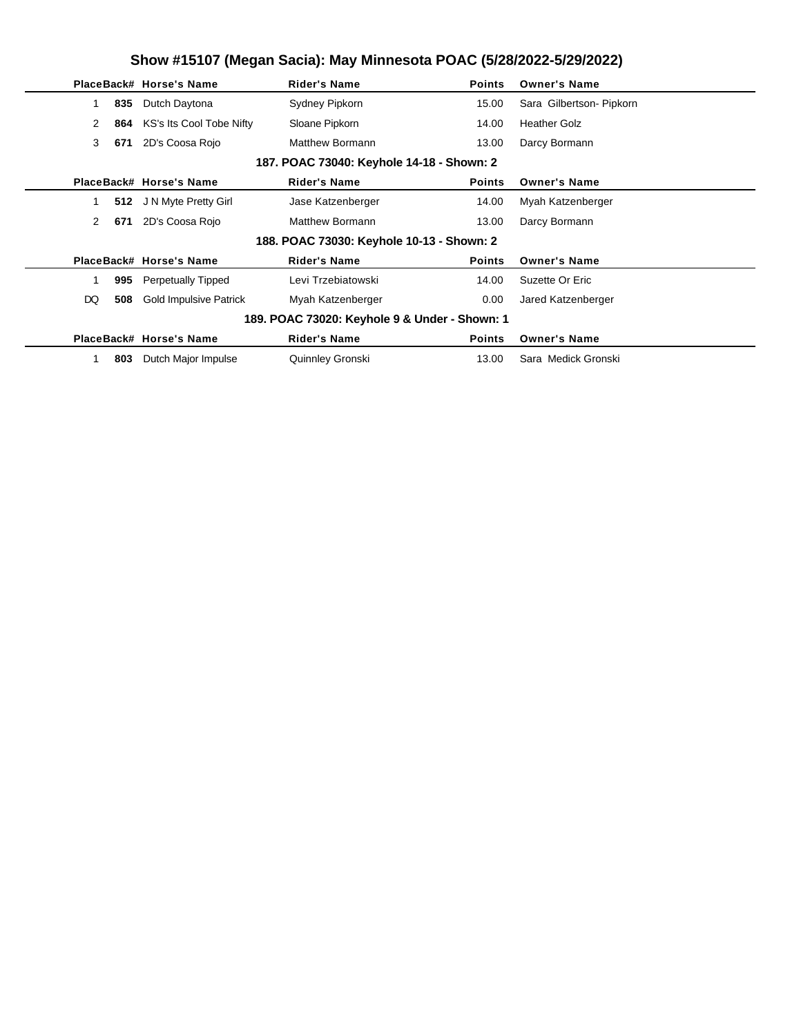|                                           |     | PlaceBack# Horse's Name       | <b>Rider's Name</b>                           | <b>Points</b> | <b>Owner's Name</b>      |  |  |  |  |
|-------------------------------------------|-----|-------------------------------|-----------------------------------------------|---------------|--------------------------|--|--|--|--|
|                                           | 835 | Dutch Daytona                 | Sydney Pipkorn                                | 15.00         | Sara Gilbertson- Pipkorn |  |  |  |  |
| 2                                         | 864 | KS's Its Cool Tobe Nifty      | Sloane Pipkorn                                | 14.00         | <b>Heather Golz</b>      |  |  |  |  |
| 3                                         | 671 | 2D's Coosa Rojo               | <b>Matthew Bormann</b>                        | 13.00         | Darcy Bormann            |  |  |  |  |
| 187. POAC 73040: Keyhole 14-18 - Shown: 2 |     |                               |                                               |               |                          |  |  |  |  |
|                                           |     | PlaceBack# Horse's Name       | <b>Rider's Name</b>                           | <b>Points</b> | <b>Owner's Name</b>      |  |  |  |  |
|                                           |     | 512 J N Myte Pretty Girl      | Jase Katzenberger                             | 14.00         | Myah Katzenberger        |  |  |  |  |
| 2                                         | 671 | 2D's Coosa Rojo               | Matthew Bormann                               | 13.00         | Darcy Bormann            |  |  |  |  |
|                                           |     |                               | 188. POAC 73030: Keyhole 10-13 - Shown: 2     |               |                          |  |  |  |  |
|                                           |     | PlaceBack# Horse's Name       | <b>Rider's Name</b>                           | <b>Points</b> | <b>Owner's Name</b>      |  |  |  |  |
|                                           | 995 | <b>Perpetually Tipped</b>     | Levi Trzebiatowski                            | 14.00         | Suzette Or Eric          |  |  |  |  |
| DQ                                        | 508 | <b>Gold Impulsive Patrick</b> | Myah Katzenberger                             | 0.00          | Jared Katzenberger       |  |  |  |  |
|                                           |     |                               | 189. POAC 73020: Keyhole 9 & Under - Shown: 1 |               |                          |  |  |  |  |
|                                           |     | PlaceBack# Horse's Name       | <b>Rider's Name</b>                           | <b>Points</b> | <b>Owner's Name</b>      |  |  |  |  |
|                                           | 803 | Dutch Major Impulse           | Quinnley Gronski                              | 13.00         | Sara Medick Gronski      |  |  |  |  |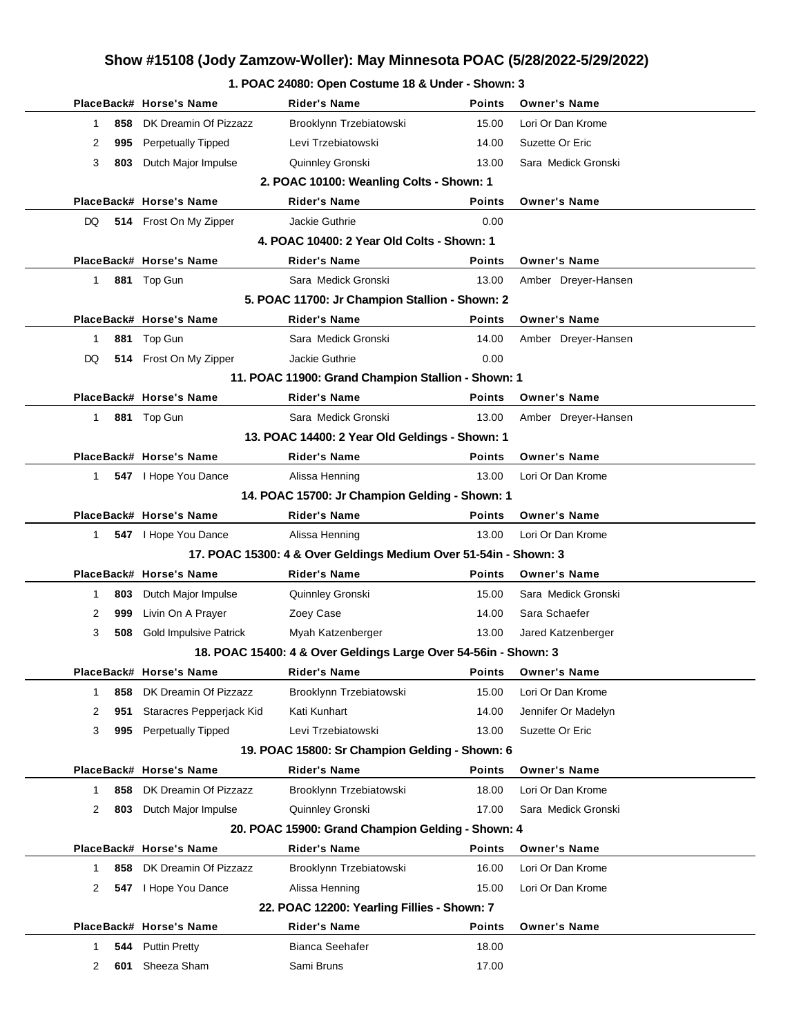#### **1. POAC 24080: Open Costume 18 & Under - Shown: 3**

|              | PlaceBack# Horse's Name          | Rider's Name                                                     | <b>Points</b> | <b>Owner's Name</b>        |
|--------------|----------------------------------|------------------------------------------------------------------|---------------|----------------------------|
| 1            | DK Dreamin Of Pizzazz<br>858     | Brooklynn Trzebiatowski                                          | 15.00         | Lori Or Dan Krome          |
| 2            | 995 Perpetually Tipped           | Levi Trzebiatowski                                               | 14.00         | Suzette Or Eric            |
| 3            | 803 Dutch Major Impulse          | Quinnley Gronski                                                 | 13.00         | Sara Medick Gronski        |
|              |                                  | 2. POAC 10100: Weanling Colts - Shown: 1                         |               |                            |
|              | PlaceBack# Horse's Name          | <b>Rider's Name</b>                                              | <b>Points</b> | <b>Owner's Name</b>        |
| DQ.          | 514 Frost On My Zipper           | Jackie Guthrie                                                   | 0.00          |                            |
|              |                                  | 4. POAC 10400: 2 Year Old Colts - Shown: 1                       |               |                            |
|              | PlaceBack# Horse's Name          | Rider's Name                                                     | <b>Points</b> | <b>Owner's Name</b>        |
| $\mathbf{1}$ | 881 Top Gun                      | Sara Medick Gronski                                              | 13.00         | Amber Dreyer-Hansen        |
|              |                                  | 5. POAC 11700: Jr Champion Stallion - Shown: 2                   |               |                            |
|              | PlaceBack# Horse's Name          | <b>Rider's Name</b>                                              | <b>Points</b> | <b>Owner's Name</b>        |
| 1            | Top Gun<br>881                   | Sara Medick Gronski                                              | 14.00         | Amber Dreyer-Hansen        |
| DQ           | 514 Frost On My Zipper           | Jackie Guthrie                                                   | 0.00          |                            |
|              |                                  | 11. POAC 11900: Grand Champion Stallion - Shown: 1               |               |                            |
|              | PlaceBack# Horse's Name          | <b>Rider's Name</b>                                              | <b>Points</b> | <b>Owner's Name</b>        |
| $\mathbf{1}$ | 881 Top Gun                      | Sara Medick Gronski                                              | 13.00         | Amber Dreyer-Hansen        |
|              |                                  | 13. POAC 14400: 2 Year Old Geldings - Shown: 1                   |               |                            |
|              | PlaceBack# Horse's Name          | <b>Rider's Name</b>                                              | <b>Points</b> | <b>Owner's Name</b>        |
| $\mathbf{1}$ | 547   Hope You Dance             | Alissa Henning                                                   | 13.00         | Lori Or Dan Krome          |
|              |                                  | 14. POAC 15700: Jr Champion Gelding - Shown: 1                   |               |                            |
|              | PlaceBack# Horse's Name          | <b>Rider's Name</b>                                              | <b>Points</b> | <b>Owner's Name</b>        |
| $1 \quad$    | 547 Hope You Dance               | Alissa Henning                                                   | 13.00         | Lori Or Dan Krome          |
|              |                                  | 17. POAC 15300: 4 & Over Geldings Medium Over 51-54in - Shown: 3 |               |                            |
|              | PlaceBack# Horse's Name          | <b>Rider's Name</b>                                              | <b>Points</b> | <b>Owner's Name</b>        |
| 1            | Dutch Major Impulse<br>803       | Quinnley Gronski                                                 | 15.00         | Sara Medick Gronski        |
| 2            | Livin On A Prayer<br>999         | Zoey Case                                                        | 14.00         | Sara Schaefer              |
| 3            | 508 Gold Impulsive Patrick       | Myah Katzenberger                                                | 13.00         | Jared Katzenberger         |
|              |                                  | 18. POAC 15400: 4 & Over Geldings Large Over 54-56in - Shown: 3  |               |                            |
|              | PlaceBack# Horse's Name          | <b>Rider's Name</b>                                              |               | <b>Points</b> Owner's Name |
| 1            | DK Dreamin Of Pizzazz<br>858     | Brooklynn Trzebiatowski                                          | 15.00         | Lori Or Dan Krome          |
| 2            | Staracres Pepperjack Kid<br>951  | Kati Kunhart                                                     | 14.00         | Jennifer Or Madelyn        |
| 3            | <b>Perpetually Tipped</b><br>995 | Levi Trzebiatowski                                               | 13.00         | Suzette Or Eric            |
|              |                                  | 19. POAC 15800: Sr Champion Gelding - Shown: 6                   |               |                            |
|              | PlaceBack# Horse's Name          | <b>Rider's Name</b>                                              | <b>Points</b> | <b>Owner's Name</b>        |
| $\mathbf 1$  | DK Dreamin Of Pizzazz<br>858     | Brooklynn Trzebiatowski                                          | 18.00         | Lori Or Dan Krome          |
| 2            | 803<br>Dutch Major Impulse       | Quinnley Gronski                                                 | 17.00         | Sara Medick Gronski        |
|              |                                  | 20. POAC 15900: Grand Champion Gelding - Shown: 4                |               |                            |
|              | PlaceBack# Horse's Name          | <b>Rider's Name</b>                                              | <b>Points</b> | <b>Owner's Name</b>        |
| 1            | DK Dreamin Of Pizzazz<br>858     | Brooklynn Trzebiatowski                                          | 16.00         | Lori Or Dan Krome          |
| 2            | I Hope You Dance<br>547          | Alissa Henning                                                   | 15.00         | Lori Or Dan Krome          |
|              |                                  | 22. POAC 12200: Yearling Fillies - Shown: 7                      |               |                            |
|              | PlaceBack# Horse's Name          | <b>Rider's Name</b>                                              | <b>Points</b> | <b>Owner's Name</b>        |
| 1            | <b>Puttin Pretty</b><br>544      | Bianca Seehafer                                                  | 18.00         |                            |
| 2            | Sheeza Sham<br>601               | Sami Bruns                                                       | 17.00         |                            |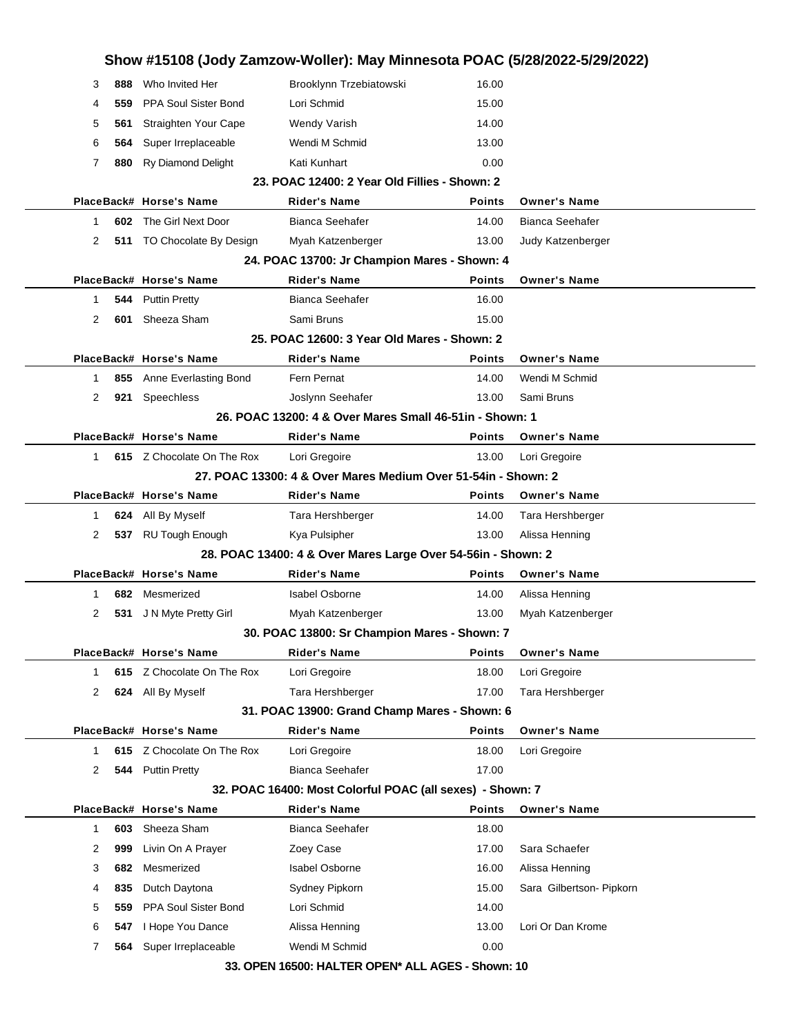| 3            |     |                               |                                                               | Show #15108 (Jody Zamzow-Woller): May Minnesota POAC (5/28/2022-5/29/2022) |                          |
|--------------|-----|-------------------------------|---------------------------------------------------------------|----------------------------------------------------------------------------|--------------------------|
|              | 888 | Who Invited Her               | Brooklynn Trzebiatowski                                       | 16.00                                                                      |                          |
| 4            | 559 | <b>PPA Soul Sister Bond</b>   | Lori Schmid                                                   | 15.00                                                                      |                          |
| 5            | 561 | Straighten Your Cape          | <b>Wendy Varish</b>                                           | 14.00                                                                      |                          |
| 6            | 564 | Super Irreplaceable           | Wendi M Schmid                                                | 13.00                                                                      |                          |
| 7            | 880 | <b>Ry Diamond Delight</b>     | Kati Kunhart                                                  | 0.00                                                                       |                          |
|              |     |                               | 23. POAC 12400: 2 Year Old Fillies - Shown: 2                 |                                                                            |                          |
|              |     | PlaceBack# Horse's Name       | <b>Rider's Name</b>                                           | Points                                                                     | <b>Owner's Name</b>      |
| 1            |     | <b>602</b> The Girl Next Door | <b>Bianca Seehafer</b>                                        | 14.00                                                                      | <b>Bianca Seehafer</b>   |
| 2            |     | 511 TO Chocolate By Design    | Myah Katzenberger                                             | 13.00                                                                      | Judy Katzenberger        |
|              |     |                               | 24. POAC 13700: Jr Champion Mares - Shown: 4                  |                                                                            |                          |
|              |     | PlaceBack# Horse's Name       | <b>Rider's Name</b>                                           | <b>Points</b>                                                              | <b>Owner's Name</b>      |
| 1            | 544 | <b>Puttin Pretty</b>          | Bianca Seehafer                                               | 16.00                                                                      |                          |
| 2            | 601 | Sheeza Sham                   | Sami Bruns                                                    | 15.00                                                                      |                          |
|              |     |                               | 25. POAC 12600: 3 Year Old Mares - Shown: 2                   |                                                                            |                          |
|              |     | PlaceBack# Horse's Name       | <b>Rider's Name</b>                                           | <b>Points</b>                                                              | <b>Owner's Name</b>      |
| 1            |     | 855 Anne Everlasting Bond     | Fern Pernat                                                   | 14.00                                                                      | Wendi M Schmid           |
| 2            |     | 921 Speechless                | Joslynn Seehafer                                              | 13.00                                                                      | Sami Bruns               |
|              |     |                               | 26. POAC 13200: 4 & Over Mares Small 46-51 in - Shown: 1      |                                                                            |                          |
|              |     | PlaceBack# Horse's Name       | <b>Rider's Name</b>                                           | <b>Points</b>                                                              | <b>Owner's Name</b>      |
| 1            |     | 615 Z Chocolate On The Rox    | Lori Gregoire                                                 | 13.00                                                                      | Lori Gregoire            |
|              |     |                               | 27. POAC 13300: 4 & Over Mares Medium Over 51-54in - Shown: 2 |                                                                            |                          |
|              |     | PlaceBack# Horse's Name       | <b>Rider's Name</b>                                           | Points                                                                     | <b>Owner's Name</b>      |
| 1            |     | 624 All By Myself             | Tara Hershberger                                              | 14.00                                                                      | Tara Hershberger         |
| 2            | 537 | <b>RU Tough Enough</b>        | Kya Pulsipher                                                 | 13.00                                                                      | Alissa Henning           |
|              |     |                               | 28. POAC 13400: 4 & Over Mares Large Over 54-56in - Shown: 2  |                                                                            |                          |
|              |     |                               |                                                               |                                                                            |                          |
|              |     | PlaceBack# Horse's Name       | <b>Rider's Name</b>                                           | Points                                                                     | <b>Owner's Name</b>      |
| 1            | 682 | Mesmerized                    | <b>Isabel Osborne</b>                                         | 14.00                                                                      | Alissa Henning           |
| 2            | 531 | J N Myte Pretty Girl          | Myah Katzenberger                                             | 13.00                                                                      | Myah Katzenberger        |
|              |     |                               | 30. POAC 13800: Sr Champion Mares - Shown: 7                  |                                                                            |                          |
|              |     | PlaceBack# Horse's Name       | <b>Rider's Name</b>                                           | Points                                                                     | <b>Owner's Name</b>      |
| 1            |     | 615 Z Chocolate On The Rox    | Lori Gregoire                                                 | 18.00                                                                      | Lori Gregoire            |
| 2            |     | 624 All By Myself             | Tara Hershberger                                              | 17.00                                                                      | Tara Hershberger         |
|              |     |                               | 31. POAC 13900: Grand Champ Mares - Shown: 6                  |                                                                            |                          |
|              |     | PlaceBack# Horse's Name       | <b>Rider's Name</b>                                           | Points                                                                     | <b>Owner's Name</b>      |
| $\mathbf{1}$ | 615 | Z Chocolate On The Rox        | Lori Gregoire                                                 | 18.00                                                                      | Lori Gregoire            |
| 2            | 544 | <b>Puttin Pretty</b>          | Bianca Seehafer                                               | 17.00                                                                      |                          |
|              |     |                               | 32. POAC 16400: Most Colorful POAC (all sexes) - Shown: 7     |                                                                            |                          |
|              |     | PlaceBack# Horse's Name       | <b>Rider's Name</b>                                           | Points                                                                     | <b>Owner's Name</b>      |
| $\mathbf{1}$ | 603 | Sheeza Sham                   | <b>Bianca Seehafer</b>                                        | 18.00                                                                      |                          |
| 2            | 999 | Livin On A Prayer             | Zoey Case                                                     | 17.00                                                                      | Sara Schaefer            |
| 3            | 682 | Mesmerized                    | <b>Isabel Osborne</b>                                         | 16.00                                                                      | Alissa Henning           |
| 4            | 835 | Dutch Daytona                 | Sydney Pipkorn                                                | 15.00                                                                      | Sara Gilbertson- Pipkorn |
| 5            | 559 | <b>PPA Soul Sister Bond</b>   | Lori Schmid                                                   | 14.00                                                                      |                          |
| 6            | 547 | I Hope You Dance              | Alissa Henning                                                | 13.00                                                                      | Lori Or Dan Krome        |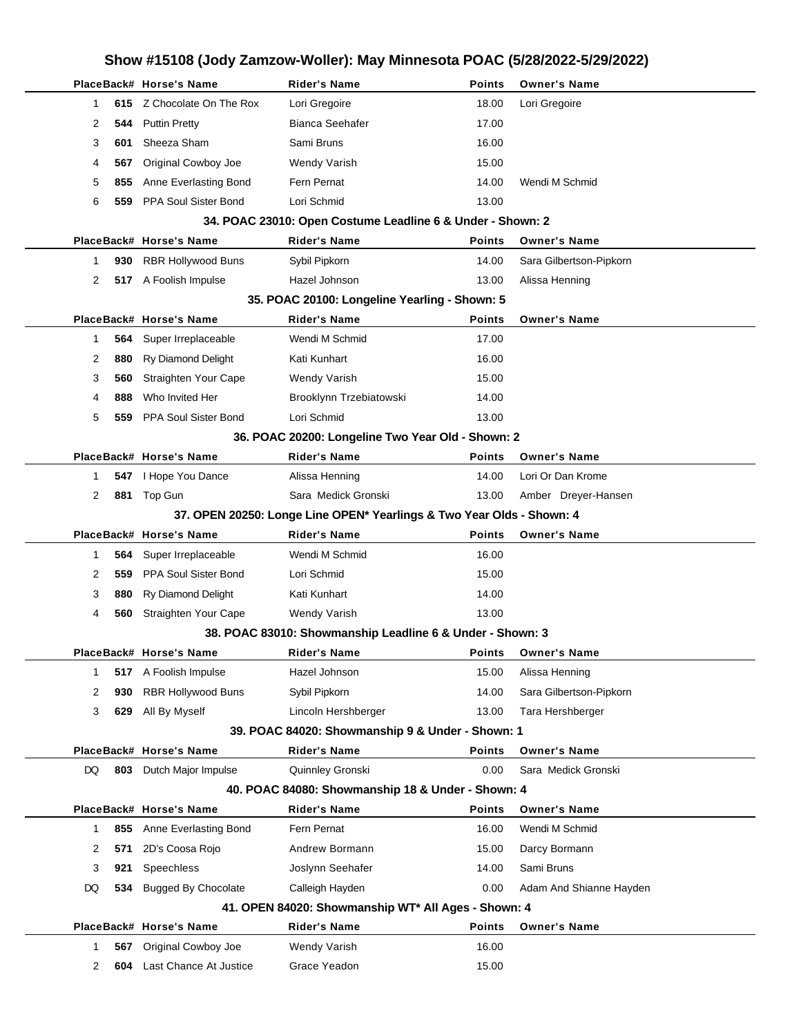| Show #15108 (Jody Zamzow-Woller): May Minnesota POAC (5/28/2022-5/29/2022) |     |                            |                                                                                  |               |                         |  |  |  |
|----------------------------------------------------------------------------|-----|----------------------------|----------------------------------------------------------------------------------|---------------|-------------------------|--|--|--|
|                                                                            |     | PlaceBack# Horse's Name    | <b>Rider's Name</b>                                                              | <b>Points</b> | <b>Owner's Name</b>     |  |  |  |
| 1                                                                          |     | 615 Z Chocolate On The Rox | Lori Gregoire                                                                    | 18.00         | Lori Gregoire           |  |  |  |
| 2                                                                          | 544 | <b>Puttin Pretty</b>       | <b>Bianca Seehafer</b>                                                           | 17.00         |                         |  |  |  |
| 3                                                                          | 601 | Sheeza Sham                | Sami Bruns                                                                       | 16.00         |                         |  |  |  |
| 4                                                                          | 567 | Original Cowboy Joe        | Wendy Varish                                                                     | 15.00         |                         |  |  |  |
| 5                                                                          | 855 | Anne Everlasting Bond      | Fern Pernat                                                                      | 14.00         | Wendi M Schmid          |  |  |  |
| 6                                                                          | 559 | PPA Soul Sister Bond       | Lori Schmid                                                                      | 13.00         |                         |  |  |  |
|                                                                            |     |                            | 34. POAC 23010: Open Costume Leadline 6 & Under - Shown: 2                       |               |                         |  |  |  |
|                                                                            |     | PlaceBack# Horse's Name    | <b>Rider's Name</b>                                                              | <b>Points</b> | <b>Owner's Name</b>     |  |  |  |
| 1                                                                          | 930 | <b>RBR Hollywood Buns</b>  | Sybil Pipkorn                                                                    | 14.00         | Sara Gilbertson-Pipkorn |  |  |  |
| 2                                                                          |     | 517 A Foolish Impulse      | Hazel Johnson                                                                    | 13.00         | Alissa Henning          |  |  |  |
|                                                                            |     |                            | 35. POAC 20100: Longeline Yearling - Shown: 5                                    |               |                         |  |  |  |
|                                                                            |     | PlaceBack# Horse's Name    | <b>Rider's Name</b>                                                              | <b>Points</b> | <b>Owner's Name</b>     |  |  |  |
| 1                                                                          | 564 | Super Irreplaceable        | Wendi M Schmid                                                                   | 17.00         |                         |  |  |  |
| 2                                                                          | 880 | Ry Diamond Delight         | Kati Kunhart                                                                     | 16.00         |                         |  |  |  |
| 3                                                                          | 560 | Straighten Your Cape       | Wendy Varish                                                                     | 15.00         |                         |  |  |  |
| 4                                                                          | 888 | Who Invited Her            | Brooklynn Trzebiatowski                                                          | 14.00         |                         |  |  |  |
| 5                                                                          | 559 | PPA Soul Sister Bond       | Lori Schmid                                                                      | 13.00         |                         |  |  |  |
|                                                                            |     |                            | 36. POAC 20200: Longeline Two Year Old - Shown: 2                                |               |                         |  |  |  |
|                                                                            |     | PlaceBack# Horse's Name    | <b>Rider's Name</b>                                                              | <b>Points</b> | <b>Owner's Name</b>     |  |  |  |
| 1                                                                          |     | 547 I Hope You Dance       | Alissa Henning                                                                   | 14.00         | Lori Or Dan Krome       |  |  |  |
| 2                                                                          | 881 | Top Gun                    | Sara Medick Gronski                                                              | 13.00         | Amber Dreyer-Hansen     |  |  |  |
|                                                                            |     |                            | 37. OPEN 20250: Longe Line OPEN* Yearlings & Two Year Olds - Shown: 4            |               |                         |  |  |  |
|                                                                            |     | PlaceBack# Horse's Name    | <b>Rider's Name</b>                                                              | <b>Points</b> | <b>Owner's Name</b>     |  |  |  |
| 1                                                                          | 564 | Super Irreplaceable        | Wendi M Schmid                                                                   | 16.00         |                         |  |  |  |
| 2                                                                          | 559 | PPA Soul Sister Bond       | Lori Schmid                                                                      | 15.00         |                         |  |  |  |
| 3                                                                          | 880 | <b>Ry Diamond Delight</b>  | Kati Kunhart                                                                     | 14.00         |                         |  |  |  |
| 4                                                                          | 560 | Straighten Your Cape       | Wendy Varish                                                                     | 13.00         |                         |  |  |  |
|                                                                            |     | PlaceBack# Horse's Name    | 38. POAC 83010: Showmanship Leadline 6 & Under - Shown: 3<br><b>Rider's Name</b> | <b>Points</b> | <b>Owner's Name</b>     |  |  |  |
| 1                                                                          |     | 517 A Foolish Impulse      | Hazel Johnson                                                                    | 15.00         | Alissa Henning          |  |  |  |
| 2                                                                          | 930 | <b>RBR Hollywood Buns</b>  | Sybil Pipkorn                                                                    | 14.00         | Sara Gilbertson-Pipkorn |  |  |  |
| 3                                                                          | 629 | All By Myself              | Lincoln Hershberger                                                              | 13.00         | Tara Hershberger        |  |  |  |
|                                                                            |     |                            | 39. POAC 84020: Showmanship 9 & Under - Shown: 1                                 |               |                         |  |  |  |
|                                                                            |     | PlaceBack# Horse's Name    | <b>Rider's Name</b>                                                              | <b>Points</b> | <b>Owner's Name</b>     |  |  |  |
| DQ                                                                         | 803 | Dutch Major Impulse        | Quinnley Gronski                                                                 | 0.00          | Sara Medick Gronski     |  |  |  |
|                                                                            |     |                            | 40. POAC 84080: Showmanship 18 & Under - Shown: 4                                |               |                         |  |  |  |
|                                                                            |     | PlaceBack# Horse's Name    | <b>Rider's Name</b>                                                              | <b>Points</b> | <b>Owner's Name</b>     |  |  |  |
| $\mathbf{1}$                                                               | 855 | Anne Everlasting Bond      | Fern Pernat                                                                      | 16.00         | Wendi M Schmid          |  |  |  |
| 2                                                                          | 571 | 2D's Coosa Rojo            | Andrew Bormann                                                                   | 15.00         | Darcy Bormann           |  |  |  |
| 3                                                                          | 921 | Speechless                 | Joslynn Seehafer                                                                 | 14.00         | Sami Bruns              |  |  |  |
| DQ                                                                         | 534 | <b>Bugged By Chocolate</b> | Calleigh Hayden                                                                  | 0.00          | Adam And Shianne Hayden |  |  |  |
|                                                                            |     |                            | 41. OPEN 84020: Showmanship WT* All Ages - Shown: 4                              |               |                         |  |  |  |
|                                                                            |     | PlaceBack# Horse's Name    | <b>Rider's Name</b>                                                              | <b>Points</b> | <b>Owner's Name</b>     |  |  |  |
| 1                                                                          | 567 | Original Cowboy Joe        | Wendy Varish                                                                     | 16.00         |                         |  |  |  |
| 2                                                                          | 604 | Last Chance At Justice     | Grace Yeadon                                                                     | 15.00         |                         |  |  |  |
|                                                                            |     |                            |                                                                                  |               |                         |  |  |  |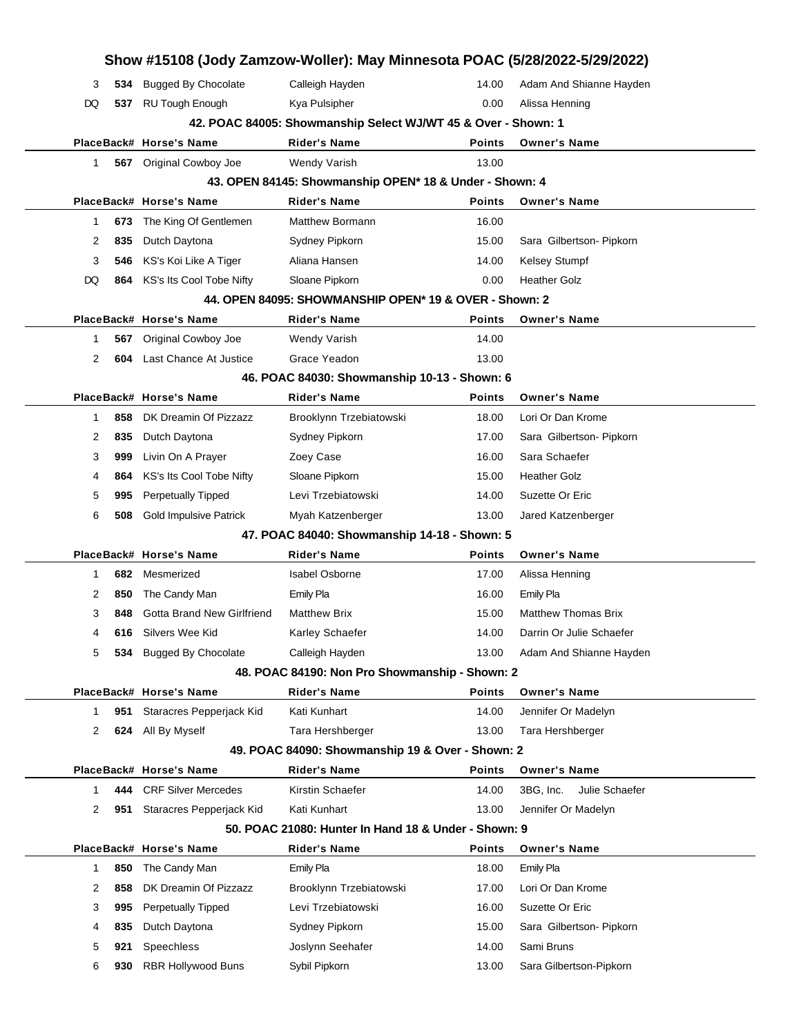|        |            | Show #15108 (Jody Zamzow-Woller): May Minnesota POAC (5/28/2022-5/29/2022) |                                                               |                |                                        |
|--------|------------|----------------------------------------------------------------------------|---------------------------------------------------------------|----------------|----------------------------------------|
| 3      | 534        | <b>Bugged By Chocolate</b>                                                 | Calleigh Hayden                                               | 14.00          | Adam And Shianne Hayden                |
| DQ     |            | 537 RU Tough Enough                                                        | Kya Pulsipher                                                 | 0.00           | Alissa Henning                         |
|        |            |                                                                            | 42. POAC 84005: Showmanship Select WJ/WT 45 & Over - Shown: 1 |                |                                        |
|        |            | PlaceBack# Horse's Name                                                    | <b>Rider's Name</b>                                           | Points         | <b>Owner's Name</b>                    |
| 1      | 567        | Original Cowboy Joe                                                        | Wendy Varish                                                  | 13.00          |                                        |
|        |            |                                                                            | 43. OPEN 84145: Showmanship OPEN* 18 & Under - Shown: 4       |                |                                        |
|        |            | PlaceBack# Horse's Name                                                    | <b>Rider's Name</b>                                           | <b>Points</b>  | <b>Owner's Name</b>                    |
| 1      | 673        | The King Of Gentlemen                                                      | Matthew Bormann                                               | 16.00          |                                        |
| 2      | 835        | Dutch Daytona                                                              | Sydney Pipkorn                                                | 15.00          | Sara Gilbertson- Pipkorn               |
| 3      | 546        | KS's Koi Like A Tiger                                                      | Aliana Hansen                                                 | 14.00          | <b>Kelsey Stumpf</b>                   |
| DQ     | 864        | KS's Its Cool Tobe Nifty                                                   | Sloane Pipkorn                                                | 0.00           | <b>Heather Golz</b>                    |
|        |            |                                                                            | 44. OPEN 84095: SHOWMANSHIP OPEN* 19 & OVER - Shown: 2        |                |                                        |
|        |            | PlaceBack# Horse's Name                                                    | <b>Rider's Name</b>                                           | <b>Points</b>  | <b>Owner's Name</b>                    |
| 1      | 567        | Original Cowboy Joe                                                        | Wendy Varish                                                  | 14.00          |                                        |
| 2      | 604        | Last Chance At Justice                                                     | Grace Yeadon                                                  | 13.00          |                                        |
|        |            |                                                                            | 46. POAC 84030: Showmanship 10-13 - Shown: 6                  |                |                                        |
|        |            | PlaceBack# Horse's Name                                                    | <b>Rider's Name</b>                                           | <b>Points</b>  | <b>Owner's Name</b>                    |
| 1      | 858        | DK Dreamin Of Pizzazz                                                      | Brooklynn Trzebiatowski                                       | 18.00          | Lori Or Dan Krome                      |
| 2      | 835        | Dutch Daytona                                                              | Sydney Pipkorn                                                | 17.00          | Sara Gilbertson- Pipkorn               |
| 3      | 999        | Livin On A Prayer                                                          | Zoey Case                                                     | 16.00          | Sara Schaefer                          |
| 4      | 864        | KS's Its Cool Tobe Nifty                                                   | Sloane Pipkorn                                                | 15.00          | <b>Heather Golz</b>                    |
| 5      | 995        | <b>Perpetually Tipped</b>                                                  | Levi Trzebiatowski                                            | 14.00          | Suzette Or Eric                        |
| 6      | 508        | <b>Gold Impulsive Patrick</b>                                              | Myah Katzenberger                                             | 13.00          | Jared Katzenberger                     |
|        |            |                                                                            | 47. POAC 84040: Showmanship 14-18 - Shown: 5                  |                |                                        |
|        |            | PlaceBack# Horse's Name                                                    | <b>Rider's Name</b>                                           | <b>Points</b>  | <b>Owner's Name</b>                    |
| 1      | 682        | Mesmerized                                                                 | <b>Isabel Osborne</b>                                         | 17.00          | Alissa Henning                         |
| 2      | 850        | The Candy Man                                                              | <b>Emily Pla</b>                                              | 16.00          | <b>Emily Pla</b>                       |
| 3      | 848        | <b>Gotta Brand New Girlfriend</b>                                          | <b>Matthew Brix</b>                                           | 15.00          | <b>Matthew Thomas Brix</b>             |
| 4      |            | 616 Silvers Wee Kid                                                        | Karley Schaefer                                               | 14.00          | Darrin Or Julie Schaefer               |
| 5      |            | 534 Bugged By Chocolate                                                    | Calleigh Hayden                                               | 13.00          | Adam And Shianne Hayden                |
|        |            |                                                                            | 48. POAC 84190: Non Pro Showmanship - Shown: 2                |                |                                        |
|        |            | PlaceBack# Horse's Name                                                    | <b>Rider's Name</b>                                           | <b>Points</b>  | <b>Owner's Name</b>                    |
| 1      | 951        | Staracres Pepperjack Kid                                                   | Kati Kunhart                                                  | 14.00          | Jennifer Or Madelyn                    |
| 2      |            | 624 All By Myself                                                          | Tara Hershberger                                              | 13.00          | Tara Hershberger                       |
|        |            |                                                                            | 49. POAC 84090: Showmanship 19 & Over - Shown: 2              |                |                                        |
|        |            | PlaceBack# Horse's Name                                                    | <b>Rider's Name</b>                                           | <b>Points</b>  | <b>Owner's Name</b>                    |
| 1      | 444        | <b>CRF Silver Mercedes</b>                                                 | Kirstin Schaefer                                              | 14.00          | Julie Schaefer<br>3BG, Inc.            |
| 2      | 951        | Staracres Pepperjack Kid                                                   | Kati Kunhart                                                  | 13.00          | Jennifer Or Madelyn                    |
|        |            |                                                                            | 50. POAC 21080: Hunter In Hand 18 & Under - Shown: 9          |                |                                        |
|        |            | PlaceBack# Horse's Name                                                    | <b>Rider's Name</b>                                           | <b>Points</b>  | <b>Owner's Name</b>                    |
| 1      | 850        | The Candy Man                                                              | <b>Emily Pla</b>                                              | 18.00          | Emily Pla                              |
| 2      | 858        | DK Dreamin Of Pizzazz                                                      | Brooklynn Trzebiatowski                                       | 17.00          | Lori Or Dan Krome                      |
| 3      | 995        | Perpetually Tipped                                                         | Levi Trzebiatowski                                            | 16.00          | Suzette Or Eric                        |
| 4<br>5 | 835<br>921 | Dutch Daytona<br>Speechless                                                | Sydney Pipkorn<br>Joslynn Seehafer                            | 15.00<br>14.00 | Sara Gilbertson- Pipkorn<br>Sami Bruns |
| 6      |            |                                                                            |                                                               |                |                                        |
|        | 930        | <b>RBR Hollywood Buns</b>                                                  | Sybil Pipkorn                                                 | 13.00          | Sara Gilbertson-Pipkorn                |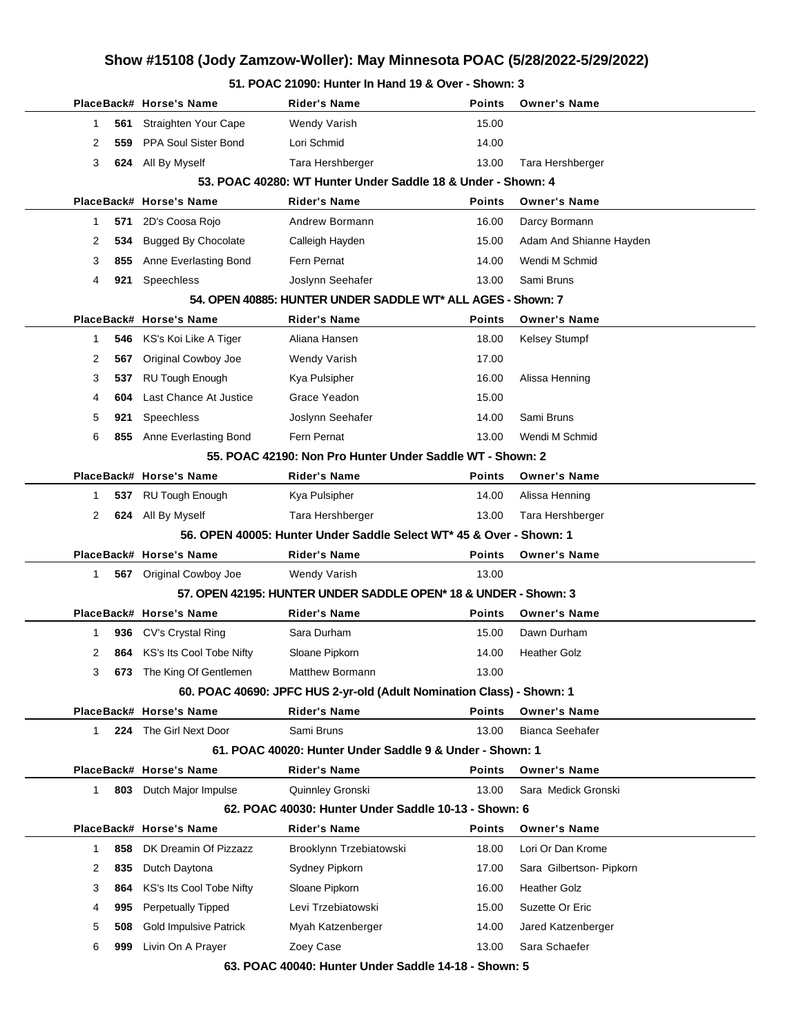| 51. POAC 21090: Hunter In Hand 19 & Over - Shown: 3 |  |
|-----------------------------------------------------|--|
|-----------------------------------------------------|--|

| Points                                                   |                                                                                                                                                                                          |
|----------------------------------------------------------|------------------------------------------------------------------------------------------------------------------------------------------------------------------------------------------|
|                                                          | <b>Owner's Name</b>                                                                                                                                                                      |
| 15.00                                                    |                                                                                                                                                                                          |
| 14.00                                                    |                                                                                                                                                                                          |
| 13.00                                                    | Tara Hershberger                                                                                                                                                                         |
|                                                          |                                                                                                                                                                                          |
| <b>Points</b>                                            | <b>Owner's Name</b>                                                                                                                                                                      |
| 16.00                                                    | Darcy Bormann                                                                                                                                                                            |
| 15.00                                                    | Adam And Shianne Hayden                                                                                                                                                                  |
| 14.00                                                    | Wendi M Schmid                                                                                                                                                                           |
| 13.00                                                    | Sami Bruns                                                                                                                                                                               |
|                                                          |                                                                                                                                                                                          |
| Points                                                   | <b>Owner's Name</b>                                                                                                                                                                      |
| 18.00                                                    | Kelsey Stumpf                                                                                                                                                                            |
| 17.00                                                    |                                                                                                                                                                                          |
| 16.00                                                    | Alissa Henning                                                                                                                                                                           |
| 15.00                                                    |                                                                                                                                                                                          |
| 14.00                                                    | Sami Bruns                                                                                                                                                                               |
| 13.00                                                    | Wendi M Schmid                                                                                                                                                                           |
|                                                          |                                                                                                                                                                                          |
| <b>Points</b>                                            | <b>Owner's Name</b>                                                                                                                                                                      |
| 14.00                                                    | Alissa Henning                                                                                                                                                                           |
| 13.00                                                    | Tara Hershberger                                                                                                                                                                         |
|                                                          | 56. OPEN 40005: Hunter Under Saddle Select WT* 45 & Over - Shown: 1                                                                                                                      |
| <b>Points</b>                                            | <b>Owner's Name</b>                                                                                                                                                                      |
|                                                          |                                                                                                                                                                                          |
| 13.00                                                    |                                                                                                                                                                                          |
|                                                          | 57. OPEN 42195: HUNTER UNDER SADDLE OPEN* 18 & UNDER - Shown: 3                                                                                                                          |
| <b>Points</b>                                            | <b>Owner's Name</b>                                                                                                                                                                      |
| 15.00                                                    | Dawn Durham                                                                                                                                                                              |
| 14.00                                                    | <b>Heather Golz</b>                                                                                                                                                                      |
| 13.00                                                    |                                                                                                                                                                                          |
|                                                          | 60. POAC 40690: JPFC HUS 2-yr-old (Adult Nomination Class) - Shown: 1                                                                                                                    |
| Points                                                   | <b>Owner's Name</b>                                                                                                                                                                      |
| 13.00                                                    | <b>Bianca Seehafer</b>                                                                                                                                                                   |
| 61. POAC 40020: Hunter Under Saddle 9 & Under - Shown: 1 |                                                                                                                                                                                          |
| <b>Points</b>                                            | <b>Owner's Name</b>                                                                                                                                                                      |
| 13.00                                                    | Sara Medick Gronski                                                                                                                                                                      |
| 62. POAC 40030: Hunter Under Saddle 10-13 - Shown: 6     |                                                                                                                                                                                          |
| <b>Points</b>                                            | <b>Owner's Name</b>                                                                                                                                                                      |
| 18.00                                                    | Lori Or Dan Krome                                                                                                                                                                        |
| 17.00                                                    | Sara Gilbertson- Pipkorn                                                                                                                                                                 |
| 16.00                                                    | <b>Heather Golz</b>                                                                                                                                                                      |
| 15.00                                                    | Suzette Or Eric                                                                                                                                                                          |
| 14.00                                                    | Jared Katzenberger                                                                                                                                                                       |
| 13.00                                                    | Sara Schaefer                                                                                                                                                                            |
|                                                          | 53. POAC 40280: WT Hunter Under Saddle 18 & Under - Shown: 4<br>54. OPEN 40885: HUNTER UNDER SADDLE WT* ALL AGES - Shown: 7<br>55. POAC 42190: Non Pro Hunter Under Saddle WT - Shown: 2 |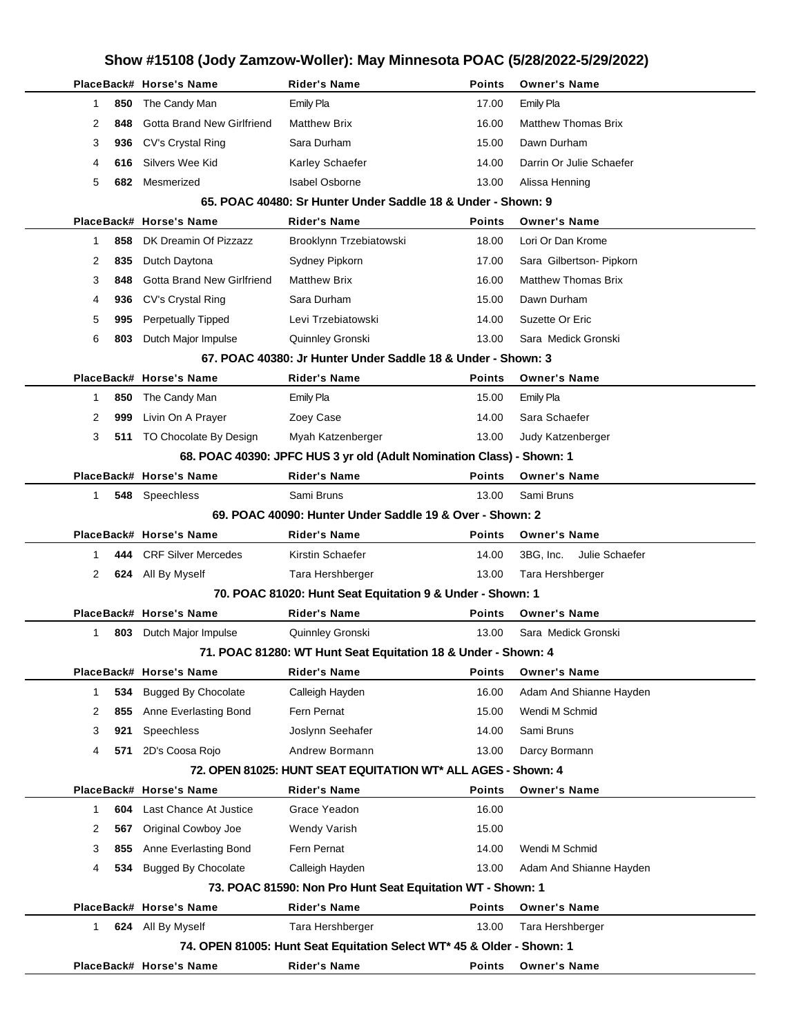|                     | Show #15108 (Jody Zamzow-Woller): May Minnesota POAC (5/28/2022-5/29/2022) |                                                                            |               |                             |  |
|---------------------|----------------------------------------------------------------------------|----------------------------------------------------------------------------|---------------|-----------------------------|--|
|                     | PlaceBack# Horse's Name                                                    | <b>Rider's Name</b>                                                        | <b>Points</b> | <b>Owner's Name</b>         |  |
| 850<br>1            | The Candy Man                                                              | Emily Pla                                                                  | 17.00         | Emily Pla                   |  |
| 2<br>848            | <b>Gotta Brand New Girlfriend</b>                                          | <b>Matthew Brix</b>                                                        | 16.00         | <b>Matthew Thomas Brix</b>  |  |
| 3<br>936            | <b>CV's Crystal Ring</b>                                                   | Sara Durham                                                                | 15.00         | Dawn Durham                 |  |
| 4<br>616            | Silvers Wee Kid                                                            | Karley Schaefer                                                            | 14.00         | Darrin Or Julie Schaefer    |  |
| 5<br>682            | Mesmerized                                                                 | <b>Isabel Osborne</b>                                                      | 13.00         | Alissa Henning              |  |
|                     |                                                                            | 65. POAC 40480: Sr Hunter Under Saddle 18 & Under - Shown: 9               |               |                             |  |
|                     | PlaceBack# Horse's Name                                                    | <b>Rider's Name</b>                                                        | <b>Points</b> | <b>Owner's Name</b>         |  |
| 858<br>1            | DK Dreamin Of Pizzazz                                                      | Brooklynn Trzebiatowski                                                    | 18.00         | Lori Or Dan Krome           |  |
| 2<br>835            | Dutch Daytona                                                              | Sydney Pipkorn                                                             | 17.00         | Sara Gilbertson- Pipkorn    |  |
| 3<br>848            | Gotta Brand New Girlfriend                                                 | <b>Matthew Brix</b>                                                        | 16.00         | <b>Matthew Thomas Brix</b>  |  |
| 4<br>936            | CV's Crystal Ring                                                          | Sara Durham                                                                | 15.00         | Dawn Durham                 |  |
| 5<br>995            | Perpetually Tipped                                                         | Levi Trzebiatowski                                                         | 14.00         | Suzette Or Eric             |  |
| 6<br>803            | Dutch Major Impulse                                                        | Quinnley Gronski                                                           | 13.00         | Sara Medick Gronski         |  |
|                     |                                                                            | 67. POAC 40380: Jr Hunter Under Saddle 18 & Under - Shown: 3               |               |                             |  |
|                     | PlaceBack# Horse's Name                                                    | <b>Rider's Name</b>                                                        | Points        | <b>Owner's Name</b>         |  |
| 850<br>1            | The Candy Man                                                              | <b>Emily Pla</b>                                                           | 15.00         | Emily Pla                   |  |
| 2<br>999            | Livin On A Prayer                                                          | Zoey Case                                                                  | 14.00         | Sara Schaefer               |  |
| 3                   | 511 TO Chocolate By Design                                                 | Myah Katzenberger                                                          | 13.00         | Judy Katzenberger           |  |
|                     |                                                                            | 68. POAC 40390: JPFC HUS 3 yr old (Adult Nomination Class) - Shown: 1      |               |                             |  |
|                     | PlaceBack# Horse's Name                                                    | <b>Rider's Name</b>                                                        | <b>Points</b> | <b>Owner's Name</b>         |  |
| $\mathbf{1}$        | 548 Speechless                                                             | Sami Bruns                                                                 | 13.00         | Sami Bruns                  |  |
|                     |                                                                            | 69. POAC 40090: Hunter Under Saddle 19 & Over - Shown: 2                   |               |                             |  |
|                     | PlaceBack# Horse's Name                                                    | <b>Rider's Name</b>                                                        | Points        | <b>Owner's Name</b>         |  |
| 444<br>1            | <b>CRF Silver Mercedes</b>                                                 | Kirstin Schaefer                                                           | 14.00         | 3BG, Inc.<br>Julie Schaefer |  |
| 2                   | 624 All By Myself                                                          | Tara Hershberger                                                           | 13.00         | Tara Hershberger            |  |
|                     |                                                                            | 70. POAC 81020: Hunt Seat Equitation 9 & Under - Shown: 1                  |               |                             |  |
|                     | PlaceBack# Horse's Name                                                    | <b>Rider's Name</b>                                                        | <b>Points</b> | <b>Owner's Name</b>         |  |
| 1<br>803            | Dutch Major Impulse                                                        | Quinnley Gronski                                                           | 13.00         | Sara Medick Gronski         |  |
|                     |                                                                            | 71. POAC 81280: WT Hunt Seat Equitation 18 & Under - Shown: 4              |               |                             |  |
|                     | PlaceBack# Horse's Name                                                    | Rider's Name                                                               | <b>Points</b> | <b>Owner's Name</b>         |  |
| $\mathbf 1$<br>534  | <b>Bugged By Chocolate</b>                                                 | Calleigh Hayden                                                            | 16.00         | Adam And Shianne Hayden     |  |
| 855<br>2            | Anne Everlasting Bond                                                      | Fern Pernat                                                                | 15.00         | Wendi M Schmid              |  |
| 3<br>921            | Speechless                                                                 | Joslynn Seehafer                                                           | 14.00         | Sami Bruns                  |  |
| 4<br>571            | 2D's Coosa Rojo                                                            | Andrew Bormann                                                             | 13.00         | Darcy Bormann               |  |
|                     |                                                                            | 72. OPEN 81025: HUNT SEAT EQUITATION WT* ALL AGES - Shown: 4               |               |                             |  |
|                     | PlaceBack# Horse's Name                                                    | Rider's Name                                                               | <b>Points</b> | <b>Owner's Name</b>         |  |
| $\mathbf{1}$<br>604 | Last Chance At Justice                                                     | Grace Yeadon                                                               | 16.00         |                             |  |
| 2<br>567            | Original Cowboy Joe                                                        | Wendy Varish                                                               | 15.00         |                             |  |
| 3<br>855            | Anne Everlasting Bond                                                      | Fern Pernat                                                                | 14.00         | Wendi M Schmid              |  |
| 4<br>534            | <b>Bugged By Chocolate</b>                                                 | Calleigh Hayden                                                            | 13.00         | Adam And Shianne Hayden     |  |
|                     | PlaceBack# Horse's Name                                                    | 73. POAC 81590: Non Pro Hunt Seat Equitation WT - Shown: 1<br>Rider's Name | <b>Points</b> | <b>Owner's Name</b>         |  |
| $\mathbf{1}$        | 624 All By Myself                                                          | Tara Hershberger                                                           | 13.00         | Tara Hershberger            |  |
|                     |                                                                            | 74. OPEN 81005: Hunt Seat Equitation Select WT* 45 & Older - Shown: 1      |               |                             |  |
|                     | PlaceBack# Horse's Name                                                    | Rider's Name                                                               | Points        | <b>Owner's Name</b>         |  |
|                     |                                                                            |                                                                            |               |                             |  |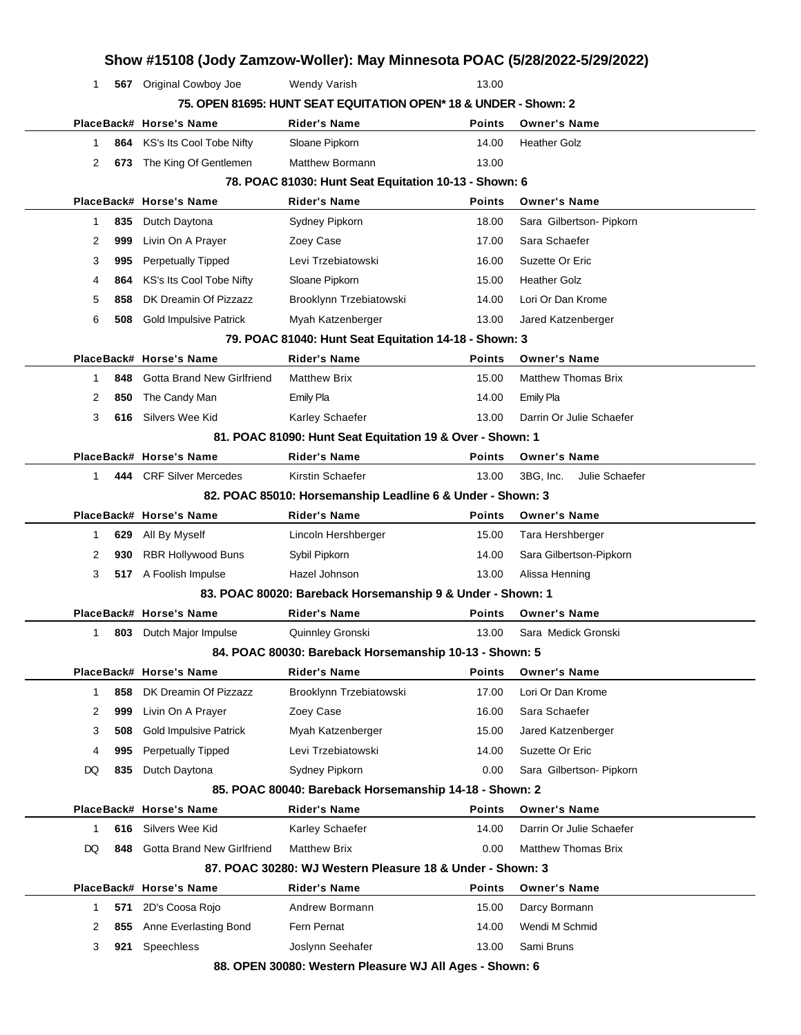| 1            |     | 567 Original Cowboy Joe           | <b>Wendy Varish</b>                                              | 13.00         |                             |
|--------------|-----|-----------------------------------|------------------------------------------------------------------|---------------|-----------------------------|
|              |     |                                   | 75. OPEN 81695: HUNT SEAT EQUITATION OPEN* 18 & UNDER - Shown: 2 |               |                             |
|              |     | PlaceBack# Horse's Name           | <b>Rider's Name</b>                                              | <b>Points</b> | <b>Owner's Name</b>         |
| 1            | 864 | KS's Its Cool Tobe Nifty          | Sloane Pipkorn                                                   | 14.00         | <b>Heather Golz</b>         |
| 2            | 673 | The King Of Gentlemen             | <b>Matthew Bormann</b>                                           | 13.00         |                             |
|              |     |                                   | 78. POAC 81030: Hunt Seat Equitation 10-13 - Shown: 6            |               |                             |
|              |     | PlaceBack# Horse's Name           | <b>Rider's Name</b>                                              | <b>Points</b> | <b>Owner's Name</b>         |
| 1            | 835 | Dutch Daytona                     | Sydney Pipkorn                                                   | 18.00         | Sara Gilbertson- Pipkorn    |
| 2            | 999 | Livin On A Prayer                 | Zoey Case                                                        | 17.00         | Sara Schaefer               |
| 3            | 995 | <b>Perpetually Tipped</b>         | Levi Trzebiatowski                                               | 16.00         | Suzette Or Eric             |
| 4            | 864 | KS's Its Cool Tobe Nifty          | Sloane Pipkorn                                                   | 15.00         | <b>Heather Golz</b>         |
| 5            | 858 | DK Dreamin Of Pizzazz             | Brooklynn Trzebiatowski                                          | 14.00         | Lori Or Dan Krome           |
| 6            | 508 | <b>Gold Impulsive Patrick</b>     | Myah Katzenberger                                                | 13.00         | Jared Katzenberger          |
|              |     |                                   | 79. POAC 81040: Hunt Seat Equitation 14-18 - Shown: 3            |               |                             |
|              |     | PlaceBack# Horse's Name           | <b>Rider's Name</b>                                              | <b>Points</b> | <b>Owner's Name</b>         |
| 1            | 848 | <b>Gotta Brand New Girlfriend</b> | <b>Matthew Brix</b>                                              | 15.00         | <b>Matthew Thomas Brix</b>  |
| 2            | 850 | The Candy Man                     | <b>Emily Pla</b>                                                 | 14.00         | <b>Emily Pla</b>            |
| 3            | 616 | Silvers Wee Kid                   | Karley Schaefer                                                  | 13.00         | Darrin Or Julie Schaefer    |
|              |     |                                   | 81. POAC 81090: Hunt Seat Equitation 19 & Over - Shown: 1        |               |                             |
|              |     | PlaceBack# Horse's Name           | <b>Rider's Name</b>                                              | <b>Points</b> | <b>Owner's Name</b>         |
| 1            |     | 444 CRF Silver Mercedes           | Kirstin Schaefer                                                 | 13.00         | 3BG. Inc.<br>Julie Schaefer |
|              |     |                                   | 82. POAC 85010: Horsemanship Leadline 6 & Under - Shown: 3       |               |                             |
|              |     | PlaceBack# Horse's Name           | <b>Rider's Name</b>                                              | <b>Points</b> | <b>Owner's Name</b>         |
| 1            | 629 | All By Myself                     | Lincoln Hershberger                                              | 15.00         | Tara Hershberger            |
|              |     |                                   |                                                                  |               |                             |
| 2            | 930 | <b>RBR Hollywood Buns</b>         | Sybil Pipkorn                                                    | 14.00         | Sara Gilbertson-Pipkorn     |
| 3            |     | 517 A Foolish Impulse             | Hazel Johnson                                                    | 13.00         | Alissa Henning              |
|              |     |                                   | 83. POAC 80020: Bareback Horsemanship 9 & Under - Shown: 1       |               |                             |
|              |     | PlaceBack# Horse's Name           | <b>Rider's Name</b>                                              | <b>Points</b> | <b>Owner's Name</b>         |
| 1            |     | 803 Dutch Major Impulse           | Quinnley Gronski                                                 | 13.00         | Sara Medick Gronski         |
|              |     |                                   | 84. POAC 80030: Bareback Horsemanship 10-13 - Shown: 5           |               |                             |
|              |     | PlaceBack# Horse's Name           | <b>Rider's Name</b>                                              | <b>Points</b> | <b>Owner's Name</b>         |
| $\mathbf{1}$ | 858 | DK Dreamin Of Pizzazz             | Brooklynn Trzebiatowski                                          | 17.00         | Lori Or Dan Krome           |
| 2            | 999 | Livin On A Prayer                 | Zoey Case                                                        | 16.00         | Sara Schaefer               |
| 3            | 508 | <b>Gold Impulsive Patrick</b>     | Myah Katzenberger                                                | 15.00         | Jared Katzenberger          |
| 4            | 995 | <b>Perpetually Tipped</b>         | Levi Trzebiatowski                                               | 14.00         | Suzette Or Eric             |
| DQ           | 835 | Dutch Daytona                     | Sydney Pipkorn                                                   | 0.00          | Sara Gilbertson- Pipkorn    |
|              |     |                                   | 85. POAC 80040: Bareback Horsemanship 14-18 - Shown: 2           |               |                             |
|              |     | PlaceBack# Horse's Name           | <b>Rider's Name</b>                                              | <b>Points</b> | <b>Owner's Name</b>         |
| $\mathbf{1}$ | 616 | Silvers Wee Kid                   | Karley Schaefer                                                  | 14.00         | Darrin Or Julie Schaefer    |
| DQ           | 848 | <b>Gotta Brand New Girlfriend</b> | <b>Matthew Brix</b>                                              | 0.00          | <b>Matthew Thomas Brix</b>  |
|              |     |                                   | 87. POAC 30280: WJ Western Pleasure 18 & Under - Shown: 3        |               |                             |
|              |     | PlaceBack# Horse's Name           | <b>Rider's Name</b>                                              | <b>Points</b> | <b>Owner's Name</b>         |
| 1            | 571 | 2D's Coosa Rojo                   | Andrew Bormann                                                   | 15.00         | Darcy Bormann               |
| 2            | 855 | Anne Everlasting Bond             | Fern Pernat                                                      | 14.00         | Wendi M Schmid              |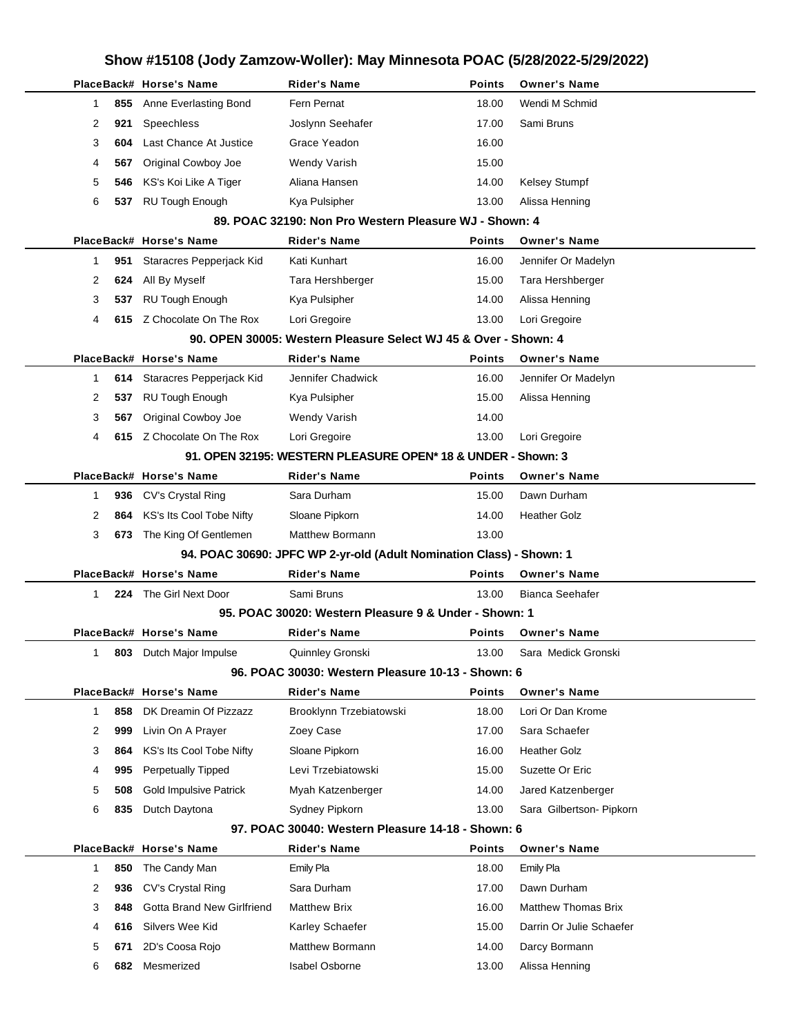| Show #15108 (Jody Zamzow-Woller): May Minnesota POAC (5/28/2022-5/29/2022) |     |                                                |                                                                      |                 |                                            |  |
|----------------------------------------------------------------------------|-----|------------------------------------------------|----------------------------------------------------------------------|-----------------|--------------------------------------------|--|
|                                                                            |     | PlaceBack# Horse's Name                        | <b>Rider's Name</b>                                                  | <b>Points</b>   | <b>Owner's Name</b>                        |  |
| 1                                                                          | 855 | Anne Everlasting Bond                          | Fern Pernat                                                          | 18.00           | Wendi M Schmid                             |  |
| 2                                                                          | 921 | Speechless                                     | Joslynn Seehafer                                                     | 17.00           | Sami Bruns                                 |  |
| 3                                                                          | 604 | Last Chance At Justice                         | Grace Yeadon                                                         | 16.00           |                                            |  |
| 4                                                                          | 567 | Original Cowboy Joe                            | Wendy Varish                                                         | 15.00           |                                            |  |
| 5                                                                          | 546 | KS's Koi Like A Tiger                          | Aliana Hansen                                                        | 14.00           | <b>Kelsey Stumpf</b>                       |  |
| 6                                                                          | 537 | <b>RU Tough Enough</b>                         | Kya Pulsipher                                                        | 13.00           | Alissa Henning                             |  |
|                                                                            |     |                                                | 89. POAC 32190: Non Pro Western Pleasure WJ - Shown: 4               |                 |                                            |  |
|                                                                            |     | PlaceBack# Horse's Name                        | <b>Rider's Name</b>                                                  | <b>Points</b>   | <b>Owner's Name</b>                        |  |
| 1                                                                          | 951 | Staracres Pepperjack Kid                       | Kati Kunhart                                                         | 16.00           | Jennifer Or Madelyn                        |  |
| 2                                                                          | 624 | All By Myself                                  | Tara Hershberger                                                     | 15.00           | Tara Hershberger                           |  |
| 3                                                                          | 537 | <b>RU Tough Enough</b>                         | Kya Pulsipher                                                        | 14.00           | Alissa Henning                             |  |
| 4                                                                          |     | 615 Z Chocolate On The Rox                     | Lori Gregoire                                                        | 13.00           | Lori Gregoire                              |  |
|                                                                            |     |                                                | 90. OPEN 30005: Western Pleasure Select WJ 45 & Over - Shown: 4      |                 |                                            |  |
|                                                                            |     | PlaceBack# Horse's Name                        | <b>Rider's Name</b>                                                  | <b>Points</b>   | <b>Owner's Name</b>                        |  |
| 1.                                                                         | 614 | Staracres Pepperjack Kid                       | Jennifer Chadwick                                                    | 16.00           | Jennifer Or Madelyn                        |  |
| 2                                                                          | 537 | <b>RU Tough Enough</b>                         | Kya Pulsipher                                                        | 15.00           | Alissa Henning                             |  |
| 3                                                                          | 567 | Original Cowboy Joe                            | <b>Wendy Varish</b>                                                  | 14.00           |                                            |  |
| 4                                                                          |     | 615 Z Chocolate On The Rox                     | Lori Gregoire                                                        | 13.00           | Lori Gregoire                              |  |
|                                                                            |     |                                                | 91. OPEN 32195: WESTERN PLEASURE OPEN* 18 & UNDER - Shown: 3         |                 |                                            |  |
|                                                                            |     | PlaceBack# Horse's Name                        | <b>Rider's Name</b>                                                  | <b>Points</b>   | <b>Owner's Name</b>                        |  |
| 1.                                                                         | 936 | CV's Crystal Ring                              | Sara Durham                                                          | 15.00           | Dawn Durham                                |  |
| 2                                                                          | 864 | KS's Its Cool Tobe Nifty                       | Sloane Pipkorn                                                       | 14.00           | Heather Golz                               |  |
| 3                                                                          | 673 | The King Of Gentlemen                          | <b>Matthew Bormann</b>                                               | 13.00           |                                            |  |
|                                                                            |     |                                                | 94. POAC 30690: JPFC WP 2-yr-old (Adult Nomination Class) - Shown: 1 |                 |                                            |  |
|                                                                            |     | PlaceBack# Horse's Name                        | <b>Rider's Name</b>                                                  | <b>Points</b>   | <b>Owner's Name</b>                        |  |
| 1                                                                          |     | 224 The Girl Next Door                         | Sami Bruns                                                           | 13.00           | Bianca Seehafer                            |  |
|                                                                            |     |                                                | 95. POAC 30020: Western Pleasure 9 & Under - Shown: 1                |                 |                                            |  |
| $\mathbf{1}$                                                               | 803 | PlaceBack# Horse's Name<br>Dutch Major Impulse | Rider's Name<br>Quinnley Gronski                                     | Points<br>13.00 | <b>Owner's Name</b><br>Sara Medick Gronski |  |
|                                                                            |     |                                                | 96. POAC 30030: Western Pleasure 10-13 - Shown: 6                    |                 |                                            |  |
|                                                                            |     | PlaceBack# Horse's Name                        | <b>Rider's Name</b>                                                  | <b>Points</b>   | <b>Owner's Name</b>                        |  |
| 1                                                                          | 858 | DK Dreamin Of Pizzazz                          | Brooklynn Trzebiatowski                                              | 18.00           | Lori Or Dan Krome                          |  |
| 2                                                                          | 999 | Livin On A Prayer                              | Zoey Case                                                            | 17.00           | Sara Schaefer                              |  |
| 3                                                                          | 864 | KS's Its Cool Tobe Nifty                       | Sloane Pipkorn                                                       | 16.00           | <b>Heather Golz</b>                        |  |
| 4                                                                          | 995 | <b>Perpetually Tipped</b>                      | Levi Trzebiatowski                                                   | 15.00           | Suzette Or Eric                            |  |
| 5                                                                          | 508 | <b>Gold Impulsive Patrick</b>                  | Myah Katzenberger                                                    | 14.00           | Jared Katzenberger                         |  |
| 6                                                                          | 835 | Dutch Daytona                                  | Sydney Pipkorn                                                       | 13.00           | Sara Gilbertson- Pipkorn                   |  |
|                                                                            |     |                                                | 97. POAC 30040: Western Pleasure 14-18 - Shown: 6                    |                 |                                            |  |
|                                                                            |     | PlaceBack# Horse's Name                        | <b>Rider's Name</b>                                                  | <b>Points</b>   | <b>Owner's Name</b>                        |  |
| 1                                                                          | 850 | The Candy Man                                  | Emily Pla                                                            | 18.00           | Emily Pla                                  |  |
| 2                                                                          | 936 | CV's Crystal Ring                              | Sara Durham                                                          | 17.00           | Dawn Durham                                |  |
| 3                                                                          | 848 | Gotta Brand New Girlfriend                     | <b>Matthew Brix</b>                                                  | 16.00           | <b>Matthew Thomas Brix</b>                 |  |
| 4                                                                          | 616 | Silvers Wee Kid                                | Karley Schaefer                                                      | 15.00           | Darrin Or Julie Schaefer                   |  |
| 5                                                                          | 671 | 2D's Coosa Rojo                                | <b>Matthew Bormann</b>                                               | 14.00           | Darcy Bormann                              |  |
| 6                                                                          | 682 | Mesmerized                                     | <b>Isabel Osborne</b>                                                | 13.00           | Alissa Henning                             |  |
|                                                                            |     |                                                |                                                                      |                 |                                            |  |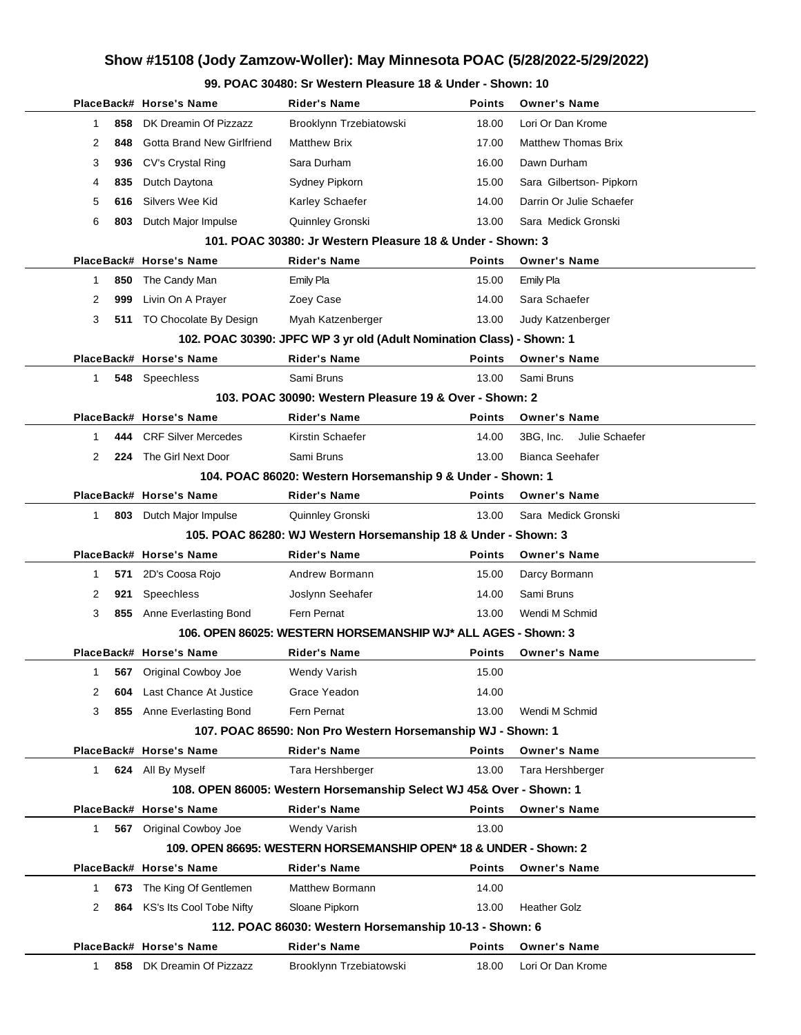### **99. POAC 30480: Sr Western Pleasure 18 & Under - Shown: 10**

|          | PlaceBack# Horse's Name           | <b>Rider's Name</b>                                                   | <b>Points</b> | <b>Owner's Name</b>         |
|----------|-----------------------------------|-----------------------------------------------------------------------|---------------|-----------------------------|
| 1        | DK Dreamin Of Pizzazz<br>858      | Brooklynn Trzebiatowski                                               | 18.00         | Lori Or Dan Krome           |
| 2        | Gotta Brand New Girlfriend<br>848 | <b>Matthew Brix</b>                                                   | 17.00         | <b>Matthew Thomas Brix</b>  |
| 3<br>936 | CV's Crystal Ring                 | Sara Durham                                                           | 16.00         | Dawn Durham                 |
| 835<br>4 | Dutch Daytona                     | Sydney Pipkorn                                                        | 15.00         | Sara Gilbertson- Pipkorn    |
| 5<br>616 | Silvers Wee Kid                   | Karley Schaefer                                                       | 14.00         | Darrin Or Julie Schaefer    |
| 6        | 803<br>Dutch Major Impulse        | Quinnley Gronski                                                      | 13.00         | Sara Medick Gronski         |
|          |                                   | 101, POAC 30380: Jr Western Pleasure 18 & Under - Shown: 3            |               |                             |
|          | PlaceBack# Horse's Name           | <b>Rider's Name</b>                                                   | <b>Points</b> | <b>Owner's Name</b>         |
| 1        | 850<br>The Candy Man              | <b>Emily Pla</b>                                                      | 15.00         | <b>Emily Pla</b>            |
| 2<br>999 | Livin On A Prayer                 | Zoey Case                                                             | 14.00         | Sara Schaefer               |
| 3        | 511 TO Chocolate By Design        | Myah Katzenberger                                                     | 13.00         | Judy Katzenberger           |
|          |                                   | 102. POAC 30390: JPFC WP 3 yr old (Adult Nomination Class) - Shown: 1 |               |                             |
|          | PlaceBack# Horse's Name           | <b>Rider's Name</b>                                                   | <b>Points</b> | <b>Owner's Name</b>         |
| 1        | 548<br>Speechless                 | Sami Bruns                                                            | 13.00         | Sami Bruns                  |
|          |                                   | 103. POAC 30090: Western Pleasure 19 & Over - Shown: 2                |               |                             |
|          | PlaceBack# Horse's Name           | <b>Rider's Name</b>                                                   | <b>Points</b> | <b>Owner's Name</b>         |
| 1        | <b>CRF Silver Mercedes</b><br>444 | Kirstin Schaefer                                                      | 14.00         | Julie Schaefer<br>3BG, Inc. |
| 2        | The Girl Next Door<br>224         | Sami Bruns                                                            | 13.00         | <b>Bianca Seehafer</b>      |
|          |                                   | 104. POAC 86020: Western Horsemanship 9 & Under - Shown: 1            |               |                             |
|          | PlaceBack# Horse's Name           | <b>Rider's Name</b>                                                   | <b>Points</b> | <b>Owner's Name</b>         |
| 1        | 803 Dutch Major Impulse           | Quinnley Gronski                                                      | 13.00         | Sara Medick Gronski         |
|          |                                   | 105. POAC 86280: WJ Western Horsemanship 18 & Under - Shown: 3        |               |                             |
|          | PlaceBack# Horse's Name           | <b>Rider's Name</b>                                                   | Points        | <b>Owner's Name</b>         |
| 1        | 571<br>2D's Coosa Rojo            | Andrew Bormann                                                        | 15.00         | Darcy Bormann               |
| 2<br>921 | Speechless                        | Joslynn Seehafer                                                      | 14.00         | Sami Bruns                  |
| 3        | Anne Everlasting Bond<br>855      | Fern Pernat                                                           | 13.00         | Wendi M Schmid              |
|          |                                   | 106. OPEN 86025: WESTERN HORSEMANSHIP WJ* ALL AGES - Shown: 3         |               |                             |
|          | PlaceBack# Horse's Name           | <b>Rider's Name</b>                                                   | <b>Points</b> | <b>Owner's Name</b>         |
| 1        | 567 Original Cowboy Joe           | Wendy Varish                                                          | 15.00         |                             |
| 2        | Last Chance At Justice<br>604     | Grace Yeadon                                                          | 14.00         |                             |
| 3<br>855 | Anne Everlasting Bond             | Fern Pernat                                                           | 13.00         | Wendi M Schmid              |
|          |                                   | 107. POAC 86590: Non Pro Western Horsemanship WJ - Shown: 1           |               |                             |
|          | PlaceBack# Horse's Name           | <b>Rider's Name</b>                                                   | <b>Points</b> | <b>Owner's Name</b>         |
| 1.       | 624 All By Myself                 | Tara Hershberger                                                      | 13.00         | Tara Hershberger            |
|          |                                   | 108. OPEN 86005: Western Horsemanship Select WJ 45& Over - Shown: 1   |               |                             |
|          | PlaceBack# Horse's Name           | <b>Rider's Name</b>                                                   | <b>Points</b> | <b>Owner's Name</b>         |
| 1        | 567 Original Cowboy Joe           | <b>Wendy Varish</b>                                                   | 13.00         |                             |
|          |                                   | 109. OPEN 86695: WESTERN HORSEMANSHIP OPEN* 18 & UNDER - Shown: 2     |               |                             |
|          | PlaceBack# Horse's Name           | <b>Rider's Name</b>                                                   | Points        | <b>Owner's Name</b>         |
| 1        | The King Of Gentlemen<br>673      | <b>Matthew Bormann</b>                                                | 14.00         |                             |
| 2        | KS's Its Cool Tobe Nifty<br>864   | Sloane Pipkorn                                                        | 13.00         | <b>Heather Golz</b>         |
|          |                                   | 112. POAC 86030: Western Horsemanship 10-13 - Shown: 6                |               |                             |
|          | PlaceBack# Horse's Name           | <b>Rider's Name</b>                                                   | <b>Points</b> | <b>Owner's Name</b>         |
| 1        | DK Dreamin Of Pizzazz<br>858      | Brooklynn Trzebiatowski                                               | 18.00         | Lori Or Dan Krome           |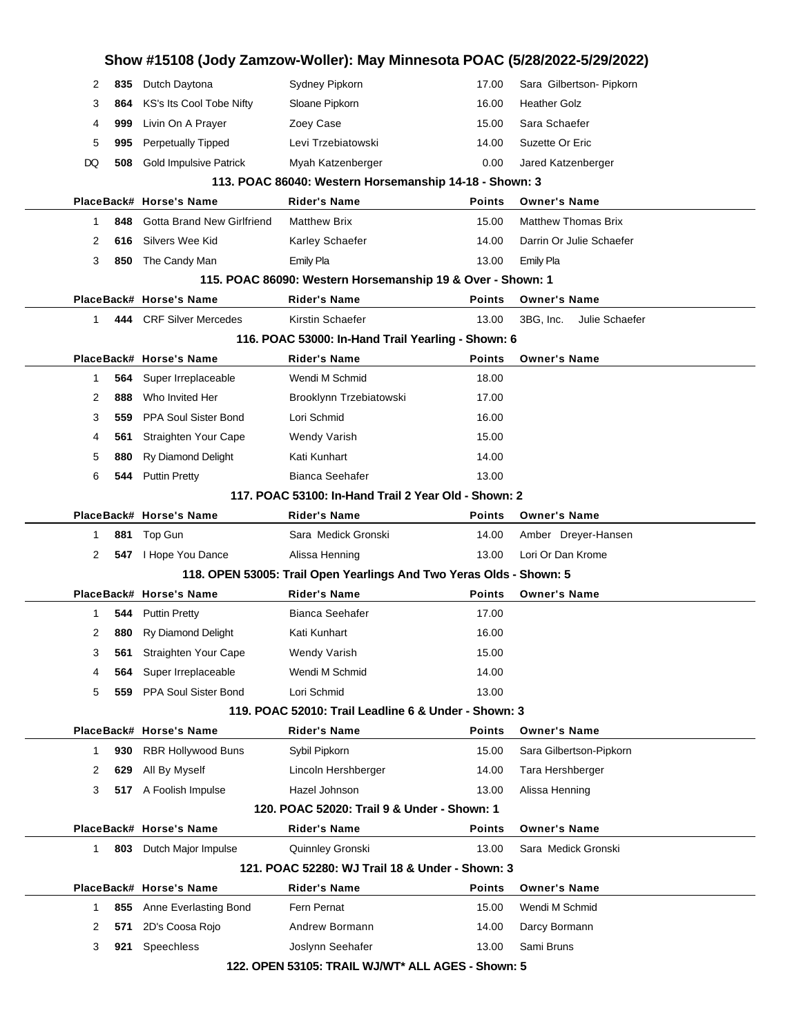|    |     |                               | Show #15108 (Jody Zamzow-Woller): May Minnesota POAC (5/28/2022-5/29/2022) |               |                             |  |
|----|-----|-------------------------------|----------------------------------------------------------------------------|---------------|-----------------------------|--|
| 2  | 835 | Dutch Daytona                 | Sydney Pipkorn                                                             | 17.00         | Sara Gilbertson- Pipkorn    |  |
| 3  | 864 | KS's Its Cool Tobe Nifty      | Sloane Pipkorn                                                             | 16.00         | <b>Heather Golz</b>         |  |
| 4  | 999 | Livin On A Prayer             | Zoey Case                                                                  | 15.00         | Sara Schaefer               |  |
| 5  | 995 | <b>Perpetually Tipped</b>     | Levi Trzebiatowski                                                         | 14.00         | Suzette Or Eric             |  |
| DQ | 508 | <b>Gold Impulsive Patrick</b> | Myah Katzenberger                                                          | 0.00          | Jared Katzenberger          |  |
|    |     |                               | 113. POAC 86040: Western Horsemanship 14-18 - Shown: 3                     |               |                             |  |
|    |     | PlaceBack# Horse's Name       | <b>Rider's Name</b>                                                        | Points        | <b>Owner's Name</b>         |  |
| 1  | 848 | Gotta Brand New Girlfriend    | <b>Matthew Brix</b>                                                        | 15.00         | <b>Matthew Thomas Brix</b>  |  |
| 2  | 616 | Silvers Wee Kid               | Karley Schaefer                                                            | 14.00         | Darrin Or Julie Schaefer    |  |
| 3  | 850 | The Candy Man                 | Emily Pla                                                                  | 13.00         | Emily Pla                   |  |
|    |     |                               | 115. POAC 86090: Western Horsemanship 19 & Over - Shown: 1                 |               |                             |  |
|    |     | PlaceBack# Horse's Name       | <b>Rider's Name</b>                                                        | <b>Points</b> | <b>Owner's Name</b>         |  |
| 1  |     | 444 CRF Silver Mercedes       | Kirstin Schaefer                                                           | 13.00         | Julie Schaefer<br>3BG. Inc. |  |
|    |     |                               | 116. POAC 53000: In-Hand Trail Yearling - Shown: 6                         |               |                             |  |
|    |     | PlaceBack# Horse's Name       | <b>Rider's Name</b>                                                        | <b>Points</b> | <b>Owner's Name</b>         |  |
| 1  | 564 | Super Irreplaceable           | Wendi M Schmid                                                             | 18.00         |                             |  |
| 2  | 888 | Who Invited Her               | Brooklynn Trzebiatowski                                                    | 17.00         |                             |  |
| 3  | 559 | PPA Soul Sister Bond          | Lori Schmid                                                                | 16.00         |                             |  |
| 4  | 561 | Straighten Your Cape          | Wendy Varish                                                               | 15.00         |                             |  |
| 5  | 880 | <b>Ry Diamond Delight</b>     | Kati Kunhart                                                               | 14.00         |                             |  |
| 6  | 544 | <b>Puttin Pretty</b>          | <b>Bianca Seehafer</b>                                                     | 13.00         |                             |  |
|    |     |                               | 117, POAC 53100: In-Hand Trail 2 Year Old - Shown: 2                       |               |                             |  |
|    |     | PlaceBack# Horse's Name       | Rider's Name                                                               | Points        | <b>Owner's Name</b>         |  |
| 1  | 881 | Top Gun                       | Sara Medick Gronski                                                        | 14.00         | Amber Dreyer-Hansen         |  |
| 2  |     | 547   Hope You Dance          | Alissa Henning                                                             | 13.00         | Lori Or Dan Krome           |  |
|    |     |                               | 118. OPEN 53005: Trail Open Yearlings And Two Yeras Olds - Shown: 5        |               |                             |  |
|    |     | PlaceBack# Horse's Name       | Rider's Name                                                               | Points        | <b>Owner's Name</b>         |  |
| 1  | 544 | <b>Puttin Pretty</b>          | <b>Bianca Seehafer</b>                                                     | 17.00         |                             |  |
| 2  | 880 | <b>Ry Diamond Delight</b>     | Kati Kunhart                                                               | 16.00         |                             |  |
| 3  | 561 | Straighten Your Cape          | <b>Wendy Varish</b>                                                        | 15.00         |                             |  |
| 4  | 564 | Super Irreplaceable           | Wendi M Schmid                                                             | 14.00         |                             |  |
| 5  | 559 | PPA Soul Sister Bond          | Lori Schmid                                                                | 13.00         |                             |  |
|    |     |                               | 119. POAC 52010: Trail Leadline 6 & Under - Shown: 3                       |               |                             |  |
|    |     | PlaceBack# Horse's Name       | <b>Rider's Name</b>                                                        | <b>Points</b> | <b>Owner's Name</b>         |  |
| 1  | 930 | RBR Hollywood Buns            | Sybil Pipkorn                                                              | 15.00         | Sara Gilbertson-Pipkorn     |  |
| 2  | 629 | All By Myself                 | Lincoln Hershberger                                                        | 14.00         | Tara Hershberger            |  |
| 3  |     | 517 A Foolish Impulse         | Hazel Johnson                                                              | 13.00         | Alissa Henning              |  |
|    |     |                               | 120. POAC 52020: Trail 9 & Under - Shown: 1                                |               |                             |  |
|    |     | PlaceBack# Horse's Name       | Rider's Name                                                               | Points        | <b>Owner's Name</b>         |  |
| 1  | 803 | Dutch Major Impulse           | Quinnley Gronski                                                           | 13.00         | Sara Medick Gronski         |  |
|    |     |                               | 121. POAC 52280: WJ Trail 18 & Under - Shown: 3                            |               |                             |  |
|    |     | PlaceBack# Horse's Name       | <b>Rider's Name</b>                                                        | Points        | <b>Owner's Name</b>         |  |
| 1  | 855 | Anne Everlasting Bond         | Fern Pernat                                                                | 15.00         | Wendi M Schmid              |  |
| 2  | 571 | 2D's Coosa Rojo               | Andrew Bormann                                                             | 14.00         | Darcy Bormann               |  |
| 3  | 921 | Speechless                    | Joslynn Seehafer                                                           | 13.00         | Sami Bruns                  |  |
|    |     |                               | 122. OPEN 53105: TRAIL WJ/WT* ALL AGES - Shown: 5                          |               |                             |  |
|    |     |                               |                                                                            |               |                             |  |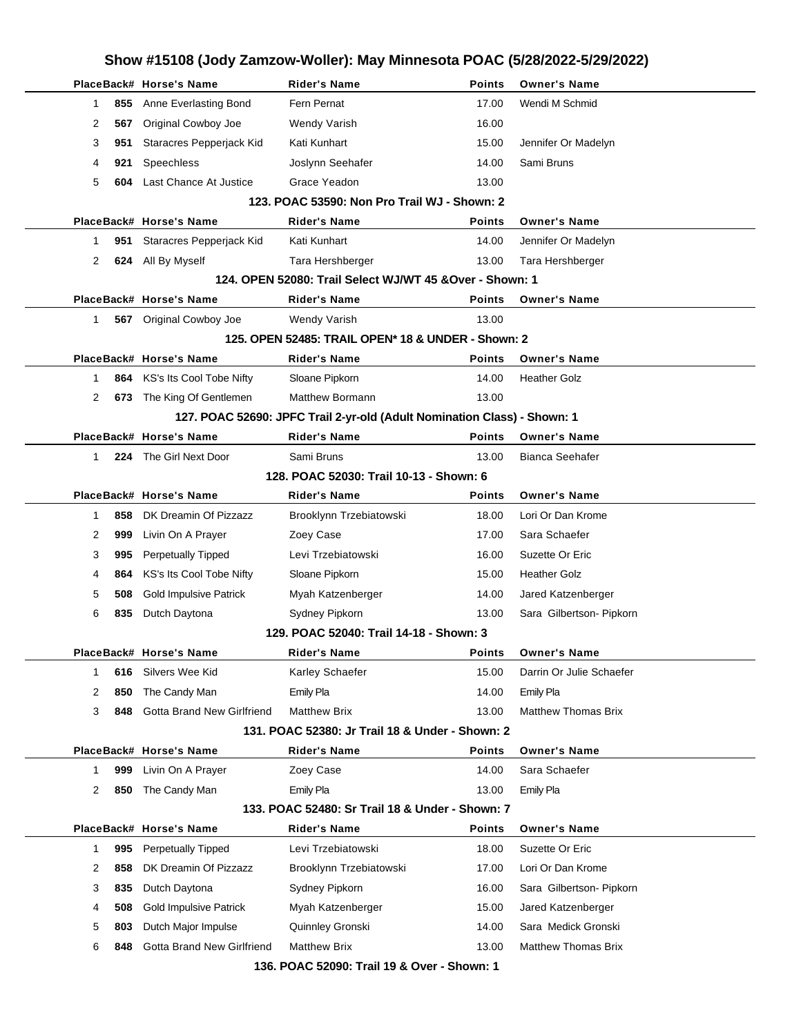|             |                                                          | Show #15108 (Jody Zamzow-Woller): May Minnesota POAC (5/28/2022-5/29/2022) |                                                                          |               |                            |  |  |  |  |
|-------------|----------------------------------------------------------|----------------------------------------------------------------------------|--------------------------------------------------------------------------|---------------|----------------------------|--|--|--|--|
|             |                                                          | PlaceBack# Horse's Name                                                    | <b>Rider's Name</b>                                                      | <b>Points</b> | <b>Owner's Name</b>        |  |  |  |  |
| 1           | 855                                                      | Anne Everlasting Bond                                                      | Fern Pernat                                                              | 17.00         | Wendi M Schmid             |  |  |  |  |
| 2           | 567                                                      | Original Cowboy Joe                                                        | Wendy Varish                                                             | 16.00         |                            |  |  |  |  |
| 3           | 951                                                      | Staracres Pepperjack Kid                                                   | Kati Kunhart                                                             | 15.00         | Jennifer Or Madelyn        |  |  |  |  |
| 4           | 921                                                      | Speechless                                                                 | Joslynn Seehafer                                                         | 14.00         | Sami Bruns                 |  |  |  |  |
| 5           | 604                                                      | Last Chance At Justice                                                     | Grace Yeadon                                                             | 13.00         |                            |  |  |  |  |
|             |                                                          |                                                                            | 123. POAC 53590: Non Pro Trail WJ - Shown: 2                             |               |                            |  |  |  |  |
|             |                                                          | PlaceBack# Horse's Name                                                    | <b>Rider's Name</b>                                                      | <b>Points</b> | <b>Owner's Name</b>        |  |  |  |  |
| 1           | 951                                                      | Staracres Pepperjack Kid                                                   | Kati Kunhart                                                             | 14.00         | Jennifer Or Madelyn        |  |  |  |  |
| 2           | 624                                                      | All By Myself                                                              | Tara Hershberger                                                         | 13.00         | Tara Hershberger           |  |  |  |  |
|             | 124. OPEN 52080: Trail Select WJ/WT 45 & Over - Shown: 1 |                                                                            |                                                                          |               |                            |  |  |  |  |
|             |                                                          | PlaceBack# Horse's Name                                                    | <b>Rider's Name</b>                                                      | <b>Points</b> | <b>Owner's Name</b>        |  |  |  |  |
| 1           |                                                          | 567 Original Cowboy Joe                                                    | Wendy Varish                                                             | 13.00         |                            |  |  |  |  |
|             |                                                          |                                                                            | 125. OPEN 52485: TRAIL OPEN* 18 & UNDER - Shown: 2                       |               |                            |  |  |  |  |
|             |                                                          | PlaceBack# Horse's Name                                                    | Rider's Name                                                             | <b>Points</b> | <b>Owner's Name</b>        |  |  |  |  |
| 1           | 864                                                      | KS's Its Cool Tobe Nifty                                                   | Sloane Pipkorn                                                           | 14.00         | <b>Heather Golz</b>        |  |  |  |  |
| 2           |                                                          | 673 The King Of Gentlemen                                                  | Matthew Bormann                                                          | 13.00         |                            |  |  |  |  |
|             |                                                          |                                                                            | 127. POAC 52690: JPFC Trail 2-yr-old (Adult Nomination Class) - Shown: 1 |               |                            |  |  |  |  |
|             |                                                          | PlaceBack# Horse's Name                                                    | <b>Rider's Name</b>                                                      | <b>Points</b> | <b>Owner's Name</b>        |  |  |  |  |
| 1           |                                                          | 224 The Girl Next Door                                                     | Sami Bruns                                                               | 13.00         | <b>Bianca Seehafer</b>     |  |  |  |  |
|             |                                                          |                                                                            | 128. POAC 52030: Trail 10-13 - Shown: 6                                  |               |                            |  |  |  |  |
|             |                                                          | PlaceBack# Horse's Name                                                    | <b>Rider's Name</b>                                                      | <b>Points</b> | <b>Owner's Name</b>        |  |  |  |  |
| 1           | 858                                                      | DK Dreamin Of Pizzazz                                                      | Brooklynn Trzebiatowski                                                  | 18.00         | Lori Or Dan Krome          |  |  |  |  |
| 2           | 999                                                      | Livin On A Prayer                                                          | Zoey Case                                                                | 17.00         | Sara Schaefer              |  |  |  |  |
| 3           | 995                                                      | Perpetually Tipped                                                         | Levi Trzebiatowski                                                       | 16.00         | Suzette Or Eric            |  |  |  |  |
| 4           | 864                                                      | KS's Its Cool Tobe Nifty                                                   | Sloane Pipkorn                                                           | 15.00         | <b>Heather Golz</b>        |  |  |  |  |
| 5           | 508                                                      | <b>Gold Impulsive Patrick</b>                                              | Myah Katzenberger                                                        | 14.00         | Jared Katzenberger         |  |  |  |  |
| 6           | 835                                                      | Dutch Daytona                                                              | Sydney Pipkorn                                                           | 13.00         | Sara Gilbertson- Pipkorn   |  |  |  |  |
|             |                                                          |                                                                            | 129. POAC 52040: Trail 14-18 - Shown: 3                                  |               |                            |  |  |  |  |
|             |                                                          | PlaceBack# Horse's Name                                                    | <b>Rider's Name</b>                                                      | <b>Points</b> | <b>Owner's Name</b>        |  |  |  |  |
| 1           | 616                                                      | Silvers Wee Kid                                                            | Karley Schaefer                                                          | 15.00         | Darrin Or Julie Schaefer   |  |  |  |  |
| 2           | 850                                                      | The Candy Man                                                              | Emily Pla                                                                | 14.00         | <b>Emily Pla</b>           |  |  |  |  |
| 3           | 848                                                      | Gotta Brand New Girlfriend                                                 | <b>Matthew Brix</b>                                                      | 13.00         | <b>Matthew Thomas Brix</b> |  |  |  |  |
|             |                                                          |                                                                            | 131. POAC 52380: Jr Trail 18 & Under - Shown: 2                          |               |                            |  |  |  |  |
|             |                                                          | PlaceBack# Horse's Name                                                    | Rider's Name                                                             | <b>Points</b> | <b>Owner's Name</b>        |  |  |  |  |
| $\mathbf 1$ | 999                                                      | Livin On A Prayer                                                          | Zoey Case                                                                | 14.00         | Sara Schaefer              |  |  |  |  |
| 2           | 850                                                      | The Candy Man                                                              | Emily Pla                                                                | 13.00         | Emily Pla                  |  |  |  |  |
|             |                                                          |                                                                            | 133, POAC 52480: Sr Trail 18 & Under - Shown: 7                          |               |                            |  |  |  |  |
|             |                                                          | PlaceBack# Horse's Name                                                    | <b>Rider's Name</b>                                                      | <b>Points</b> | <b>Owner's Name</b>        |  |  |  |  |
| $\mathbf 1$ | 995                                                      | <b>Perpetually Tipped</b>                                                  | Levi Trzebiatowski                                                       | 18.00         | Suzette Or Eric            |  |  |  |  |
| 2           | 858                                                      | DK Dreamin Of Pizzazz                                                      | Brooklynn Trzebiatowski                                                  | 17.00         | Lori Or Dan Krome          |  |  |  |  |
| 3           | 835                                                      | Dutch Daytona                                                              | Sydney Pipkorn                                                           | 16.00         | Sara Gilbertson- Pipkorn   |  |  |  |  |
| 4           | 508                                                      | <b>Gold Impulsive Patrick</b>                                              | Myah Katzenberger                                                        | 15.00         | Jared Katzenberger         |  |  |  |  |
| 5           | 803                                                      | Dutch Major Impulse                                                        | Quinnley Gronski                                                         | 14.00         | Sara Medick Gronski        |  |  |  |  |
| 6           | 848                                                      | Gotta Brand New Girlfriend                                                 | <b>Matthew Brix</b>                                                      | 13.00         | <b>Matthew Thomas Brix</b> |  |  |  |  |
|             |                                                          |                                                                            | 136. POAC 52090: Trail 19 & Over - Shown: 1                              |               |                            |  |  |  |  |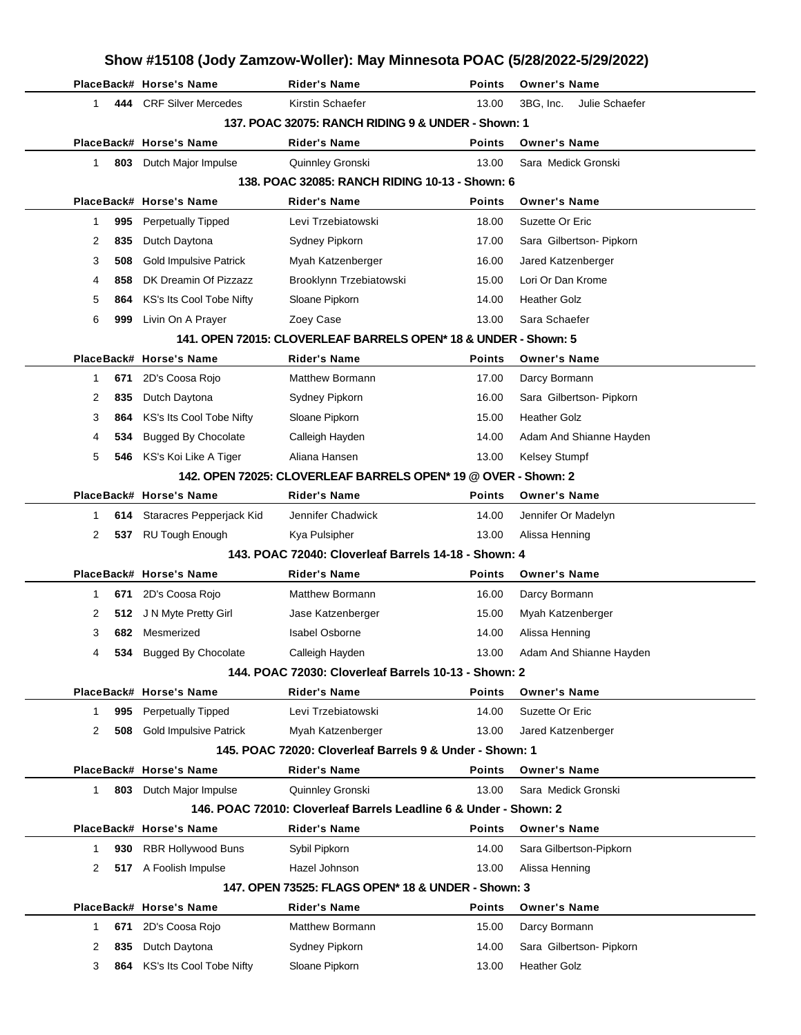| Show #15108 (Jody Zamzow-Woller): May Minnesota POAC (5/28/2022-5/29/2022) |                                                      |                                                                                          |                |                                      |  |  |
|----------------------------------------------------------------------------|------------------------------------------------------|------------------------------------------------------------------------------------------|----------------|--------------------------------------|--|--|
|                                                                            | PlaceBack# Horse's Name                              | <b>Rider's Name</b>                                                                      | Points         | <b>Owner's Name</b>                  |  |  |
| 1.                                                                         | 444 CRF Silver Mercedes                              | Kirstin Schaefer                                                                         | 13.00          | Julie Schaefer<br>3BG, Inc.          |  |  |
|                                                                            |                                                      | 137, POAC 32075: RANCH RIDING 9 & UNDER - Shown: 1                                       |                |                                      |  |  |
|                                                                            | PlaceBack# Horse's Name                              | Rider's Name                                                                             | <b>Points</b>  | <b>Owner's Name</b>                  |  |  |
| 1<br>803                                                                   | Dutch Major Impulse                                  | Quinnley Gronski                                                                         | 13.00          | Sara Medick Gronski                  |  |  |
|                                                                            |                                                      | 138. POAC 32085: RANCH RIDING 10-13 - Shown: 6                                           |                |                                      |  |  |
|                                                                            | PlaceBack# Horse's Name                              | Rider's Name                                                                             | Points         | <b>Owner's Name</b>                  |  |  |
| 995<br>1                                                                   | <b>Perpetually Tipped</b>                            | Levi Trzebiatowski                                                                       | 18.00          | Suzette Or Eric                      |  |  |
| 2<br>835                                                                   | Dutch Daytona                                        | Sydney Pipkorn                                                                           | 17.00          | Sara Gilbertson- Pipkorn             |  |  |
| 3<br>508                                                                   | <b>Gold Impulsive Patrick</b>                        | Myah Katzenberger                                                                        | 16.00          | Jared Katzenberger                   |  |  |
| 858<br>4                                                                   | DK Dreamin Of Pizzazz                                | Brooklynn Trzebiatowski                                                                  | 15.00          | Lori Or Dan Krome                    |  |  |
| 5<br>864                                                                   | KS's Its Cool Tobe Nifty                             | Sloane Pipkorn                                                                           | 14.00          | <b>Heather Golz</b>                  |  |  |
| 6<br>999                                                                   | Livin On A Prayer                                    | Zoey Case                                                                                | 13.00          | Sara Schaefer                        |  |  |
|                                                                            |                                                      | 141. OPEN 72015: CLOVERLEAF BARRELS OPEN* 18 & UNDER - Shown: 5                          |                |                                      |  |  |
|                                                                            | PlaceBack# Horse's Name                              | <b>Rider's Name</b>                                                                      | <b>Points</b>  | <b>Owner's Name</b>                  |  |  |
| 671<br>1                                                                   | 2D's Coosa Rojo                                      | Matthew Bormann                                                                          | 17.00          | Darcy Bormann                        |  |  |
| 2<br>835                                                                   | Dutch Daytona                                        | Sydney Pipkorn                                                                           | 16.00          | Sara Gilbertson- Pipkorn             |  |  |
| 3<br>864                                                                   | KS's Its Cool Tobe Nifty                             | Sloane Pipkorn                                                                           | 15.00          | <b>Heather Golz</b>                  |  |  |
| 4<br>534                                                                   | <b>Bugged By Chocolate</b>                           | Calleigh Hayden                                                                          | 14.00          | Adam And Shianne Hayden              |  |  |
| 5                                                                          | 546 KS's Koi Like A Tiger                            | Aliana Hansen                                                                            | 13.00          | <b>Kelsey Stumpf</b>                 |  |  |
|                                                                            |                                                      | 142. OPEN 72025: CLOVERLEAF BARRELS OPEN* 19 @ OVER - Shown: 2                           |                |                                      |  |  |
|                                                                            | PlaceBack# Horse's Name                              | <b>Rider's Name</b>                                                                      | Points         | <b>Owner's Name</b>                  |  |  |
| 1                                                                          | 614 Staracres Pepperjack Kid                         | Jennifer Chadwick                                                                        | 14.00          | Jennifer Or Madelyn                  |  |  |
| 2<br>537                                                                   | <b>RU Tough Enough</b>                               | Kya Pulsipher                                                                            | 13.00          | Alissa Henning                       |  |  |
|                                                                            |                                                      | 143. POAC 72040: Cloverleaf Barrels 14-18 - Shown: 4                                     |                |                                      |  |  |
|                                                                            | PlaceBack# Horse's Name                              | Rider's Name                                                                             | Points         | <b>Owner's Name</b>                  |  |  |
| 671<br>1                                                                   | 2D's Coosa Rojo                                      | <b>Matthew Bormann</b>                                                                   | 16.00          | Darcy Bormann                        |  |  |
| 2                                                                          | 512 J N Myte Pretty Girl                             | Jase Katzenberger                                                                        | 15.00          | Myah Katzenberger                    |  |  |
| 3                                                                          | 682 Mesmerized                                       | Isabel Osborne                                                                           | 14.00          | Alissa Henning                       |  |  |
| 4                                                                          | 534 Bugged By Chocolate                              | Calleigh Hayden                                                                          | 13.00          | Adam And Shianne Hayden              |  |  |
|                                                                            |                                                      | 144. POAC 72030: Cloverleaf Barrels 10-13 - Shown: 2                                     |                |                                      |  |  |
|                                                                            | PlaceBack# Horse's Name                              | <b>Rider's Name</b>                                                                      | Points         | <b>Owner's Name</b>                  |  |  |
| 995<br>1                                                                   | <b>Perpetually Tipped</b>                            | Levi Trzebiatowski                                                                       | 14.00          | Suzette Or Eric                      |  |  |
| 2<br>508                                                                   | <b>Gold Impulsive Patrick</b>                        | Myah Katzenberger                                                                        | 13.00          | Jared Katzenberger                   |  |  |
|                                                                            |                                                      | 145. POAC 72020: Cloverleaf Barrels 9 & Under - Shown: 1                                 |                |                                      |  |  |
|                                                                            | PlaceBack# Horse's Name                              | Rider's Name                                                                             | Points         | <b>Owner's Name</b>                  |  |  |
| 1.                                                                         | 803 Dutch Major Impulse                              | Quinnley Gronski                                                                         | 13.00          | Sara Medick Gronski                  |  |  |
|                                                                            |                                                      | 146. POAC 72010: Cloverleaf Barrels Leadline 6 & Under - Shown: 2<br><b>Rider's Name</b> |                | <b>Owner's Name</b>                  |  |  |
|                                                                            | PlaceBack# Horse's Name<br><b>RBR Hollywood Buns</b> |                                                                                          | Points         |                                      |  |  |
| 930<br>1                                                                   | 517 A Foolish Impulse                                | Sybil Pipkorn<br>Hazel Johnson                                                           | 14.00<br>13.00 | Sara Gilbertson-Pipkorn              |  |  |
| 2                                                                          |                                                      |                                                                                          |                | Alissa Henning                       |  |  |
|                                                                            | PlaceBack# Horse's Name                              | 147. OPEN 73525: FLAGS OPEN* 18 & UNDER - Shown: 3                                       | <b>Points</b>  |                                      |  |  |
| 671<br>1                                                                   | 2D's Coosa Rojo                                      | Rider's Name<br><b>Matthew Bormann</b>                                                   | 15.00          | <b>Owner's Name</b><br>Darcy Bormann |  |  |
| 2<br>835                                                                   | Dutch Daytona                                        | Sydney Pipkorn                                                                           | 14.00          | Sara Gilbertson- Pipkorn             |  |  |
|                                                                            |                                                      |                                                                                          |                | <b>Heather Golz</b>                  |  |  |
| 3                                                                          | 864 KS's Its Cool Tobe Nifty                         | Sloane Pipkorn                                                                           | 13.00          |                                      |  |  |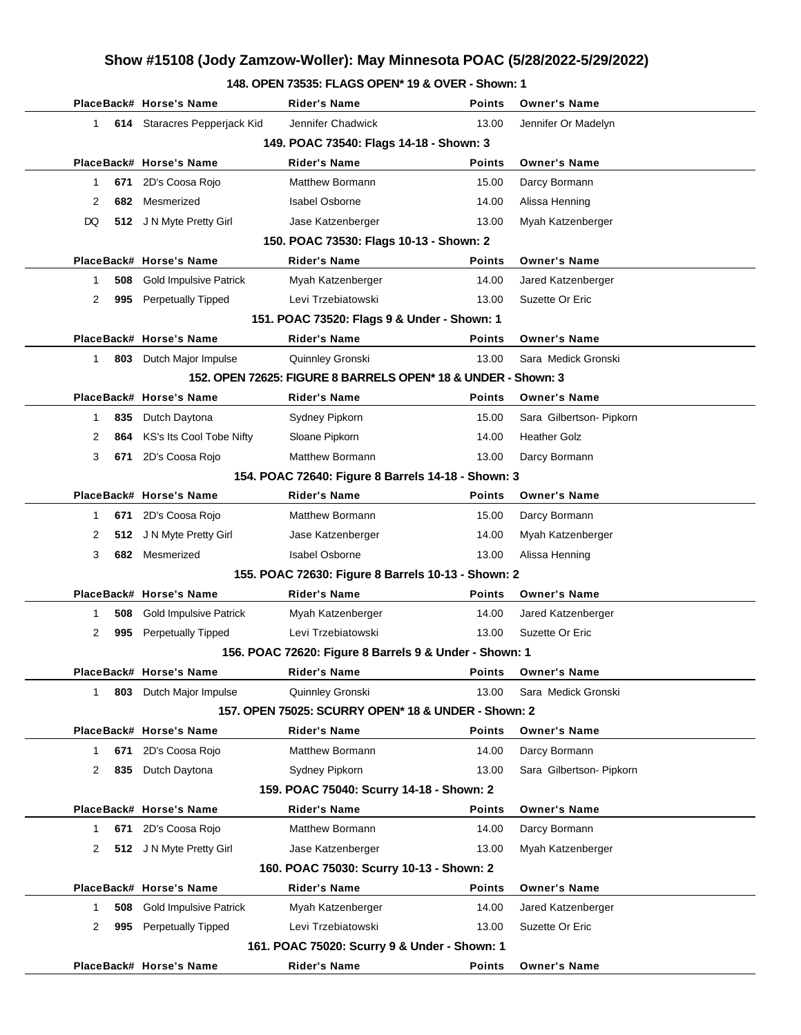#### **148. OPEN 73535: FLAGS OPEN\* 19 & OVER - Shown: 1**

|              | PlaceBack# Horse's Name                            | <b>Rider's Name</b>                                           | <b>Points</b> | <b>Owner's Name</b>      |  |  |  |  |
|--------------|----------------------------------------------------|---------------------------------------------------------------|---------------|--------------------------|--|--|--|--|
| 1            | 614 Staracres Pepperjack Kid                       | Jennifer Chadwick                                             | 13.00         | Jennifer Or Madelyn      |  |  |  |  |
|              |                                                    | 149. POAC 73540: Flags 14-18 - Shown: 3                       |               |                          |  |  |  |  |
|              | PlaceBack# Horse's Name                            | <b>Rider's Name</b>                                           | Points        | <b>Owner's Name</b>      |  |  |  |  |
| 1            | 2D's Coosa Rojo<br>671                             | Matthew Bormann                                               | 15.00         | Darcy Bormann            |  |  |  |  |
| 2            | Mesmerized<br>682                                  | <b>Isabel Osborne</b>                                         | 14.00         | Alissa Henning           |  |  |  |  |
| DQ           | 512 J N Myte Pretty Girl                           | Jase Katzenberger                                             | 13.00         | Myah Katzenberger        |  |  |  |  |
|              |                                                    | 150. POAC 73530: Flags 10-13 - Shown: 2                       |               |                          |  |  |  |  |
|              | PlaceBack# Horse's Name                            | <b>Rider's Name</b>                                           | Points        | <b>Owner's Name</b>      |  |  |  |  |
| 1            | <b>Gold Impulsive Patrick</b><br>508               | Myah Katzenberger                                             | 14.00         | Jared Katzenberger       |  |  |  |  |
| 2            | 995 Perpetually Tipped                             | Levi Trzebiatowski                                            | 13.00         | Suzette Or Eric          |  |  |  |  |
|              |                                                    | 151. POAC 73520: Flags 9 & Under - Shown: 1                   |               |                          |  |  |  |  |
|              | PlaceBack# Horse's Name                            | <b>Rider's Name</b>                                           | Points        | <b>Owner's Name</b>      |  |  |  |  |
| 1            | 803 Dutch Major Impulse                            | Quinnley Gronski                                              | 13.00         | Sara Medick Gronski      |  |  |  |  |
|              |                                                    | 152. OPEN 72625: FIGURE 8 BARRELS OPEN* 18 & UNDER - Shown: 3 |               |                          |  |  |  |  |
|              | PlaceBack# Horse's Name                            | Rider's Name                                                  | Points        | <b>Owner's Name</b>      |  |  |  |  |
| 1            | 835<br>Dutch Daytona                               | Sydney Pipkorn                                                | 15.00         | Sara Gilbertson- Pipkorn |  |  |  |  |
| 2            | KS's Its Cool Tobe Nifty<br>864                    | Sloane Pipkorn                                                | 14.00         | <b>Heather Golz</b>      |  |  |  |  |
| 3            | 671 2D's Coosa Rojo                                | <b>Matthew Bormann</b>                                        | 13.00         | Darcy Bormann            |  |  |  |  |
|              | 154. POAC 72640: Figure 8 Barrels 14-18 - Shown: 3 |                                                               |               |                          |  |  |  |  |
|              | PlaceBack# Horse's Name                            | <b>Rider's Name</b>                                           | Points        | <b>Owner's Name</b>      |  |  |  |  |
| 1            | 2D's Coosa Rojo<br>671                             | Matthew Bormann                                               | 15.00         | Darcy Bormann            |  |  |  |  |
| 2            | 512 J N Myte Pretty Girl                           | Jase Katzenberger                                             | 14.00         | Myah Katzenberger        |  |  |  |  |
| 3            | 682 Mesmerized                                     | <b>Isabel Osborne</b>                                         | 13.00         | Alissa Henning           |  |  |  |  |
|              |                                                    | 155. POAC 72630: Figure 8 Barrels 10-13 - Shown: 2            |               |                          |  |  |  |  |
|              | PlaceBack# Horse's Name                            | <b>Rider's Name</b>                                           | Points        | <b>Owner's Name</b>      |  |  |  |  |
| 1            | <b>Gold Impulsive Patrick</b><br>508               | Myah Katzenberger                                             | 14.00         | Jared Katzenberger       |  |  |  |  |
| 2            | 995 Perpetually Tipped                             | Levi Trzebiatowski                                            | 13.00         | Suzette Or Eric          |  |  |  |  |
|              |                                                    | 156. POAC 72620: Figure 8 Barrels 9 & Under - Shown: 1        |               |                          |  |  |  |  |
|              | PlaceBack# Horse's Name                            | Rider's Name                                                  | Points        | <b>Owner's Name</b>      |  |  |  |  |
| $\mathbf{1}$ | 803 Dutch Major Impulse                            | Quinnley Gronski                                              | 13.00         | Sara Medick Gronski      |  |  |  |  |
|              |                                                    | 157, OPEN 75025: SCURRY OPEN* 18 & UNDER - Shown: 2           |               |                          |  |  |  |  |
|              | PlaceBack# Horse's Name                            | <b>Rider's Name</b>                                           | <b>Points</b> | <b>Owner's Name</b>      |  |  |  |  |
| 1            | 671<br>2D's Coosa Rojo                             | Matthew Bormann                                               | 14.00         | Darcy Bormann            |  |  |  |  |
| 2            | Dutch Daytona<br>835                               | Sydney Pipkorn                                                | 13.00         | Sara Gilbertson- Pipkorn |  |  |  |  |
|              |                                                    | 159. POAC 75040: Scurry 14-18 - Shown: 2                      |               |                          |  |  |  |  |
|              | PlaceBack# Horse's Name                            | <b>Rider's Name</b>                                           | Points        | <b>Owner's Name</b>      |  |  |  |  |
| 1            | 2D's Coosa Rojo<br>671                             | <b>Matthew Bormann</b>                                        | 14.00         | Darcy Bormann            |  |  |  |  |
| 2            | 512 J N Myte Pretty Girl                           | Jase Katzenberger                                             | 13.00         | Myah Katzenberger        |  |  |  |  |
|              |                                                    | 160. POAC 75030: Scurry 10-13 - Shown: 2                      |               |                          |  |  |  |  |
|              | PlaceBack# Horse's Name                            | <b>Rider's Name</b>                                           | Points        | <b>Owner's Name</b>      |  |  |  |  |
| 1            | <b>Gold Impulsive Patrick</b><br>508               | Myah Katzenberger                                             | 14.00         | Jared Katzenberger       |  |  |  |  |
| 2            | 995<br><b>Perpetually Tipped</b>                   | Levi Trzebiatowski                                            | 13.00         | Suzette Or Eric          |  |  |  |  |
|              |                                                    | 161. POAC 75020: Scurry 9 & Under - Shown: 1                  |               |                          |  |  |  |  |
|              | PlaceBack# Horse's Name                            | <b>Rider's Name</b>                                           | Points        | <b>Owner's Name</b>      |  |  |  |  |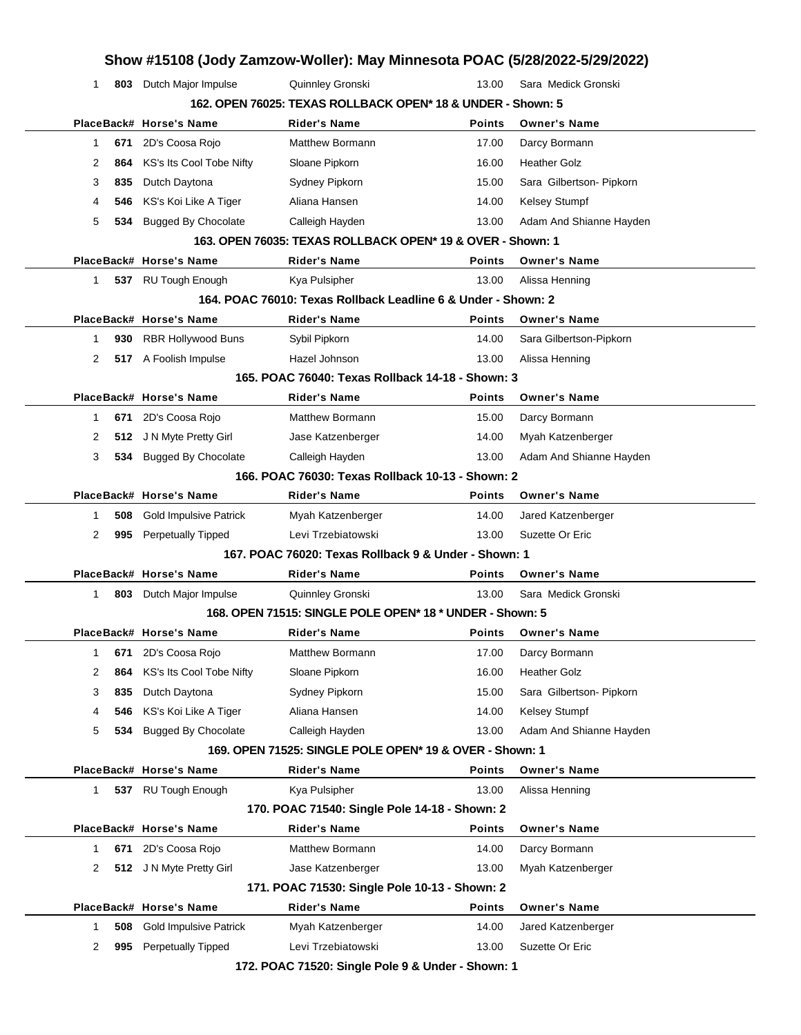|   |     |                               | Show #15108 (Jody Zamzow-Woller): May Minnesota POAC (5/28/2022-5/29/2022) |               |                          |
|---|-----|-------------------------------|----------------------------------------------------------------------------|---------------|--------------------------|
| 1 |     | 803 Dutch Major Impulse       | Quinnley Gronski                                                           | 13.00         | Sara Medick Gronski      |
|   |     |                               | 162. OPEN 76025: TEXAS ROLLBACK OPEN* 18 & UNDER - Shown: 5                |               |                          |
|   |     | PlaceBack# Horse's Name       | <b>Rider's Name</b>                                                        | <b>Points</b> | <b>Owner's Name</b>      |
| 1 | 671 | 2D's Coosa Rojo               | <b>Matthew Bormann</b>                                                     | 17.00         | Darcy Bormann            |
| 2 | 864 | KS's Its Cool Tobe Nifty      | Sloane Pipkorn                                                             | 16.00         | <b>Heather Golz</b>      |
| 3 | 835 | Dutch Daytona                 | Sydney Pipkorn                                                             | 15.00         | Sara Gilbertson- Pipkorn |
| 4 | 546 | KS's Koi Like A Tiger         | Aliana Hansen                                                              | 14.00         | Kelsey Stumpf            |
| 5 | 534 | <b>Bugged By Chocolate</b>    | Calleigh Hayden                                                            | 13.00         | Adam And Shianne Hayden  |
|   |     |                               | 163. OPEN 76035: TEXAS ROLLBACK OPEN* 19 & OVER - Shown: 1                 |               |                          |
|   |     | PlaceBack# Horse's Name       | <b>Rider's Name</b>                                                        | Points        | <b>Owner's Name</b>      |
| 1 |     | 537 RU Tough Enough           | Kya Pulsipher                                                              | 13.00         | Alissa Henning           |
|   |     |                               | 164, POAC 76010: Texas Rollback Leadline 6 & Under - Shown: 2              |               |                          |
|   |     | PlaceBack# Horse's Name       | <b>Rider's Name</b>                                                        | <b>Points</b> | <b>Owner's Name</b>      |
| 1 | 930 | <b>RBR Hollywood Buns</b>     | Sybil Pipkorn                                                              | 14.00         | Sara Gilbertson-Pipkorn  |
| 2 |     | 517 A Foolish Impulse         | Hazel Johnson                                                              | 13.00         | Alissa Henning           |
|   |     |                               | 165. POAC 76040: Texas Rollback 14-18 - Shown: 3                           |               |                          |
|   |     | PlaceBack# Horse's Name       | <b>Rider's Name</b>                                                        | <b>Points</b> | <b>Owner's Name</b>      |
| 1 | 671 | 2D's Coosa Rojo               | <b>Matthew Bormann</b>                                                     | 15.00         | Darcy Bormann            |
| 2 |     | 512 J N Myte Pretty Girl      | Jase Katzenberger                                                          | 14.00         | Myah Katzenberger        |
| 3 | 534 | <b>Bugged By Chocolate</b>    | Calleigh Hayden                                                            | 13.00         | Adam And Shianne Hayden  |
|   |     |                               | 166. POAC 76030: Texas Rollback 10-13 - Shown: 2                           |               |                          |
|   |     | PlaceBack# Horse's Name       | <b>Rider's Name</b>                                                        | <b>Points</b> | <b>Owner's Name</b>      |
| 1 | 508 | <b>Gold Impulsive Patrick</b> | Myah Katzenberger                                                          | 14.00         | Jared Katzenberger       |
| 2 | 995 | <b>Perpetually Tipped</b>     | Levi Trzebiatowski                                                         | 13.00         | Suzette Or Eric          |
|   |     |                               | 167, POAC 76020: Texas Rollback 9 & Under - Shown: 1                       |               |                          |
|   |     | PlaceBack# Horse's Name       | <b>Rider's Name</b>                                                        | <b>Points</b> | <b>Owner's Name</b>      |
| 1 |     | 803 Dutch Major Impulse       | Quinnley Gronski                                                           | 13.00         | Sara Medick Gronski      |
|   |     |                               | 168. OPEN 71515: SINGLE POLE OPEN* 18 * UNDER - Shown: 5                   |               |                          |
|   |     | PlaceBack# Horse's Name       | Rider's Name                                                               |               | Points Owner's Name      |
| 1 | 671 | 2D's Coosa Rojo               | Matthew Bormann                                                            | 17.00         | Darcy Bormann            |
| 2 | 864 | KS's Its Cool Tobe Nifty      | Sloane Pipkorn                                                             | 16.00         | <b>Heather Golz</b>      |
| 3 | 835 | Dutch Daytona                 | Sydney Pipkorn                                                             | 15.00         | Sara Gilbertson- Pipkorn |
| 4 | 546 | KS's Koi Like A Tiger         | Aliana Hansen                                                              | 14.00         | <b>Kelsey Stumpf</b>     |
| 5 | 534 | <b>Bugged By Chocolate</b>    | Calleigh Hayden                                                            | 13.00         | Adam And Shianne Hayden  |
|   |     |                               | 169. OPEN 71525: SINGLE POLE OPEN* 19 & OVER - Shown: 1                    |               |                          |
|   |     | PlaceBack# Horse's Name       | <b>Rider's Name</b>                                                        | <b>Points</b> | <b>Owner's Name</b>      |
| 1 |     | 537 RU Tough Enough           | Kya Pulsipher                                                              | 13.00         | Alissa Henning           |
|   |     |                               | 170. POAC 71540: Single Pole 14-18 - Shown: 2                              |               |                          |
|   |     | PlaceBack# Horse's Name       | <b>Rider's Name</b>                                                        | Points        | <b>Owner's Name</b>      |
| 1 | 671 | 2D's Coosa Rojo               | Matthew Bormann                                                            | 14.00         | Darcy Bormann            |
| 2 | 512 | J N Myte Pretty Girl          | Jase Katzenberger                                                          | 13.00         | Myah Katzenberger        |
|   |     |                               | 171. POAC 71530: Single Pole 10-13 - Shown: 2                              |               |                          |
|   |     | PlaceBack# Horse's Name       | <b>Rider's Name</b>                                                        | <b>Points</b> | <b>Owner's Name</b>      |
| 1 | 508 | <b>Gold Impulsive Patrick</b> | Myah Katzenberger                                                          | 14.00         | Jared Katzenberger       |
| 2 | 995 | <b>Perpetually Tipped</b>     | Levi Trzebiatowski                                                         | 13.00         | Suzette Or Eric          |
|   |     |                               |                                                                            |               |                          |
|   |     |                               |                                                                            |               |                          |

**172. POAC 71520: Single Pole 9 & Under - Shown: 1**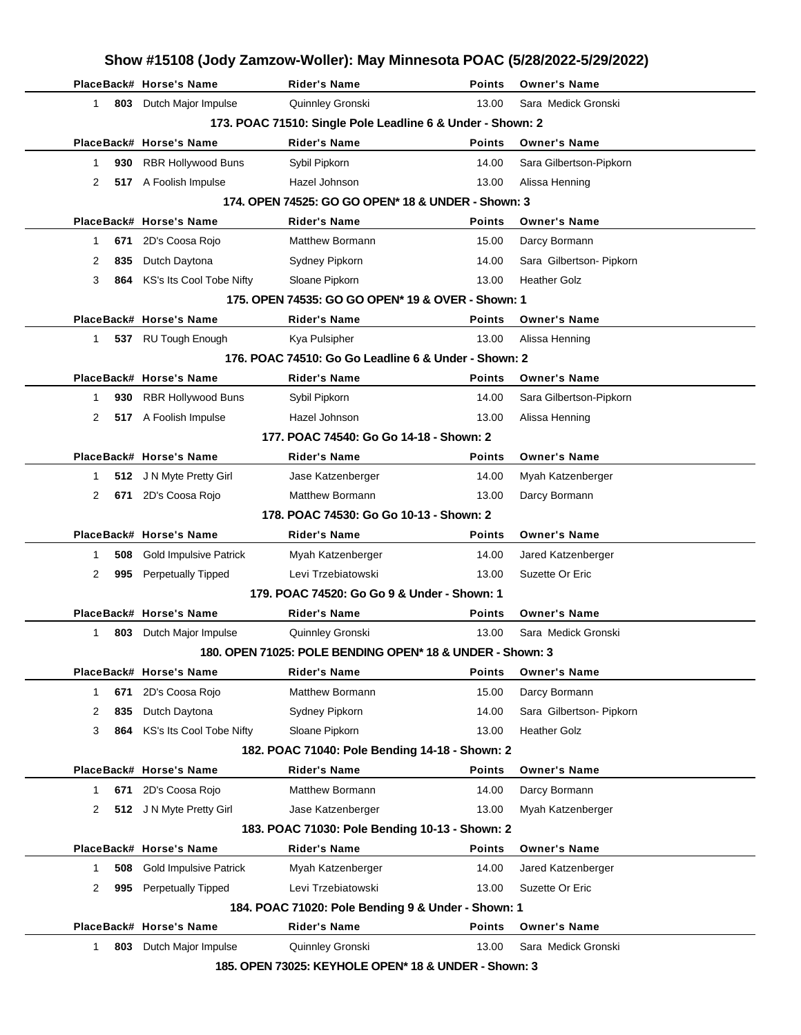|              |     | PlaceBack# Horse's Name       | <b>Rider's Name</b>                                                       | <b>Points</b> | <b>Owner's Name</b>      |
|--------------|-----|-------------------------------|---------------------------------------------------------------------------|---------------|--------------------------|
| $\mathbf{1}$ |     | 803 Dutch Major Impulse       | Quinnley Gronski                                                          | 13.00         | Sara Medick Gronski      |
|              |     |                               | 173. POAC 71510: Single Pole Leadline 6 & Under - Shown: 2                |               |                          |
|              |     | PlaceBack# Horse's Name       | <b>Rider's Name</b>                                                       | <b>Points</b> | <b>Owner's Name</b>      |
| 1            | 930 | <b>RBR Hollywood Buns</b>     | Sybil Pipkorn                                                             | 14.00         | Sara Gilbertson-Pipkorn  |
| 2            |     | 517 A Foolish Impulse         | Hazel Johnson                                                             | 13.00         | Alissa Henning           |
|              |     |                               | 174. OPEN 74525: GO GO OPEN* 18 & UNDER - Shown: 3                        |               |                          |
|              |     | PlaceBack# Horse's Name       | <b>Rider's Name</b>                                                       | <b>Points</b> | <b>Owner's Name</b>      |
| 1            | 671 | 2D's Coosa Rojo               | <b>Matthew Bormann</b>                                                    | 15.00         | Darcy Bormann            |
| 2            | 835 | Dutch Daytona                 | Sydney Pipkorn                                                            | 14.00         | Sara Gilbertson- Pipkorn |
| 3            | 864 | KS's Its Cool Tobe Nifty      | Sloane Pipkorn                                                            | 13.00         | <b>Heather Golz</b>      |
|              |     |                               | 175, OPEN 74535: GO GO OPEN* 19 & OVER - Shown: 1                         |               |                          |
|              |     | PlaceBack# Horse's Name       | <b>Rider's Name</b>                                                       | <b>Points</b> | <b>Owner's Name</b>      |
| 1            |     | 537 RU Tough Enough           | Kya Pulsipher                                                             | 13.00         | Alissa Henning           |
|              |     |                               | 176. POAC 74510: Go Go Leadline 6 & Under - Shown: 2                      |               |                          |
|              |     | PlaceBack# Horse's Name       | <b>Rider's Name</b>                                                       | <b>Points</b> | <b>Owner's Name</b>      |
| 1            | 930 | <b>RBR Hollywood Buns</b>     | Sybil Pipkorn                                                             | 14.00         | Sara Gilbertson-Pipkorn  |
| 2            |     | 517 A Foolish Impulse         | Hazel Johnson                                                             | 13.00         | Alissa Henning           |
|              |     |                               | 177. POAC 74540: Go Go 14-18 - Shown: 2                                   |               |                          |
|              |     | PlaceBack# Horse's Name       | <b>Rider's Name</b>                                                       | <b>Points</b> | <b>Owner's Name</b>      |
| 1            | 512 | J N Myte Pretty Girl          | Jase Katzenberger                                                         | 14.00         | Myah Katzenberger        |
| 2            | 671 | 2D's Coosa Rojo               | <b>Matthew Bormann</b>                                                    | 13.00         | Darcy Bormann            |
|              |     |                               | 178. POAC 74530: Go Go 10-13 - Shown: 2                                   |               |                          |
|              |     | PlaceBack# Horse's Name       | <b>Rider's Name</b>                                                       | <b>Points</b> | <b>Owner's Name</b>      |
| 1            | 508 | <b>Gold Impulsive Patrick</b> | Myah Katzenberger                                                         | 14.00         | Jared Katzenberger       |
|              | 995 | <b>Perpetually Tipped</b>     | Levi Trzebiatowski                                                        | 13.00         | Suzette Or Eric          |
| 2            |     |                               |                                                                           |               |                          |
|              |     |                               | 179. POAC 74520: Go Go 9 & Under - Shown: 1                               |               |                          |
|              |     | PlaceBack# Horse's Name       | <b>Rider's Name</b>                                                       | <b>Points</b> | <b>Owner's Name</b>      |
| 1            |     | 803 Dutch Major Impulse       | Quinnley Gronski                                                          | 13.00         | Sara Medick Gronski      |
|              |     |                               | 180. OPEN 71025: POLE BENDING OPEN* 18 & UNDER - Shown: 3                 |               |                          |
|              |     | PlaceBack# Horse's Name       | <b>Rider's Name</b>                                                       | Points        | <b>Owner's Name</b>      |
| 1            | 671 | 2D's Coosa Rojo               | <b>Matthew Bormann</b>                                                    | 15.00         | Darcy Bormann            |
| 2            | 835 | Dutch Daytona                 | Sydney Pipkorn                                                            | 14.00         | Sara Gilbertson- Pipkorn |
| 3            | 864 | KS's Its Cool Tobe Nifty      | Sloane Pipkorn                                                            | 13.00         | <b>Heather Golz</b>      |
|              |     |                               | 182. POAC 71040: Pole Bending 14-18 - Shown: 2                            |               |                          |
|              |     | PlaceBack# Horse's Name       | <b>Rider's Name</b>                                                       | <b>Points</b> | <b>Owner's Name</b>      |
| 1            | 671 | 2D's Coosa Rojo               | Matthew Bormann                                                           | 14.00         | Darcy Bormann            |
| 2            |     | 512 J N Myte Pretty Girl      | Jase Katzenberger                                                         | 13.00         | Myah Katzenberger        |
|              |     |                               | 183. POAC 71030: Pole Bending 10-13 - Shown: 2                            |               |                          |
|              |     | PlaceBack# Horse's Name       | <b>Rider's Name</b>                                                       | <b>Points</b> | <b>Owner's Name</b>      |
| 1            | 508 | <b>Gold Impulsive Patrick</b> | Myah Katzenberger                                                         | 14.00         | Jared Katzenberger       |
| 2            | 995 | <b>Perpetually Tipped</b>     | Levi Trzebiatowski                                                        | 13.00         | Suzette Or Eric          |
|              |     |                               |                                                                           |               |                          |
|              |     | PlaceBack# Horse's Name       | 184. POAC 71020: Pole Bending 9 & Under - Shown: 1<br><b>Rider's Name</b> | Points        | <b>Owner's Name</b>      |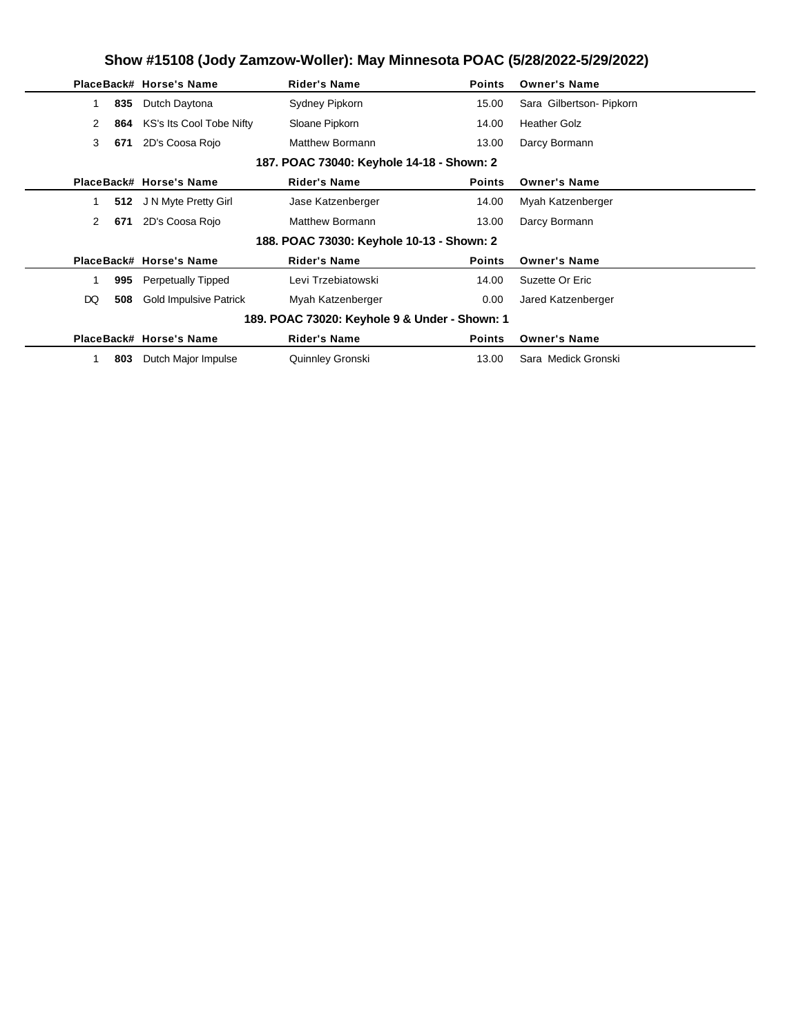|    |                                           | PlaceBack# Horse's Name       | <b>Rider's Name</b>                           | <b>Points</b> | <b>Owner's Name</b>      |  |  |  |  |  |
|----|-------------------------------------------|-------------------------------|-----------------------------------------------|---------------|--------------------------|--|--|--|--|--|
|    | 835                                       | Dutch Daytona                 | Sydney Pipkorn                                | 15.00         | Sara Gilbertson- Pipkorn |  |  |  |  |  |
|    | 2<br>864                                  | KS's Its Cool Tobe Nifty      | Sloane Pipkorn                                | 14.00         | <b>Heather Golz</b>      |  |  |  |  |  |
|    | 3<br>671                                  | 2D's Coosa Rojo               | <b>Matthew Bormann</b>                        | 13.00         | Darcy Bormann            |  |  |  |  |  |
|    | 187. POAC 73040: Keyhole 14-18 - Shown: 2 |                               |                                               |               |                          |  |  |  |  |  |
|    |                                           | PlaceBack# Horse's Name       | <b>Rider's Name</b>                           | <b>Points</b> | <b>Owner's Name</b>      |  |  |  |  |  |
|    |                                           | 512 J N Myte Pretty Girl      | Jase Katzenberger                             | 14.00         | Myah Katzenberger        |  |  |  |  |  |
|    | 2<br>671                                  | 2D's Coosa Rojo               | Matthew Bormann                               | 13.00         | Darcy Bormann            |  |  |  |  |  |
|    |                                           |                               | 188. POAC 73030: Keyhole 10-13 - Shown: 2     |               |                          |  |  |  |  |  |
|    |                                           | PlaceBack# Horse's Name       | <b>Rider's Name</b>                           | <b>Points</b> | <b>Owner's Name</b>      |  |  |  |  |  |
|    | 995                                       | <b>Perpetually Tipped</b>     | Levi Trzebiatowski                            | 14.00         | Suzette Or Eric          |  |  |  |  |  |
| DQ | 508                                       | <b>Gold Impulsive Patrick</b> | Myah Katzenberger                             | 0.00          | Jared Katzenberger       |  |  |  |  |  |
|    |                                           |                               | 189. POAC 73020: Keyhole 9 & Under - Shown: 1 |               |                          |  |  |  |  |  |
|    |                                           | PlaceBack# Horse's Name       | <b>Rider's Name</b>                           | <b>Points</b> | <b>Owner's Name</b>      |  |  |  |  |  |
|    | 803                                       | Dutch Major Impulse           | Quinnley Gronski                              | 13.00         | Sara Medick Gronski      |  |  |  |  |  |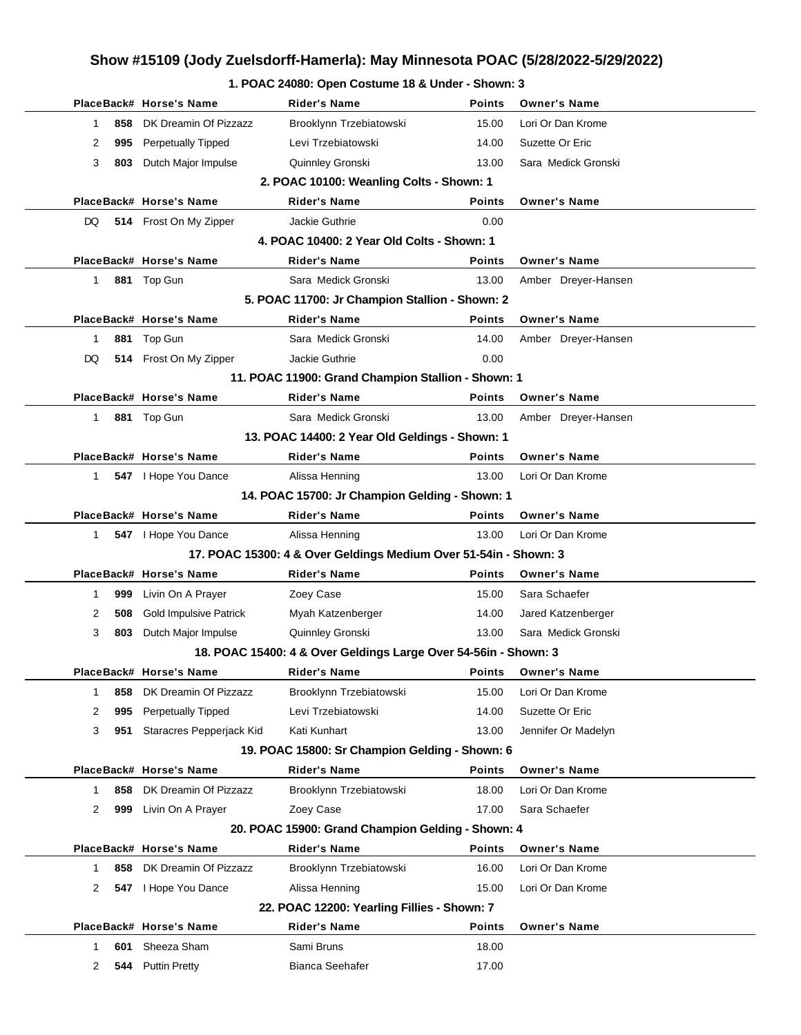| 1. POAC 24080: Open Costume 18 & Under - Shown: 3 |  |
|---------------------------------------------------|--|
|---------------------------------------------------|--|

|                |     | PlaceBack# Horse's Name       | Rider's Name                                                     | <b>Points</b> | <b>Owner's Name</b> |
|----------------|-----|-------------------------------|------------------------------------------------------------------|---------------|---------------------|
| 1.             | 858 | DK Dreamin Of Pizzazz         | Brooklynn Trzebiatowski                                          | 15.00         | Lori Or Dan Krome   |
| 2              |     | 995 Perpetually Tipped        | Levi Trzebiatowski                                               | 14.00         | Suzette Or Eric     |
| 3              | 803 | Dutch Major Impulse           | Quinnley Gronski                                                 | 13.00         | Sara Medick Gronski |
|                |     |                               | 2. POAC 10100: Weanling Colts - Shown: 1                         |               |                     |
|                |     | PlaceBack# Horse's Name       | <b>Rider's Name</b>                                              | Points        | <b>Owner's Name</b> |
| DQ             |     | 514 Frost On My Zipper        | Jackie Guthrie                                                   | 0.00          |                     |
|                |     |                               | 4. POAC 10400: 2 Year Old Colts - Shown: 1                       |               |                     |
|                |     | PlaceBack# Horse's Name       | <b>Rider's Name</b>                                              | Points        | <b>Owner's Name</b> |
| 1.             |     | 881 Top Gun                   | Sara Medick Gronski                                              | 13.00         | Amber Dreyer-Hansen |
|                |     |                               | 5. POAC 11700: Jr Champion Stallion - Shown: 2                   |               |                     |
|                |     | PlaceBack# Horse's Name       | <b>Rider's Name</b>                                              | Points        | <b>Owner's Name</b> |
| 1              |     | 881 Top Gun                   | Sara Medick Gronski                                              | 14.00         | Amber Dreyer-Hansen |
| DQ             |     | 514 Frost On My Zipper        | Jackie Guthrie                                                   | 0.00          |                     |
|                |     |                               | 11. POAC 11900: Grand Champion Stallion - Shown: 1               |               |                     |
|                |     | PlaceBack# Horse's Name       | <b>Rider's Name</b>                                              | <b>Points</b> | <b>Owner's Name</b> |
| 1.             |     | 881 Top Gun                   | Sara Medick Gronski                                              | 13.00         | Amber Dreyer-Hansen |
|                |     |                               | 13. POAC 14400: 2 Year Old Geldings - Shown: 1                   |               |                     |
|                |     | PlaceBack# Horse's Name       | <b>Rider's Name</b>                                              | <b>Points</b> | <b>Owner's Name</b> |
| 1              |     | 547 I Hope You Dance          | Alissa Henning                                                   | 13.00         | Lori Or Dan Krome   |
|                |     |                               | 14. POAC 15700: Jr Champion Gelding - Shown: 1                   |               |                     |
|                |     | PlaceBack# Horse's Name       | <b>Rider's Name</b>                                              | Points        | <b>Owner's Name</b> |
| 1              |     | 547   Hope You Dance          | Alissa Henning                                                   | 13.00         | Lori Or Dan Krome   |
|                |     |                               | 17. POAC 15300: 4 & Over Geldings Medium Over 51-54in - Shown: 3 |               |                     |
|                |     | PlaceBack# Horse's Name       | <b>Rider's Name</b>                                              | Points        | <b>Owner's Name</b> |
| 1              |     | 999 Livin On A Prayer         | Zoey Case                                                        | 15.00         | Sara Schaefer       |
| 2              | 508 | <b>Gold Impulsive Patrick</b> | Myah Katzenberger                                                | 14.00         | Jared Katzenberger  |
| 3              | 803 | Dutch Major Impulse           | Quinnley Gronski                                                 | 13.00         | Sara Medick Gronski |
|                |     |                               | 18. POAC 15400: 4 & Over Geldings Large Over 54-56in - Shown: 3  |               |                     |
|                |     | PlaceBack# Horse's Name       | Rider's Name                                                     | Points        | <b>Owner's Name</b> |
| 1              | 858 | DK Dreamin Of Pizzazz         | Brooklynn Trzebiatowski                                          | 15.00         | Lori Or Dan Krome   |
| 2              | 995 | <b>Perpetually Tipped</b>     | Levi Trzebiatowski                                               | 14.00         | Suzette Or Eric     |
| 3              | 951 | Staracres Pepperjack Kid      | Kati Kunhart                                                     | 13.00         | Jennifer Or Madelyn |
|                |     |                               | 19. POAC 15800: Sr Champion Gelding - Shown: 6                   |               |                     |
|                |     | PlaceBack# Horse's Name       | <b>Rider's Name</b>                                              | Points        | <b>Owner's Name</b> |
| 1              | 858 | DK Dreamin Of Pizzazz         | Brooklynn Trzebiatowski                                          | 18.00         | Lori Or Dan Krome   |
| $\overline{2}$ | 999 | Livin On A Prayer             | Zoey Case                                                        | 17.00         | Sara Schaefer       |
|                |     |                               | 20. POAC 15900: Grand Champion Gelding - Shown: 4                |               |                     |
|                |     | PlaceBack# Horse's Name       | <b>Rider's Name</b>                                              | Points        | <b>Owner's Name</b> |
| 1              | 858 | DK Dreamin Of Pizzazz         | Brooklynn Trzebiatowski                                          | 16.00         | Lori Or Dan Krome   |
| 2              | 547 | I Hope You Dance              | Alissa Henning                                                   | 15.00         | Lori Or Dan Krome   |
|                |     |                               | 22. POAC 12200: Yearling Fillies - Shown: 7                      |               |                     |
|                |     | PlaceBack# Horse's Name       | <b>Rider's Name</b>                                              | Points        | <b>Owner's Name</b> |
| 1              | 601 | Sheeza Sham                   | Sami Bruns                                                       | 18.00         |                     |
| 2              |     | 544 Puttin Pretty             | Bianca Seehafer                                                  | 17.00         |                     |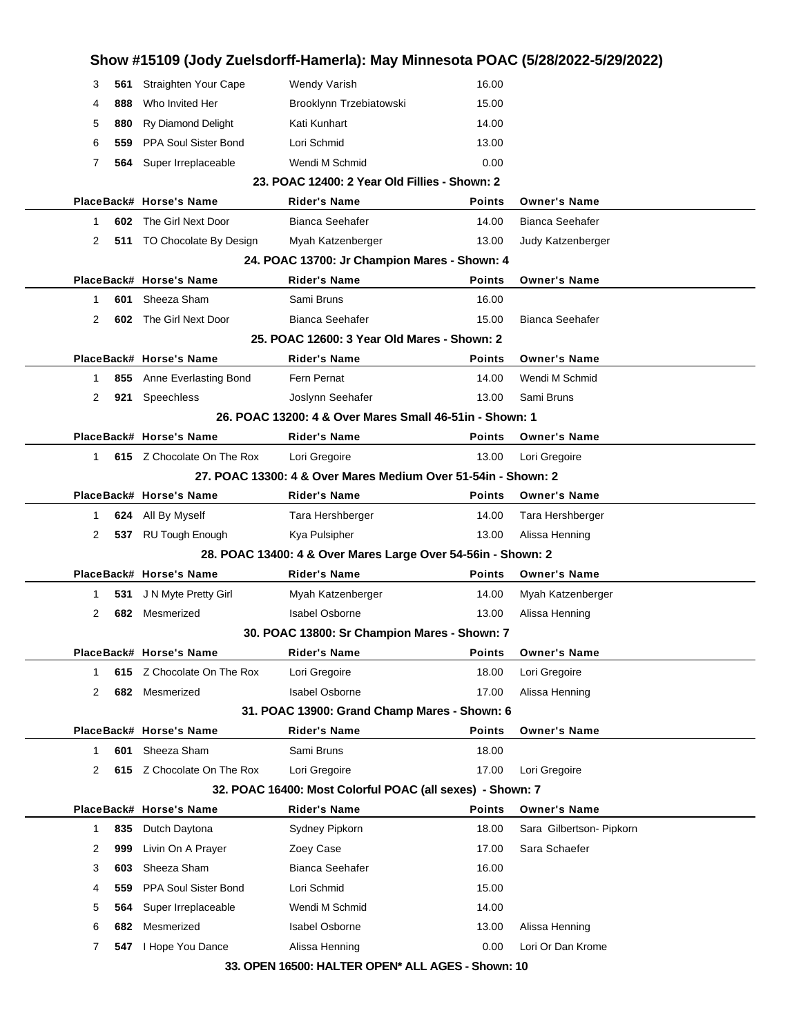|    |     |                            | Show #15109 (Jody Zuelsdorff-Hamerla): May Minnesota POAC (5/28/2022-5/29/2022) |               |                          |
|----|-----|----------------------------|---------------------------------------------------------------------------------|---------------|--------------------------|
| З  | 561 | Straighten Your Cape       | <b>Wendy Varish</b>                                                             | 16.00         |                          |
| 4  | 888 | Who Invited Her            | Brooklynn Trzebiatowski                                                         | 15.00         |                          |
| 5  | 880 | Ry Diamond Delight         | Kati Kunhart                                                                    | 14.00         |                          |
| 6  | 559 | PPA Soul Sister Bond       | Lori Schmid                                                                     | 13.00         |                          |
| 7  | 564 | Super Irreplaceable        | Wendi M Schmid                                                                  | 0.00          |                          |
|    |     |                            | 23. POAC 12400: 2 Year Old Fillies - Shown: 2                                   |               |                          |
|    |     | PlaceBack# Horse's Name    | <b>Rider's Name</b>                                                             | <b>Points</b> | <b>Owner's Name</b>      |
| 1  |     | 602 The Girl Next Door     | Bianca Seehafer                                                                 | 14.00         | <b>Bianca Seehafer</b>   |
| 2  |     | 511 TO Chocolate By Design | Myah Katzenberger                                                               | 13.00         | Judy Katzenberger        |
|    |     |                            | 24. POAC 13700: Jr Champion Mares - Shown: 4                                    |               |                          |
|    |     | PlaceBack# Horse's Name    | <b>Rider's Name</b>                                                             | Points        | <b>Owner's Name</b>      |
| 1  | 601 | Sheeza Sham                | Sami Bruns                                                                      | 16.00         |                          |
| 2  |     | 602 The Girl Next Door     | Bianca Seehafer                                                                 | 15.00         | <b>Bianca Seehafer</b>   |
|    |     |                            | 25. POAC 12600: 3 Year Old Mares - Shown: 2                                     |               |                          |
|    |     | PlaceBack# Horse's Name    | <b>Rider's Name</b>                                                             | <b>Points</b> | <b>Owner's Name</b>      |
| 1. |     | 855 Anne Everlasting Bond  | Fern Pernat                                                                     | 14.00         | Wendi M Schmid           |
| 2  |     | 921 Speechless             | Joslynn Seehafer                                                                | 13.00         | Sami Bruns               |
|    |     |                            | 26. POAC 13200: 4 & Over Mares Small 46-51 in - Shown: 1                        |               |                          |
|    |     | PlaceBack# Horse's Name    | <b>Rider's Name</b>                                                             | <b>Points</b> | <b>Owner's Name</b>      |
| 1. |     | 615 Z Chocolate On The Rox | Lori Gregoire                                                                   | 13.00         | Lori Gregoire            |
|    |     |                            | 27. POAC 13300: 4 & Over Mares Medium Over 51-54in - Shown: 2                   |               |                          |
|    |     | PlaceBack# Horse's Name    | Rider's Name                                                                    | Points        | <b>Owner's Name</b>      |
| 1. |     | 624 All By Myself          | Tara Hershberger                                                                | 14.00         | Tara Hershberger         |
| 2  |     | 537 RU Tough Enough        | Kya Pulsipher                                                                   | 13.00         | Alissa Henning           |
|    |     |                            | 28. POAC 13400: 4 & Over Mares Large Over 54-56in - Shown: 2                    |               |                          |
|    |     | PlaceBack# Horse's Name    | <b>Rider's Name</b>                                                             | <b>Points</b> | <b>Owner's Name</b>      |
| 1  | 531 | J N Myte Pretty Girl       | Myah Katzenberger                                                               | 14.00         | Myah Katzenberger        |
| 2  | 682 | Mesmerized                 | <b>Isabel Osborne</b>                                                           | 13.00         | Alissa Henning           |
|    |     |                            | 30. POAC 13800: Sr Champion Mares - Shown: 7                                    |               |                          |
|    |     | PlaceBack# Horse's Name    | Rider's Name                                                                    | Points        | <b>Owner's Name</b>      |
| 1  | 615 | Z Chocolate On The Rox     | Lori Gregoire                                                                   | 18.00         | Lori Gregoire            |
| 2  |     | 682 Mesmerized             | <b>Isabel Osborne</b>                                                           | 17.00         | Alissa Henning           |
|    |     |                            | 31. POAC 13900: Grand Champ Mares - Shown: 6                                    |               |                          |
|    |     | PlaceBack# Horse's Name    | <b>Rider's Name</b>                                                             | Points        | <b>Owner's Name</b>      |
| 1  | 601 | Sheeza Sham                | Sami Bruns                                                                      | 18.00         |                          |
| 2  |     | 615 Z Chocolate On The Rox | Lori Gregoire                                                                   | 17.00         | Lori Gregoire            |
|    |     |                            | 32. POAC 16400: Most Colorful POAC (all sexes) - Shown: 7                       |               |                          |
|    |     | PlaceBack# Horse's Name    | <b>Rider's Name</b>                                                             | <b>Points</b> | <b>Owner's Name</b>      |
|    |     | Dutch Daytona              | Sydney Pipkorn                                                                  | 18.00         | Sara Gilbertson- Pipkorn |
| 1. | 835 |                            |                                                                                 |               |                          |
| 2  | 999 | Livin On A Prayer          | Zoey Case                                                                       | 17.00         | Sara Schaefer            |
| 3  | 603 | Sheeza Sham                | <b>Bianca Seehafer</b>                                                          | 16.00         |                          |
| 4  | 559 | PPA Soul Sister Bond       | Lori Schmid                                                                     | 15.00         |                          |
| 5  | 564 | Super Irreplaceable        | Wendi M Schmid                                                                  | 14.00         |                          |
| 6  | 682 | Mesmerized                 | <b>Isabel Osborne</b>                                                           | 13.00         | Alissa Henning           |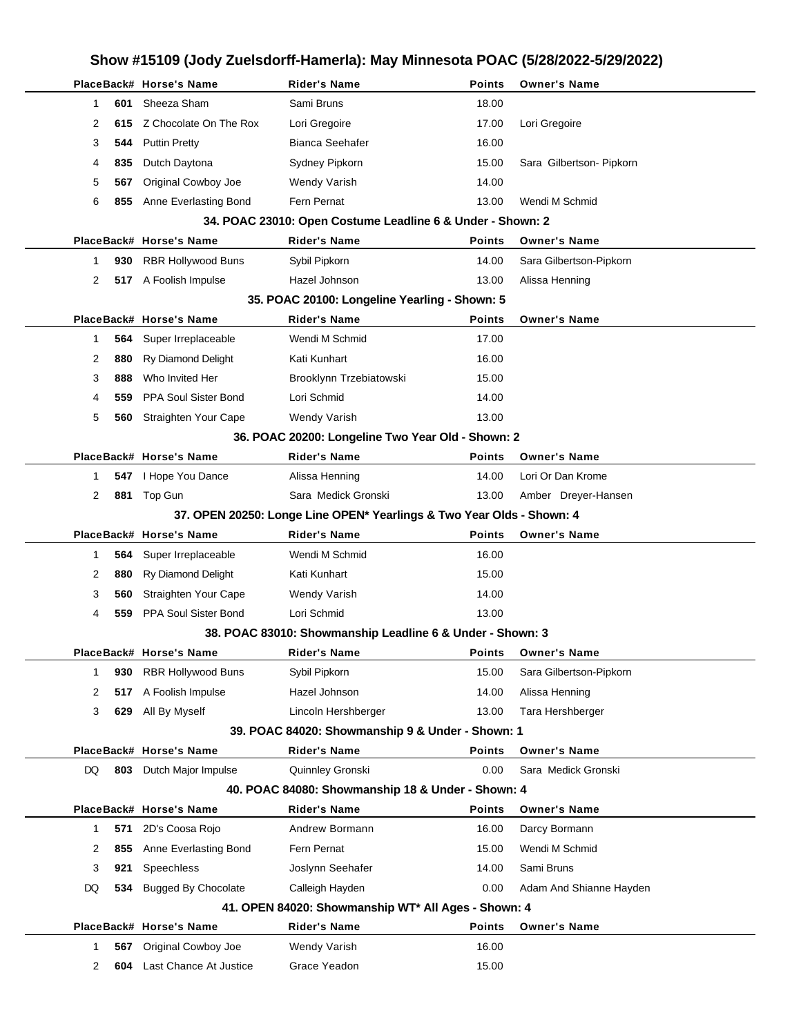## **Show #15109 (Jody Zuelsdorff-Hamerla): May Minnesota POAC (5/28/2022-5/29/2022) PlaceBack# Horse's Name Rider's Name Points Owner's Name** 1 **601** Sheeza Sham Sami Bruns Sami Bruns 18.00 2 **615** Z Chocolate On The Rox Lori Gregoire 17.00 Lori Gregoire 3 **544** Puttin Pretty **Bianca Seehafer** 16.00 4 **835** Dutch Daytona **Sydney Pipkorn** 15.00 Sara Gilbertson- Pipkorn 5 **567** Original Cowboy Joe Wendy Varish 14.00 6 **855** Anne Everlasting Bond Fern Pernat 13.00 Wendi M Schmid **34. POAC 23010: Open Costume Leadline 6 & Under - Shown: 2 PlaceBack# Horse's Name Rider's Name Points Owner's Name** 1 **930** RBR Hollywood Buns Sybil Pipkorn 14.00 Sara Gilbertson-Pipkorn 2 **517** A Foolish Impulse **Hazel Johnson** 13.00 Alissa Henning **35. POAC 20100: Longeline Yearling - Shown: 5 PlaceBack# Horse's Name Rider's Name Points Owner's Name** 1 **564** Super Irreplaceable Wendi M Schmid 17.00 2 880 Ry Diamond Delight Kati Kunhart 16.00 3 **888** Who Invited Her Brooklynn Trzebiatowski 15.00 4 **559** PPA Soul Sister Bond Lori Schmid 14.00 5 **560** Straighten Your Cape Wendy Varish 13.00 **36. POAC 20200: Longeline Two Year Old - Shown: 2 PlaceBack# Horse's Name Rider's Name Points Owner's Name** 1 **547** I Hope You Dance **Alissa Henning 14.00** Lori Or Dan Krome 2 881 Top Gun Sara Medick Gronski 13.00 Amber Dreyer-Hansen **37. OPEN 20250: Longe Line OPEN\* Yearlings & Two Year Olds - Shown: 4 PlaceBack# Horse's Name Rider's Name Points Owner's Name** 1 **564** Super Irreplaceable Wendi M Schmid 16.00 2 880 Ry Diamond Delight Kati Kunhart 15.00 3 **560** Straighten Your Cape Wendy Varish 14.00 4 **559** PPA Soul Sister Bond Lori Schmid 13.00 **38. POAC 83010: Showmanship Leadline 6 & Under - Shown: 3 PlaceBack# Horse's Name Rider's Name Points Owner's Name** 1 **930** RBR Hollywood Buns Sybil Pipkorn **15.00** Sara Gilbertson-Pipkorn 2 **517** A Foolish Impulse Hazel Johnson 14.00 Alissa Henning 3 **629** All By Myself Lincoln Hershberger 13.00 Tara Hershberger **39. POAC 84020: Showmanship 9 & Under - Shown: 1 PlaceBack# Horse's Name Rider's Name Points Owner's Name** DQ **803** Dutch Major Impulse Quinnley Gronski 0.00 Sara Medick Gronski **40. POAC 84080: Showmanship 18 & Under - Shown: 4 PlaceBack# Horse's Name Rider's Name Points Owner's Name** 1 **571** 2D's Coosa Rojo Andrew Bormann 16.00 Darcy Bormann 2 855 Anne Everlasting Bond Fern Pernat 15.00 Wendi M Schmid 3 **921** Speechless Joslynn Seehafer 14.00 Sami Bruns DQ **534** Bugged By Chocolate Calleigh Hayden 0.00 Adam And Shianne Hayden **41. OPEN 84020: Showmanship WT\* All Ages - Shown: 4 PlaceBack# Horse's Name Rider's Name Points Owner's Name** 1 **567** Original Cowboy Joe Wendy Varish 16.00 2 **604** Last Chance At Justice Grace Yeadon 15.00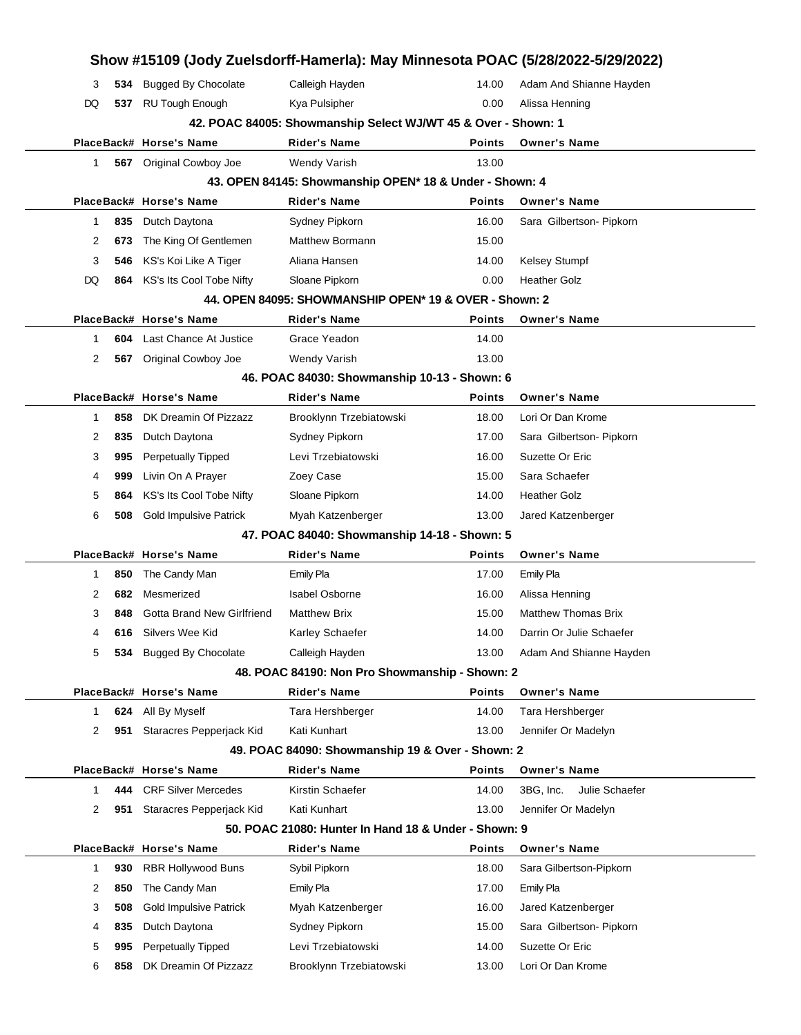|              |     |                                   |                                                                   |               | Show #15109 (Jody Zuelsdorff-Hamerla): May Minnesota POAC (5/28/2022-5/29/2022) |  |
|--------------|-----|-----------------------------------|-------------------------------------------------------------------|---------------|---------------------------------------------------------------------------------|--|
| 3            | 534 | <b>Bugged By Chocolate</b>        | Calleigh Hayden                                                   | 14.00         | Adam And Shianne Hayden                                                         |  |
| DQ           |     | 537 RU Tough Enough               | Kya Pulsipher                                                     | 0.00          | Alissa Henning                                                                  |  |
|              |     |                                   | 42. POAC 84005: Showmanship Select WJ/WT 45 & Over - Shown: 1     |               |                                                                                 |  |
|              |     | PlaceBack# Horse's Name           | <b>Rider's Name</b>                                               | <b>Points</b> | <b>Owner's Name</b>                                                             |  |
| 1            |     | 567 Original Cowboy Joe           | Wendy Varish                                                      | 13.00         |                                                                                 |  |
|              |     |                                   | 43. OPEN 84145: Showmanship OPEN* 18 & Under - Shown: 4           |               |                                                                                 |  |
|              |     | PlaceBack# Horse's Name           | <b>Rider's Name</b>                                               | <b>Points</b> | <b>Owner's Name</b>                                                             |  |
| $\mathbf{1}$ | 835 | Dutch Daytona                     | Sydney Pipkorn                                                    | 16.00         | Sara Gilbertson- Pipkorn                                                        |  |
| 2            | 673 | The King Of Gentlemen             | Matthew Bormann                                                   | 15.00         |                                                                                 |  |
| 3            | 546 | KS's Koi Like A Tiger             | Aliana Hansen                                                     | 14.00         | Kelsey Stumpf                                                                   |  |
| DQ           |     | 864 KS's Its Cool Tobe Nifty      | Sloane Pipkorn                                                    | 0.00          | <b>Heather Golz</b>                                                             |  |
|              |     |                                   | 44. OPEN 84095: SHOWMANSHIP OPEN* 19 & OVER - Shown: 2            |               |                                                                                 |  |
|              |     | PlaceBack# Horse's Name           | <b>Rider's Name</b>                                               | <b>Points</b> | <b>Owner's Name</b>                                                             |  |
| 1            | 604 | Last Chance At Justice            | Grace Yeadon                                                      | 14.00         |                                                                                 |  |
| 2            | 567 | Original Cowboy Joe               | Wendy Varish                                                      | 13.00         |                                                                                 |  |
|              |     |                                   | 46. POAC 84030: Showmanship 10-13 - Shown: 6                      |               |                                                                                 |  |
|              |     | PlaceBack# Horse's Name           | <b>Rider's Name</b>                                               | <b>Points</b> | <b>Owner's Name</b>                                                             |  |
| 1            | 858 | DK Dreamin Of Pizzazz             | Brooklynn Trzebiatowski                                           | 18.00         | Lori Or Dan Krome                                                               |  |
| 2            | 835 | Dutch Daytona                     | Sydney Pipkorn                                                    | 17.00         | Sara Gilbertson- Pipkorn                                                        |  |
| 3            | 995 | <b>Perpetually Tipped</b>         | Levi Trzebiatowski                                                | 16.00         | Suzette Or Eric                                                                 |  |
| 4            | 999 | Livin On A Prayer                 | Zoey Case                                                         | 15.00         | Sara Schaefer                                                                   |  |
| 5            | 864 | KS's Its Cool Tobe Nifty          | Sloane Pipkorn                                                    | 14.00         | <b>Heather Golz</b>                                                             |  |
| 6            | 508 | <b>Gold Impulsive Patrick</b>     | Myah Katzenberger                                                 | 13.00         | Jared Katzenberger                                                              |  |
|              |     |                                   | 47. POAC 84040: Showmanship 14-18 - Shown: 5                      |               |                                                                                 |  |
|              |     | PlaceBack# Horse's Name           | <b>Rider's Name</b>                                               | <b>Points</b> | <b>Owner's Name</b>                                                             |  |
| 1            | 850 | The Candy Man                     | Emily Pla                                                         | 17.00         | <b>Emily Pla</b>                                                                |  |
| 2            | 682 | Mesmerized                        | <b>Isabel Osborne</b>                                             | 16.00         | Alissa Henning                                                                  |  |
| 3            | 848 | <b>Gotta Brand New Girlfriend</b> | <b>Matthew Brix</b>                                               | 15.00         | <b>Matthew Thomas Brix</b>                                                      |  |
| 4            |     | 616 Silvers Wee Kid               | Karley Schaefer                                                   | 14.00         | Darrin Or Julie Schaefer                                                        |  |
| 5            | 534 | <b>Bugged By Chocolate</b>        | Calleigh Hayden<br>48. POAC 84190: Non Pro Showmanship - Shown: 2 | 13.00         | Adam And Shianne Hayden                                                         |  |
|              |     | PlaceBack# Horse's Name           | <b>Rider's Name</b>                                               | <b>Points</b> | <b>Owner's Name</b>                                                             |  |
| 1            | 624 | All By Myself                     | Tara Hershberger                                                  | 14.00         | Tara Hershberger                                                                |  |
| 2            | 951 | Staracres Pepperjack Kid          | Kati Kunhart                                                      | 13.00         | Jennifer Or Madelyn                                                             |  |
|              |     |                                   | 49. POAC 84090: Showmanship 19 & Over - Shown: 2                  |               |                                                                                 |  |
|              |     | PlaceBack# Horse's Name           | <b>Rider's Name</b>                                               | <b>Points</b> | <b>Owner's Name</b>                                                             |  |
| 1            | 444 | <b>CRF Silver Mercedes</b>        | Kirstin Schaefer                                                  | 14.00         | 3BG, Inc.<br>Julie Schaefer                                                     |  |
| 2            | 951 | Staracres Pepperjack Kid          | Kati Kunhart                                                      | 13.00         | Jennifer Or Madelyn                                                             |  |
|              |     |                                   | 50. POAC 21080: Hunter In Hand 18 & Under - Shown: 9              |               |                                                                                 |  |
|              |     | PlaceBack# Horse's Name           | <b>Rider's Name</b>                                               | <b>Points</b> | <b>Owner's Name</b>                                                             |  |
| 1            | 930 | <b>RBR Hollywood Buns</b>         | Sybil Pipkorn                                                     | 18.00         | Sara Gilbertson-Pipkorn                                                         |  |
| 2            | 850 | The Candy Man                     | <b>Emily Pla</b>                                                  | 17.00         | <b>Emily Pla</b>                                                                |  |
| 3            | 508 | <b>Gold Impulsive Patrick</b>     | Myah Katzenberger                                                 | 16.00         | Jared Katzenberger                                                              |  |
| 4            | 835 | Dutch Daytona                     | Sydney Pipkorn                                                    | 15.00         | Sara Gilbertson- Pipkorn                                                        |  |
| 5            | 995 | <b>Perpetually Tipped</b>         | Levi Trzebiatowski                                                | 14.00         | Suzette Or Eric                                                                 |  |
| 6            | 858 | DK Dreamin Of Pizzazz             | Brooklynn Trzebiatowski                                           | 13.00         | Lori Or Dan Krome                                                               |  |
|              |     |                                   |                                                                   |               |                                                                                 |  |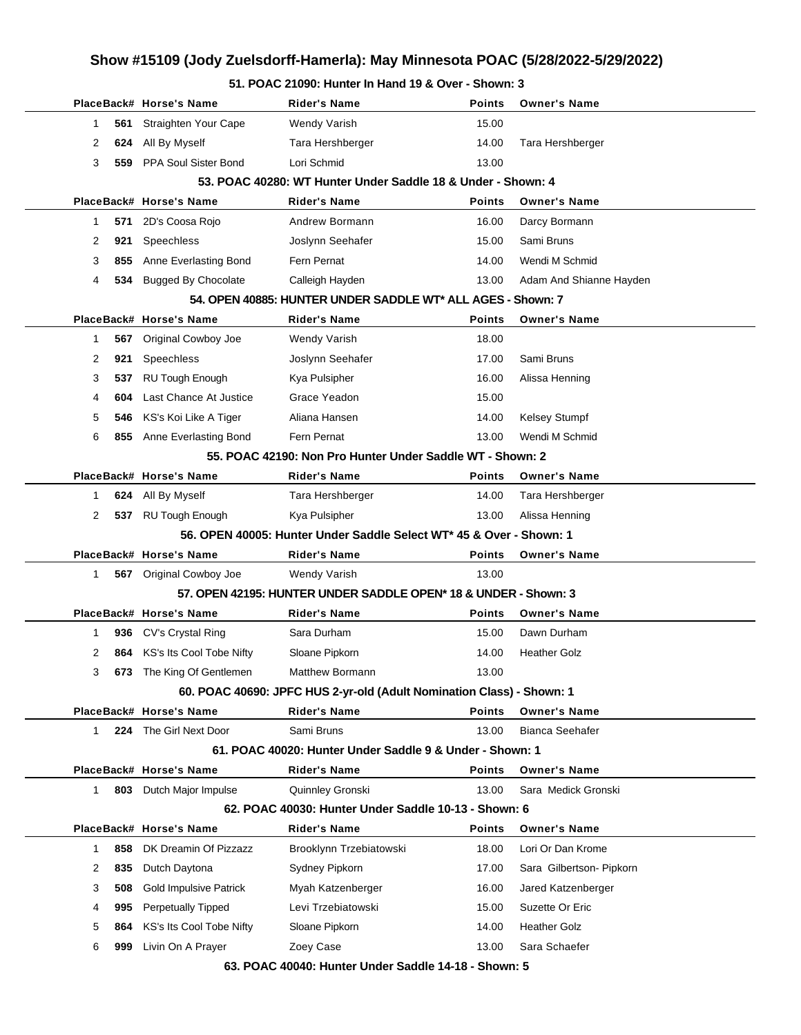#### **51. POAC 21090: Hunter In Hand 19 & Over - Shown: 3**

|              |     | PlaceBack# Horse's Name          | Rider's Name                                                          | <b>Points</b> | <b>Owner's Name</b>      |  |
|--------------|-----|----------------------------------|-----------------------------------------------------------------------|---------------|--------------------------|--|
| 1            | 561 | Straighten Your Cape             | Wendy Varish                                                          | 15.00         |                          |  |
| 2            | 624 | All By Myself                    | Tara Hershberger                                                      | 14.00         | Tara Hershberger         |  |
| 3            | 559 | PPA Soul Sister Bond             | Lori Schmid                                                           | 13.00         |                          |  |
|              |     |                                  | 53. POAC 40280: WT Hunter Under Saddle 18 & Under - Shown: 4          |               |                          |  |
|              |     | PlaceBack# Horse's Name          | <b>Rider's Name</b>                                                   | <b>Points</b> | <b>Owner's Name</b>      |  |
| 1            | 571 | 2D's Coosa Rojo                  | Andrew Bormann                                                        | 16.00         | Darcy Bormann            |  |
| 2            | 921 | Speechless                       | Joslynn Seehafer                                                      | 15.00         | Sami Bruns               |  |
| 3            | 855 | Anne Everlasting Bond            | Fern Pernat                                                           | 14.00         | Wendi M Schmid           |  |
| 4            | 534 | <b>Bugged By Chocolate</b>       | Calleigh Hayden                                                       | 13.00         | Adam And Shianne Hayden  |  |
|              |     |                                  | 54. OPEN 40885: HUNTER UNDER SADDLE WT* ALL AGES - Shown: 7           |               |                          |  |
|              |     | PlaceBack# Horse's Name          | <b>Rider's Name</b>                                                   | Points        | <b>Owner's Name</b>      |  |
| 1            | 567 | Original Cowboy Joe              | <b>Wendy Varish</b>                                                   | 18.00         |                          |  |
| 2            | 921 | Speechless                       | Joslynn Seehafer                                                      | 17.00         | Sami Bruns               |  |
| 3            | 537 | <b>RU Tough Enough</b>           | Kya Pulsipher                                                         | 16.00         | Alissa Henning           |  |
| 4            | 604 | Last Chance At Justice           | Grace Yeadon                                                          | 15.00         |                          |  |
| 5            | 546 | KS's Koi Like A Tiger            | Aliana Hansen                                                         | 14.00         | Kelsey Stumpf            |  |
| 6            | 855 | Anne Everlasting Bond            | Fern Pernat                                                           | 13.00         | Wendi M Schmid           |  |
|              |     |                                  | 55. POAC 42190: Non Pro Hunter Under Saddle WT - Shown: 2             |               |                          |  |
|              |     | PlaceBack# Horse's Name          | <b>Rider's Name</b>                                                   | <b>Points</b> | <b>Owner's Name</b>      |  |
| 1            | 624 | All By Myself                    | Tara Hershberger                                                      | 14.00         | Tara Hershberger         |  |
| 2            |     | 537 RU Tough Enough              | Kya Pulsipher                                                         | 13.00         | Alissa Henning           |  |
|              |     |                                  | 56. OPEN 40005: Hunter Under Saddle Select WT* 45 & Over - Shown: 1   |               |                          |  |
|              |     | PlaceBack# Horse's Name          | <b>Rider's Name</b>                                                   | Points        | <b>Owner's Name</b>      |  |
| 1            |     | 567 Original Cowboy Joe          | Wendy Varish                                                          | 13.00         |                          |  |
|              |     |                                  | 57. OPEN 42195: HUNTER UNDER SADDLE OPEN* 18 & UNDER - Shown: 3       |               |                          |  |
|              |     | PlaceBack# Horse's Name          | <b>Rider's Name</b>                                                   | Points        | <b>Owner's Name</b>      |  |
| 1            | 936 | CV's Crystal Ring                | Sara Durham                                                           | 15.00         | Dawn Durham              |  |
| 2            |     | 864 KS's Its Cool Tobe Nifty     | Sloane Pipkorn                                                        | 14.00         | <b>Heather Golz</b>      |  |
| 3            |     | <b>673</b> The King Of Gentlemen | Matthew Bormann                                                       | 13.00         |                          |  |
|              |     |                                  | 60. POAC 40690: JPFC HUS 2-yr-old (Adult Nomination Class) - Shown: 1 |               |                          |  |
|              |     | PlaceBack# Horse's Name          | <b>Rider's Name</b>                                                   | <b>Points</b> | <b>Owner's Name</b>      |  |
| 1            |     | <b>224</b> The Girl Next Door    | Sami Bruns                                                            | 13.00         | Bianca Seehafer          |  |
|              |     |                                  | 61. POAC 40020: Hunter Under Saddle 9 & Under - Shown: 1              |               |                          |  |
|              |     | PlaceBack# Horse's Name          | <b>Rider's Name</b>                                                   | Points        | <b>Owner's Name</b>      |  |
| $\mathbf{1}$ | 803 | Dutch Major Impulse              | Quinnley Gronski                                                      | 13.00         | Sara Medick Gronski      |  |
|              |     |                                  | 62. POAC 40030: Hunter Under Saddle 10-13 - Shown: 6                  |               |                          |  |
|              |     | PlaceBack# Horse's Name          | <b>Rider's Name</b>                                                   | <b>Points</b> | <b>Owner's Name</b>      |  |
| 1            | 858 | DK Dreamin Of Pizzazz            | Brooklynn Trzebiatowski                                               | 18.00         | Lori Or Dan Krome        |  |
| 2            | 835 | Dutch Daytona                    | Sydney Pipkorn                                                        | 17.00         | Sara Gilbertson- Pipkorn |  |
| 3            | 508 | <b>Gold Impulsive Patrick</b>    | Myah Katzenberger                                                     | 16.00         | Jared Katzenberger       |  |
| 4            | 995 | Perpetually Tipped               | Levi Trzebiatowski                                                    | 15.00         | Suzette Or Eric          |  |
| 5            | 864 | KS's Its Cool Tobe Nifty         | Sloane Pipkorn                                                        | 14.00         | <b>Heather Golz</b>      |  |
| 6            | 999 | Livin On A Prayer                | Zoey Case                                                             | 13.00         | Sara Schaefer            |  |
|              |     |                                  | 63. POAC 40040: Hunter Under Saddle 14-18 - Shown: 5                  |               |                          |  |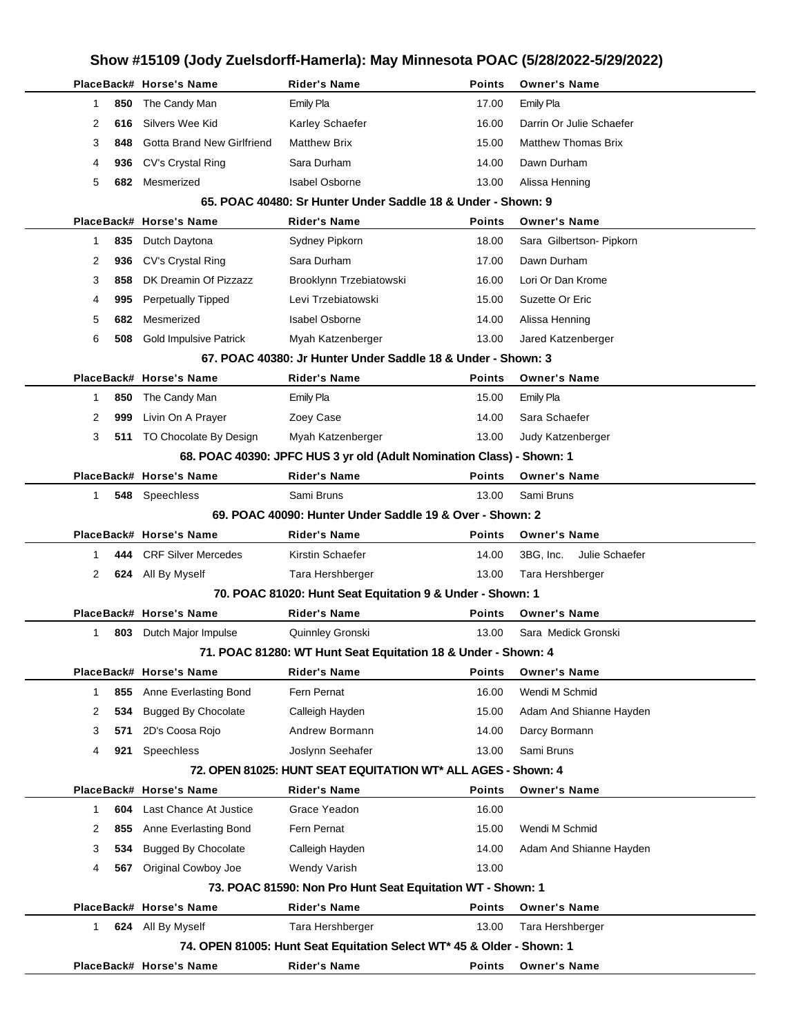|              |     |                                |                                                                       |               | Show #15109 (Jody Zuelsdorff-Hamerla): May Minnesota POAC (5/28/2022-5/29/2022) |  |
|--------------|-----|--------------------------------|-----------------------------------------------------------------------|---------------|---------------------------------------------------------------------------------|--|
|              |     | PlaceBack# Horse's Name        | <b>Rider's Name</b>                                                   | <b>Points</b> | <b>Owner's Name</b>                                                             |  |
| 1            | 850 | The Candy Man                  | Emily Pla                                                             | 17.00         | Emily Pla                                                                       |  |
| 2            | 616 | Silvers Wee Kid                | Karley Schaefer                                                       | 16.00         | Darrin Or Julie Schaefer                                                        |  |
| 3            | 848 | Gotta Brand New Girlfriend     | <b>Matthew Brix</b>                                                   | 15.00         | <b>Matthew Thomas Brix</b>                                                      |  |
| 4            | 936 | CV's Crystal Ring              | Sara Durham                                                           | 14.00         | Dawn Durham                                                                     |  |
| 5            | 682 | Mesmerized                     | <b>Isabel Osborne</b>                                                 | 13.00         | Alissa Henning                                                                  |  |
|              |     |                                | 65. POAC 40480: Sr Hunter Under Saddle 18 & Under - Shown: 9          |               |                                                                                 |  |
|              |     | PlaceBack# Horse's Name        | Rider's Name                                                          | Points        | <b>Owner's Name</b>                                                             |  |
| 1            | 835 | Dutch Daytona                  | Sydney Pipkorn                                                        | 18.00         | Sara Gilbertson- Pipkorn                                                        |  |
| 2            | 936 | CV's Crystal Ring              | Sara Durham                                                           | 17.00         | Dawn Durham                                                                     |  |
| 3            | 858 | DK Dreamin Of Pizzazz          | Brooklynn Trzebiatowski                                               | 16.00         | Lori Or Dan Krome                                                               |  |
| 4            | 995 | Perpetually Tipped             | Levi Trzebiatowski                                                    | 15.00         | Suzette Or Eric                                                                 |  |
| 5            | 682 | Mesmerized                     | <b>Isabel Osborne</b>                                                 | 14.00         | Alissa Henning                                                                  |  |
| 6            | 508 | <b>Gold Impulsive Patrick</b>  | Myah Katzenberger                                                     | 13.00         | Jared Katzenberger                                                              |  |
|              |     |                                | 67. POAC 40380: Jr Hunter Under Saddle 18 & Under - Shown: 3          |               |                                                                                 |  |
|              |     | PlaceBack# Horse's Name        | <b>Rider's Name</b>                                                   | <b>Points</b> | <b>Owner's Name</b>                                                             |  |
| 1            | 850 | The Candy Man                  | <b>Emily Pla</b>                                                      | 15.00         | Emily Pla                                                                       |  |
| 2            | 999 | Livin On A Prayer              | Zoey Case                                                             | 14.00         | Sara Schaefer                                                                   |  |
| 3            |     | 511 TO Chocolate By Design     | Myah Katzenberger                                                     | 13.00         | Judy Katzenberger                                                               |  |
|              |     |                                | 68. POAC 40390: JPFC HUS 3 yr old (Adult Nomination Class) - Shown: 1 |               |                                                                                 |  |
|              |     | PlaceBack# Horse's Name        | <b>Rider's Name</b>                                                   | <b>Points</b> | <b>Owner's Name</b>                                                             |  |
| $\mathbf{1}$ |     | 548 Speechless                 | Sami Bruns                                                            | 13.00         | Sami Bruns                                                                      |  |
|              |     |                                | 69. POAC 40090: Hunter Under Saddle 19 & Over - Shown: 2              |               |                                                                                 |  |
|              |     | PlaceBack# Horse's Name        | <b>Rider's Name</b>                                                   | Points        | <b>Owner's Name</b>                                                             |  |
| 1            |     | 444 CRF Silver Mercedes        | Kirstin Schaefer                                                      | 14.00         | 3BG, Inc.<br>Julie Schaefer                                                     |  |
| 2            |     | 624 All By Myself              | Tara Hershberger                                                      | 13.00         | Tara Hershberger                                                                |  |
|              |     |                                | 70. POAC 81020: Hunt Seat Equitation 9 & Under - Shown: 1             |               |                                                                                 |  |
|              |     | PlaceBack# Horse's Name        | <b>Rider's Name</b>                                                   | Points        | <b>Owner's Name</b>                                                             |  |
| 1            |     | <b>803</b> Dutch Major Impulse | Quinnley Gronski                                                      | 13.00         | Sara Medick Gronski                                                             |  |
|              |     |                                | 71. POAC 81280: WT Hunt Seat Equitation 18 & Under - Shown: 4         |               |                                                                                 |  |
|              |     | PlaceBack# Horse's Name        | <b>Rider's Name</b>                                                   | Points        | <b>Owner's Name</b>                                                             |  |
| 1            | 855 | Anne Everlasting Bond          | Fern Pernat                                                           | 16.00         | Wendi M Schmid                                                                  |  |
| 2            | 534 | <b>Bugged By Chocolate</b>     | Calleigh Hayden                                                       | 15.00         | Adam And Shianne Hayden                                                         |  |
| 3            | 571 | 2D's Coosa Rojo                | Andrew Bormann                                                        | 14.00         | Darcy Bormann                                                                   |  |
| 4            | 921 | Speechless                     | Joslynn Seehafer                                                      | 13.00         | Sami Bruns                                                                      |  |
|              |     |                                | 72. OPEN 81025: HUNT SEAT EQUITATION WT* ALL AGES - Shown: 4          |               |                                                                                 |  |
|              |     | PlaceBack# Horse's Name        | <b>Rider's Name</b>                                                   | <b>Points</b> | <b>Owner's Name</b>                                                             |  |
| 1            | 604 | Last Chance At Justice         | Grace Yeadon                                                          | 16.00         |                                                                                 |  |
| 2            | 855 | Anne Everlasting Bond          | Fern Pernat                                                           | 15.00         | Wendi M Schmid                                                                  |  |
| 3            | 534 | <b>Bugged By Chocolate</b>     | Calleigh Hayden                                                       | 14.00         | Adam And Shianne Hayden                                                         |  |
| 4            |     | 567 Original Cowboy Joe        | <b>Wendy Varish</b>                                                   | 13.00         |                                                                                 |  |
|              |     |                                | 73. POAC 81590: Non Pro Hunt Seat Equitation WT - Shown: 1            |               |                                                                                 |  |
|              |     | PlaceBack# Horse's Name        | <b>Rider's Name</b>                                                   | <b>Points</b> | <b>Owner's Name</b>                                                             |  |
| 1            |     | 624 All By Myself              | Tara Hershberger                                                      | 13.00         | Tara Hershberger                                                                |  |
|              |     |                                | 74. OPEN 81005: Hunt Seat Equitation Select WT* 45 & Older - Shown: 1 |               |                                                                                 |  |
|              |     | PlaceBack# Horse's Name        | <b>Rider's Name</b>                                                   | <b>Points</b> | <b>Owner's Name</b>                                                             |  |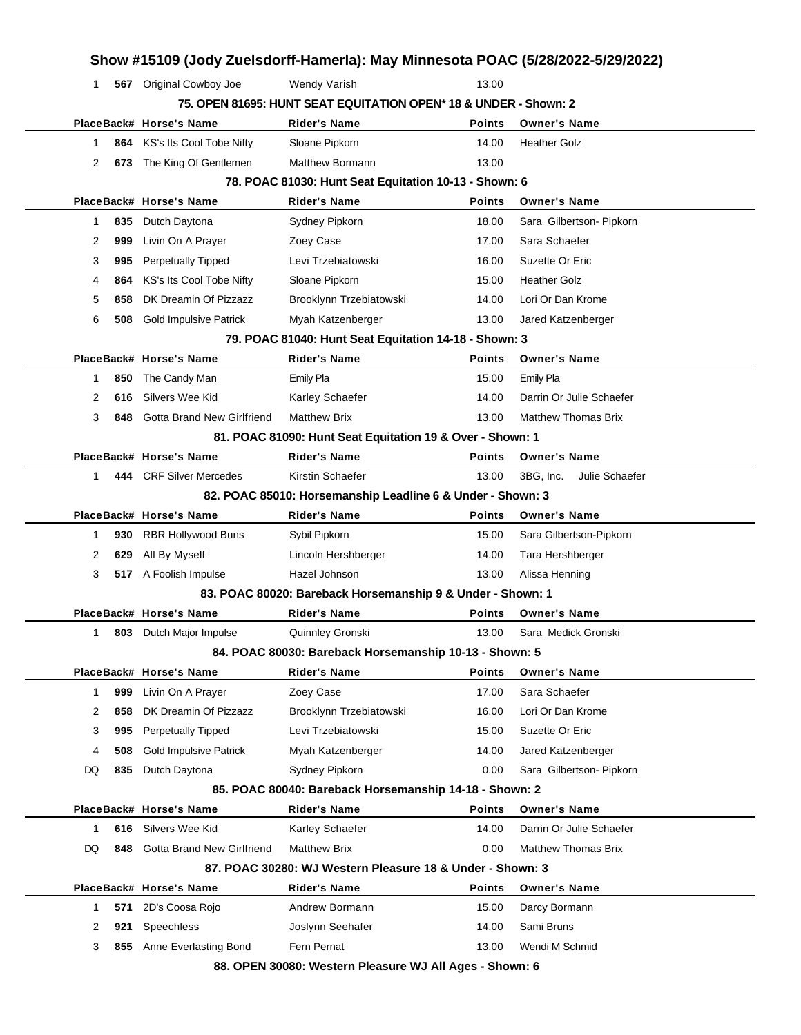| 1           |     | 567 Original Cowboy Joe           | <b>Wendy Varish</b>                                              | 13.00         |                             |
|-------------|-----|-----------------------------------|------------------------------------------------------------------|---------------|-----------------------------|
|             |     |                                   | 75. OPEN 81695: HUNT SEAT EQUITATION OPEN* 18 & UNDER - Shown: 2 |               |                             |
|             |     | PlaceBack# Horse's Name           | Rider's Name                                                     | <b>Points</b> | <b>Owner's Name</b>         |
| 1           | 864 | KS's Its Cool Tobe Nifty          | Sloane Pipkorn                                                   | 14.00         | <b>Heather Golz</b>         |
| 2           | 673 | The King Of Gentlemen             | Matthew Bormann                                                  | 13.00         |                             |
|             |     |                                   | 78. POAC 81030: Hunt Seat Equitation 10-13 - Shown: 6            |               |                             |
|             |     | PlaceBack# Horse's Name           | <b>Rider's Name</b>                                              | <b>Points</b> | <b>Owner's Name</b>         |
| 1           | 835 | Dutch Daytona                     | Sydney Pipkorn                                                   | 18.00         | Sara Gilbertson- Pipkorn    |
| 2           | 999 | Livin On A Prayer                 | Zoey Case                                                        | 17.00         | Sara Schaefer               |
| 3           | 995 | <b>Perpetually Tipped</b>         | Levi Trzebiatowski                                               | 16.00         | Suzette Or Eric             |
| 4           | 864 | KS's Its Cool Tobe Nifty          | Sloane Pipkorn                                                   | 15.00         | <b>Heather Golz</b>         |
| 5           | 858 | DK Dreamin Of Pizzazz             | Brooklynn Trzebiatowski                                          | 14.00         | Lori Or Dan Krome           |
| 6           | 508 | <b>Gold Impulsive Patrick</b>     | Myah Katzenberger                                                | 13.00         | Jared Katzenberger          |
|             |     |                                   | 79. POAC 81040: Hunt Seat Equitation 14-18 - Shown: 3            |               |                             |
|             |     | PlaceBack# Horse's Name           | <b>Rider's Name</b>                                              | Points        | <b>Owner's Name</b>         |
| 1           | 850 | The Candy Man                     | <b>Emily Pla</b>                                                 | 15.00         | Emily Pla                   |
| 2           | 616 | Silvers Wee Kid                   | Karley Schaefer                                                  | 14.00         | Darrin Or Julie Schaefer    |
| 3           | 848 | <b>Gotta Brand New Girlfriend</b> | <b>Matthew Brix</b>                                              | 13.00         | <b>Matthew Thomas Brix</b>  |
|             |     |                                   | 81. POAC 81090: Hunt Seat Equitation 19 & Over - Shown: 1        |               |                             |
|             |     | PlaceBack# Horse's Name           | <b>Rider's Name</b>                                              | <b>Points</b> | <b>Owner's Name</b>         |
| 1           |     | 444 CRF Silver Mercedes           | Kirstin Schaefer                                                 | 13.00         | 3BG, Inc.<br>Julie Schaefer |
|             |     |                                   | 82. POAC 85010: Horsemanship Leadline 6 & Under - Shown: 3       |               |                             |
|             |     | PlaceBack# Horse's Name           | <b>Rider's Name</b>                                              | Points        | <b>Owner's Name</b>         |
| 1           | 930 | <b>RBR Hollywood Buns</b>         | Sybil Pipkorn                                                    | 15.00         | Sara Gilbertson-Pipkorn     |
| 2           | 629 | All By Myself                     | Lincoln Hershberger                                              | 14.00         | Tara Hershberger            |
| 3           |     | 517 A Foolish Impulse             | Hazel Johnson                                                    | 13.00         | Alissa Henning              |
|             |     |                                   | 83. POAC 80020: Bareback Horsemanship 9 & Under - Shown: 1       |               |                             |
|             |     | PlaceBack# Horse's Name           | <b>Rider's Name</b>                                              | <b>Points</b> | <b>Owner's Name</b>         |
| 1           |     | <b>803</b> Dutch Major Impulse    | Quinnley Gronski                                                 | 13.00         | Sara Medick Gronski         |
|             |     |                                   | 84. POAC 80030: Bareback Horsemanship 10-13 - Shown: 5           |               |                             |
|             |     | PlaceBack# Horse's Name           | Rider's Name                                                     | <b>Points</b> | <b>Owner's Name</b>         |
| $\mathbf 1$ | 999 | Livin On A Prayer                 | Zoey Case                                                        | 17.00         | Sara Schaefer               |
| 2           | 858 | DK Dreamin Of Pizzazz             | Brooklynn Trzebiatowski                                          | 16.00         | Lori Or Dan Krome           |
| 3           | 995 | <b>Perpetually Tipped</b>         | Levi Trzebiatowski                                               | 15.00         | Suzette Or Eric             |
|             | 508 | <b>Gold Impulsive Patrick</b>     | Myah Katzenberger                                                | 14.00         | Jared Katzenberger          |
| 4           | 835 | Dutch Daytona                     | Sydney Pipkorn                                                   | 0.00          | Sara Gilbertson- Pipkorn    |
| DQ          |     |                                   | 85. POAC 80040: Bareback Horsemanship 14-18 - Shown: 2           |               |                             |
|             |     |                                   |                                                                  |               |                             |
|             |     | PlaceBack# Horse's Name           | <b>Rider's Name</b>                                              | Points        | <b>Owner's Name</b>         |
| 1           | 616 | Silvers Wee Kid                   | Karley Schaefer                                                  | 14.00         | Darrin Or Julie Schaefer    |
| DQ          | 848 | Gotta Brand New Girlfriend        | <b>Matthew Brix</b>                                              | 0.00          | <b>Matthew Thomas Brix</b>  |
|             |     |                                   | 87. POAC 30280: WJ Western Pleasure 18 & Under - Shown: 3        |               |                             |
|             |     | PlaceBack# Horse's Name           | <b>Rider's Name</b>                                              | Points        | <b>Owner's Name</b>         |
| 1           | 571 | 2D's Coosa Rojo                   | Andrew Bormann                                                   | 15.00         | Darcy Bormann               |
| 2           | 921 | Speechless                        | Joslynn Seehafer                                                 | 14.00         | Sami Bruns                  |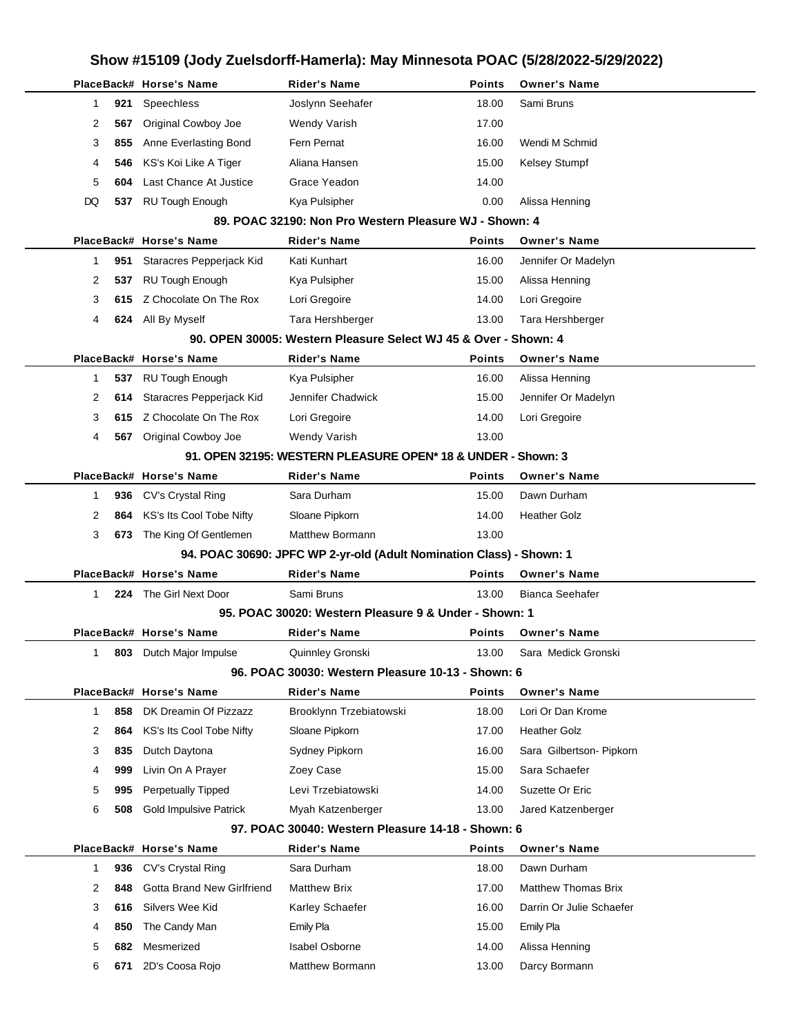|             |     | PlaceBack# Horse's Name       | Rider's Name                                                         | <b>Points</b> | <b>Owner's Name</b>        |
|-------------|-----|-------------------------------|----------------------------------------------------------------------|---------------|----------------------------|
| 1           | 921 | Speechless                    | Joslynn Seehafer                                                     | 18.00         | Sami Bruns                 |
| 2           | 567 | Original Cowboy Joe           | Wendy Varish                                                         | 17.00         |                            |
| 3           | 855 | Anne Everlasting Bond         | Fern Pernat                                                          | 16.00         | Wendi M Schmid             |
| 4           | 546 | KS's Koi Like A Tiger         | Aliana Hansen                                                        | 15.00         | Kelsey Stumpf              |
| 5           | 604 | Last Chance At Justice        | Grace Yeadon                                                         | 14.00         |                            |
| DQ          |     | 537 RU Tough Enough           | Kya Pulsipher                                                        | 0.00          | Alissa Henning             |
|             |     |                               | 89. POAC 32190: Non Pro Western Pleasure WJ - Shown: 4               |               |                            |
|             |     | PlaceBack# Horse's Name       | <b>Rider's Name</b>                                                  | <b>Points</b> | <b>Owner's Name</b>        |
| 1           |     | 951 Staracres Pepperjack Kid  | Kati Kunhart                                                         | 16.00         | Jennifer Or Madelyn        |
| 2           | 537 | <b>RU Tough Enough</b>        | Kya Pulsipher                                                        | 15.00         | Alissa Henning             |
| 3           |     | 615 Z Chocolate On The Rox    | Lori Gregoire                                                        | 14.00         | Lori Gregoire              |
| 4           |     | 624 All By Myself             | Tara Hershberger                                                     | 13.00         | Tara Hershberger           |
|             |     |                               | 90. OPEN 30005: Western Pleasure Select WJ 45 & Over - Shown: 4      |               |                            |
|             |     | PlaceBack# Horse's Name       | <b>Rider's Name</b>                                                  | <b>Points</b> | <b>Owner's Name</b>        |
| 1           |     | 537 RU Tough Enough           | Kya Pulsipher                                                        | 16.00         | Alissa Henning             |
| 2           |     | 614 Staracres Pepperjack Kid  | Jennifer Chadwick                                                    | 15.00         | Jennifer Or Madelyn        |
| 3           |     | 615 Z Chocolate On The Rox    | Lori Gregoire                                                        | 14.00         | Lori Gregoire              |
| 4           |     | 567 Original Cowboy Joe       | Wendy Varish                                                         | 13.00         |                            |
|             |     |                               | 91. OPEN 32195: WESTERN PLEASURE OPEN* 18 & UNDER - Shown: 3         |               |                            |
|             |     | PlaceBack# Horse's Name       | <b>Rider's Name</b>                                                  | <b>Points</b> | <b>Owner's Name</b>        |
| 1           |     | 936 CV's Crystal Ring         | Sara Durham                                                          | 15.00         | Dawn Durham                |
| 2           |     | 864 KS's Its Cool Tobe Nifty  | Sloane Pipkorn                                                       | 14.00         | <b>Heather Golz</b>        |
| 3           |     | 673 The King Of Gentlemen     | Matthew Bormann                                                      | 13.00         |                            |
|             |     |                               | 94. POAC 30690: JPFC WP 2-yr-old (Adult Nomination Class) - Shown: 1 |               |                            |
|             |     | PlaceBack# Horse's Name       | Rider's Name                                                         | Points        | <b>Owner's Name</b>        |
| $\mathbf 1$ |     | 224 The Girl Next Door        | Sami Bruns                                                           | 13.00         | <b>Bianca Seehafer</b>     |
|             |     |                               | 95. POAC 30020: Western Pleasure 9 & Under - Shown: 1                |               |                            |
|             |     | PlaceBack# Horse's Name       | <b>Rider's Name</b>                                                  | <b>Points</b> | <b>Owner's Name</b>        |
|             |     | 803 Dutch Major Impulse       | Quinnley Gronski                                                     | 13.00         | Sara Medick Gronski        |
|             |     |                               | 96. POAC 30030: Western Pleasure 10-13 - Shown: 6                    |               |                            |
|             |     | PlaceBack# Horse's Name       | <b>Rider's Name</b>                                                  | Points        | <b>Owner's Name</b>        |
| 1           | 858 | DK Dreamin Of Pizzazz         | Brooklynn Trzebiatowski                                              | 18.00         | Lori Or Dan Krome          |
| 2           | 864 | KS's Its Cool Tobe Nifty      | Sloane Pipkorn                                                       | 17.00         | <b>Heather Golz</b>        |
| 3           | 835 | Dutch Daytona                 | Sydney Pipkorn                                                       | 16.00         | Sara Gilbertson- Pipkorn   |
| 4           | 999 | Livin On A Prayer             | Zoey Case                                                            | 15.00         | Sara Schaefer              |
| 5           | 995 | <b>Perpetually Tipped</b>     | Levi Trzebiatowski                                                   | 14.00         | Suzette Or Eric            |
| 6           | 508 | <b>Gold Impulsive Patrick</b> | Myah Katzenberger                                                    | 13.00         | Jared Katzenberger         |
|             |     |                               | 97. POAC 30040: Western Pleasure 14-18 - Shown: 6                    |               |                            |
|             |     | PlaceBack# Horse's Name       | Rider's Name                                                         | Points        | <b>Owner's Name</b>        |
| 1           | 936 | CV's Crystal Ring             | Sara Durham                                                          | 18.00         | Dawn Durham                |
| 2           | 848 | Gotta Brand New Girlfriend    | <b>Matthew Brix</b>                                                  | 17.00         | <b>Matthew Thomas Brix</b> |
| 3           | 616 | Silvers Wee Kid               | Karley Schaefer                                                      | 16.00         | Darrin Or Julie Schaefer   |
| 4           | 850 | The Candy Man                 | Emily Pla                                                            | 15.00         | <b>Emily Pla</b>           |
| 5           | 682 | Mesmerized                    | <b>Isabel Osborne</b>                                                | 14.00         | Alissa Henning             |
| 6           | 671 | 2D's Coosa Rojo               | Matthew Bormann                                                      | 13.00         | Darcy Bormann              |
|             |     |                               |                                                                      |               |                            |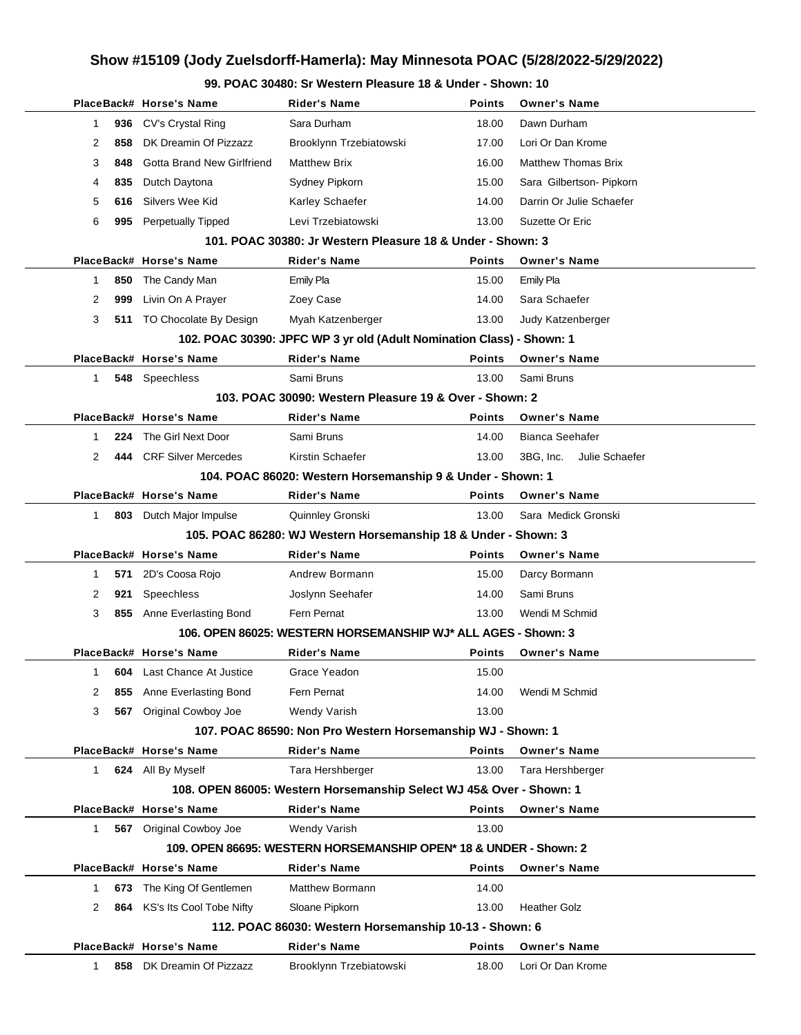### **99. POAC 30480: Sr Western Pleasure 18 & Under - Shown: 10**

|                                                                       |     | PlaceBack# Horse's Name           | <b>Rider's Name</b>                                                 | Points        | <b>Owner's Name</b>         |  |  |  |
|-----------------------------------------------------------------------|-----|-----------------------------------|---------------------------------------------------------------------|---------------|-----------------------------|--|--|--|
| 1                                                                     | 936 | CV's Crystal Ring                 | Sara Durham                                                         | 18.00         | Dawn Durham                 |  |  |  |
| 2                                                                     | 858 | DK Dreamin Of Pizzazz             | Brooklynn Trzebiatowski                                             | 17.00         | Lori Or Dan Krome           |  |  |  |
| 3                                                                     | 848 | Gotta Brand New Girlfriend        | <b>Matthew Brix</b>                                                 | 16.00         | <b>Matthew Thomas Brix</b>  |  |  |  |
| 4                                                                     | 835 | Dutch Daytona                     | Sydney Pipkorn                                                      | 15.00         | Sara Gilbertson- Pipkorn    |  |  |  |
| 5                                                                     | 616 | Silvers Wee Kid                   | Karley Schaefer                                                     | 14.00         | Darrin Or Julie Schaefer    |  |  |  |
| 6                                                                     | 995 | Perpetually Tipped                | Levi Trzebiatowski                                                  | 13.00         | Suzette Or Eric             |  |  |  |
|                                                                       |     |                                   | 101. POAC 30380: Jr Western Pleasure 18 & Under - Shown: 3          |               |                             |  |  |  |
|                                                                       |     | PlaceBack# Horse's Name           | <b>Rider's Name</b>                                                 | <b>Points</b> | <b>Owner's Name</b>         |  |  |  |
| $\mathbf{1}$                                                          | 850 | The Candy Man                     | Emily Pla                                                           | 15.00         | Emily Pla                   |  |  |  |
| 2                                                                     | 999 | Livin On A Prayer                 | Zoey Case                                                           | 14.00         | Sara Schaefer               |  |  |  |
| 3                                                                     |     | 511 TO Chocolate By Design        | Myah Katzenberger                                                   | 13.00         | Judy Katzenberger           |  |  |  |
| 102. POAC 30390: JPFC WP 3 yr old (Adult Nomination Class) - Shown: 1 |     |                                   |                                                                     |               |                             |  |  |  |
|                                                                       |     | PlaceBack# Horse's Name           | <b>Rider's Name</b>                                                 | Points        | <b>Owner's Name</b>         |  |  |  |
| 1                                                                     |     | 548 Speechless                    | Sami Bruns                                                          | 13.00         | Sami Bruns                  |  |  |  |
|                                                                       |     |                                   | 103. POAC 30090: Western Pleasure 19 & Over - Shown: 2              |               |                             |  |  |  |
|                                                                       |     | PlaceBack# Horse's Name           | <b>Rider's Name</b>                                                 | <b>Points</b> | <b>Owner's Name</b>         |  |  |  |
| 1                                                                     | 224 | The Girl Next Door                | Sami Bruns                                                          | 14.00         | Bianca Seehafer             |  |  |  |
| 2                                                                     | 444 | <b>CRF Silver Mercedes</b>        | Kirstin Schaefer                                                    | 13.00         | 3BG, Inc.<br>Julie Schaefer |  |  |  |
| 104. POAC 86020: Western Horsemanship 9 & Under - Shown: 1            |     |                                   |                                                                     |               |                             |  |  |  |
|                                                                       |     | PlaceBack# Horse's Name           | <b>Rider's Name</b>                                                 | <b>Points</b> | <b>Owner's Name</b>         |  |  |  |
| 1.                                                                    |     | 803 Dutch Major Impulse           | Quinnley Gronski                                                    | 13.00         | Sara Medick Gronski         |  |  |  |
|                                                                       |     |                                   | 105. POAC 86280: WJ Western Horsemanship 18 & Under - Shown: 3      |               |                             |  |  |  |
|                                                                       |     | PlaceBack# Horse's Name           | <b>Rider's Name</b>                                                 | <b>Points</b> | <b>Owner's Name</b>         |  |  |  |
| 1.                                                                    | 571 | 2D's Coosa Rojo                   | Andrew Bormann                                                      | 15.00         | Darcy Bormann               |  |  |  |
| 2                                                                     | 921 | Speechless                        | Joslynn Seehafer                                                    | 14.00         | Sami Bruns                  |  |  |  |
| 3                                                                     | 855 | Anne Everlasting Bond             | Fern Pernat                                                         | 13.00         | Wendi M Schmid              |  |  |  |
|                                                                       |     |                                   | 106. OPEN 86025: WESTERN HORSEMANSHIP WJ* ALL AGES - Shown: 3       |               |                             |  |  |  |
|                                                                       |     | PlaceBack# Horse's Name           | <b>Rider's Name</b>                                                 | Points        | <b>Owner's Name</b>         |  |  |  |
| 1                                                                     |     | <b>604</b> Last Chance At Justice | Grace Yeadon                                                        | 15.00         |                             |  |  |  |
| 2                                                                     | 855 | Anne Everlasting Bond             | Fern Pernat                                                         | 14.00         | Wendi M Schmid              |  |  |  |
| 3                                                                     | 567 | Original Cowboy Joe               | Wendy Varish                                                        | 13.00         |                             |  |  |  |
|                                                                       |     |                                   | 107. POAC 86590: Non Pro Western Horsemanship WJ - Shown: 1         |               |                             |  |  |  |
|                                                                       |     | PlaceBack# Horse's Name           | <b>Rider's Name</b>                                                 | Points        | <b>Owner's Name</b>         |  |  |  |
| 1                                                                     |     | 624 All By Myself                 | Tara Hershberger                                                    | 13.00         | Tara Hershberger            |  |  |  |
|                                                                       |     |                                   | 108. OPEN 86005: Western Horsemanship Select WJ 45& Over - Shown: 1 |               |                             |  |  |  |
|                                                                       |     | PlaceBack# Horse's Name           | <b>Rider's Name</b>                                                 | Points        | <b>Owner's Name</b>         |  |  |  |
| 1.                                                                    |     | 567 Original Cowboy Joe           | Wendy Varish                                                        | 13.00         |                             |  |  |  |
|                                                                       |     |                                   | 109. OPEN 86695: WESTERN HORSEMANSHIP OPEN* 18 & UNDER - Shown: 2   |               |                             |  |  |  |
|                                                                       |     | PlaceBack# Horse's Name           | <b>Rider's Name</b>                                                 | Points        | <b>Owner's Name</b>         |  |  |  |
| 1                                                                     | 673 | The King Of Gentlemen             | <b>Matthew Bormann</b>                                              | 14.00         |                             |  |  |  |
| 2                                                                     | 864 | KS's Its Cool Tobe Nifty          | Sloane Pipkorn                                                      | 13.00         | <b>Heather Golz</b>         |  |  |  |
|                                                                       |     |                                   | 112. POAC 86030: Western Horsemanship 10-13 - Shown: 6              |               |                             |  |  |  |
|                                                                       |     | PlaceBack# Horse's Name           | <b>Rider's Name</b>                                                 | Points        | <b>Owner's Name</b>         |  |  |  |
| 1                                                                     | 858 | DK Dreamin Of Pizzazz             | Brooklynn Trzebiatowski                                             | 18.00         | Lori Or Dan Krome           |  |  |  |
|                                                                       |     |                                   |                                                                     |               |                             |  |  |  |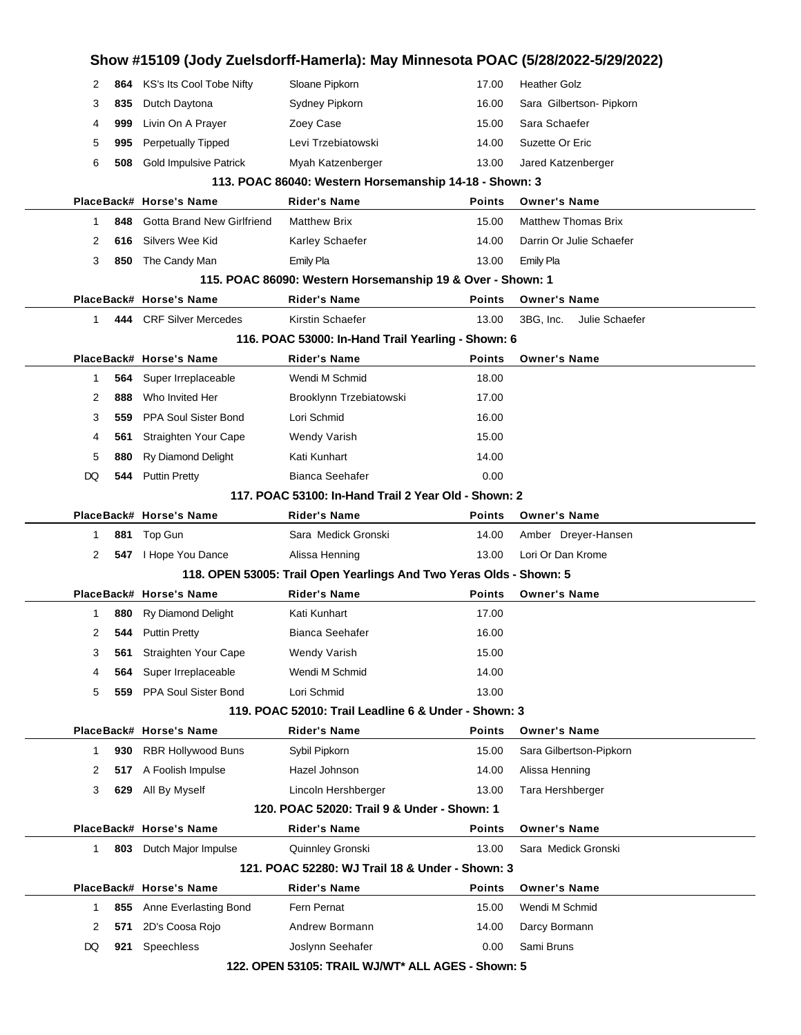|              |     |                               |                                                                     |               | Show #15109 (Jody Zuelsdorff-Hamerla): May Minnesota POAC (5/28/2022-5/29/2022) |  |
|--------------|-----|-------------------------------|---------------------------------------------------------------------|---------------|---------------------------------------------------------------------------------|--|
| 2            | 864 | KS's Its Cool Tobe Nifty      | Sloane Pipkorn                                                      | 17.00         | <b>Heather Golz</b>                                                             |  |
| 3            | 835 | Dutch Daytona                 | Sydney Pipkorn                                                      | 16.00         | Sara Gilbertson- Pipkorn                                                        |  |
| 4            | 999 | Livin On A Prayer             | Zoey Case                                                           | 15.00         | Sara Schaefer                                                                   |  |
| 5            | 995 | <b>Perpetually Tipped</b>     | Levi Trzebiatowski                                                  | 14.00         | Suzette Or Eric                                                                 |  |
| 6            | 508 | <b>Gold Impulsive Patrick</b> | Myah Katzenberger                                                   | 13.00         | Jared Katzenberger                                                              |  |
|              |     |                               | 113. POAC 86040: Western Horsemanship 14-18 - Shown: 3              |               |                                                                                 |  |
|              |     | PlaceBack# Horse's Name       | <b>Rider's Name</b>                                                 | <b>Points</b> | <b>Owner's Name</b>                                                             |  |
| 1            | 848 | Gotta Brand New Girlfriend    | <b>Matthew Brix</b>                                                 | 15.00         | <b>Matthew Thomas Brix</b>                                                      |  |
| 2            | 616 | Silvers Wee Kid               | Karley Schaefer                                                     | 14.00         | Darrin Or Julie Schaefer                                                        |  |
| 3            | 850 | The Candy Man                 | Emily Pla                                                           | 13.00         | Emily Pla                                                                       |  |
|              |     |                               | 115. POAC 86090: Western Horsemanship 19 & Over - Shown: 1          |               |                                                                                 |  |
|              |     | PlaceBack# Horse's Name       | <b>Rider's Name</b>                                                 | <b>Points</b> | <b>Owner's Name</b>                                                             |  |
| $\mathbf{1}$ |     | 444 CRF Silver Mercedes       | Kirstin Schaefer                                                    | 13.00         | 3BG. Inc.<br>Julie Schaefer                                                     |  |
|              |     |                               | 116. POAC 53000: In-Hand Trail Yearling - Shown: 6                  |               |                                                                                 |  |
|              |     | PlaceBack# Horse's Name       | <b>Rider's Name</b>                                                 | <b>Points</b> | <b>Owner's Name</b>                                                             |  |
| 1            | 564 | Super Irreplaceable           | Wendi M Schmid                                                      | 18.00         |                                                                                 |  |
| 2            | 888 | Who Invited Her               | Brooklynn Trzebiatowski                                             | 17.00         |                                                                                 |  |
| 3            | 559 | PPA Soul Sister Bond          | Lori Schmid                                                         | 16.00         |                                                                                 |  |
| 4            | 561 | Straighten Your Cape          | Wendy Varish                                                        | 15.00         |                                                                                 |  |
| 5            | 880 | <b>Ry Diamond Delight</b>     | Kati Kunhart                                                        | 14.00         |                                                                                 |  |
| DQ           | 544 | <b>Puttin Pretty</b>          | <b>Bianca Seehafer</b>                                              | 0.00          |                                                                                 |  |
|              |     |                               | 117, POAC 53100: In-Hand Trail 2 Year Old - Shown: 2                |               |                                                                                 |  |
|              |     | PlaceBack# Horse's Name       | <b>Rider's Name</b>                                                 | <b>Points</b> | <b>Owner's Name</b>                                                             |  |
| 1            | 881 | Top Gun                       | Sara Medick Gronski                                                 | 14.00         | Amber Dreyer-Hansen                                                             |  |
| 2            |     | 547   Hope You Dance          | Alissa Henning                                                      | 13.00         | Lori Or Dan Krome                                                               |  |
|              |     |                               | 118. OPEN 53005: Trail Open Yearlings And Two Yeras Olds - Shown: 5 |               |                                                                                 |  |
|              |     | PlaceBack# Horse's Name       | <b>Rider's Name</b>                                                 | <b>Points</b> | <b>Owner's Name</b>                                                             |  |
| 1            | 880 | <b>Ry Diamond Delight</b>     | Kati Kunhart                                                        | 17.00         |                                                                                 |  |
| 2            | 544 | <b>Puttin Pretty</b>          | <b>Bianca Seehafer</b>                                              | 16.00         |                                                                                 |  |
| 3            | 561 | Straighten Your Cape          | Wendy Varish                                                        | 15.00         |                                                                                 |  |
| 4            | 564 | Super Irreplaceable           | Wendi M Schmid                                                      | 14.00         |                                                                                 |  |
| 5            | 559 | PPA Soul Sister Bond          | Lori Schmid                                                         | 13.00         |                                                                                 |  |
|              |     |                               | 119. POAC 52010: Trail Leadline 6 & Under - Shown: 3                |               |                                                                                 |  |
|              |     | PlaceBack# Horse's Name       | <b>Rider's Name</b>                                                 | <b>Points</b> | <b>Owner's Name</b>                                                             |  |
| 1            | 930 | <b>RBR Hollywood Buns</b>     | Sybil Pipkorn                                                       | 15.00         | Sara Gilbertson-Pipkorn                                                         |  |
| 2            | 517 | A Foolish Impulse             | Hazel Johnson                                                       | 14.00         | Alissa Henning                                                                  |  |
| 3            | 629 | All By Myself                 | Lincoln Hershberger                                                 | 13.00         | Tara Hershberger                                                                |  |
|              |     |                               | 120. POAC 52020: Trail 9 & Under - Shown: 1                         |               |                                                                                 |  |
|              |     | PlaceBack# Horse's Name       | <b>Rider's Name</b>                                                 | <b>Points</b> | <b>Owner's Name</b>                                                             |  |
| 1            | 803 | Dutch Major Impulse           | Quinnley Gronski                                                    | 13.00         | Sara Medick Gronski                                                             |  |
|              |     |                               | 121, POAC 52280: WJ Trail 18 & Under - Shown: 3                     |               |                                                                                 |  |
|              |     | PlaceBack# Horse's Name       | Rider's Name                                                        | <b>Points</b> | <b>Owner's Name</b>                                                             |  |
| 1            | 855 | Anne Everlasting Bond         | Fern Pernat                                                         | 15.00         | Wendi M Schmid                                                                  |  |
| 2            | 571 | 2D's Coosa Rojo               | Andrew Bormann                                                      | 14.00         | Darcy Bormann                                                                   |  |
| DQ           | 921 | Speechless                    | Joslynn Seehafer                                                    | 0.00          | Sami Bruns                                                                      |  |
|              |     |                               | 122. OPEN 53105: TRAIL WJ/WT* ALL AGES - Shown: 5                   |               |                                                                                 |  |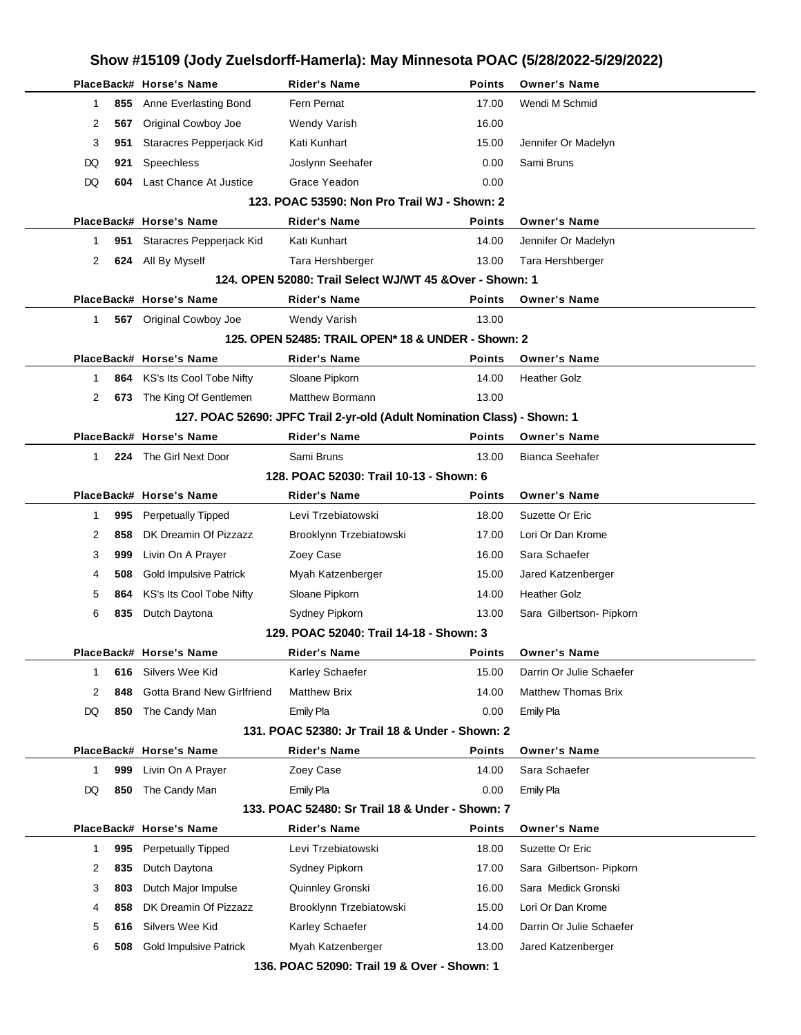|                |     |                                   |                                                                          |               | Show #15109 (Jody Zuelsdorff-Hamerla): May Minnesota POAC (5/28/2022-5/29/2022) |  |
|----------------|-----|-----------------------------------|--------------------------------------------------------------------------|---------------|---------------------------------------------------------------------------------|--|
|                |     | PlaceBack# Horse's Name           | <b>Rider's Name</b>                                                      | <b>Points</b> | <b>Owner's Name</b>                                                             |  |
| 1              | 855 | Anne Everlasting Bond             | Fern Pernat                                                              | 17.00         | Wendi M Schmid                                                                  |  |
| 2              | 567 | Original Cowboy Joe               | Wendy Varish                                                             | 16.00         |                                                                                 |  |
| 3              | 951 | Staracres Pepperjack Kid          | Kati Kunhart                                                             | 15.00         | Jennifer Or Madelyn                                                             |  |
| DQ             | 921 | Speechless                        | Joslynn Seehafer                                                         | 0.00          | Sami Bruns                                                                      |  |
| DQ             | 604 | Last Chance At Justice            | Grace Yeadon                                                             | 0.00          |                                                                                 |  |
|                |     |                                   | 123. POAC 53590: Non Pro Trail WJ - Shown: 2                             |               |                                                                                 |  |
|                |     | PlaceBack# Horse's Name           | <b>Rider's Name</b>                                                      | <b>Points</b> | <b>Owner's Name</b>                                                             |  |
| 1              | 951 | Staracres Pepperjack Kid          | Kati Kunhart                                                             | 14.00         | Jennifer Or Madelyn                                                             |  |
| 2              | 624 | All By Myself                     | Tara Hershberger                                                         | 13.00         | Tara Hershberger                                                                |  |
|                |     |                                   | 124. OPEN 52080: Trail Select WJ/WT 45 & Over - Shown: 1                 |               |                                                                                 |  |
|                |     | PlaceBack# Horse's Name           | <b>Rider's Name</b>                                                      | <b>Points</b> | <b>Owner's Name</b>                                                             |  |
| 1              |     | 567 Original Cowboy Joe           | Wendy Varish                                                             | 13.00         |                                                                                 |  |
|                |     |                                   | 125. OPEN 52485: TRAIL OPEN* 18 & UNDER - Shown: 2                       |               |                                                                                 |  |
|                |     | PlaceBack# Horse's Name           | <b>Rider's Name</b>                                                      | <b>Points</b> | <b>Owner's Name</b>                                                             |  |
| 1              | 864 | KS's Its Cool Tobe Nifty          | Sloane Pipkorn                                                           | 14.00         | <b>Heather Golz</b>                                                             |  |
| 2              |     | 673 The King Of Gentlemen         | <b>Matthew Bormann</b>                                                   | 13.00         |                                                                                 |  |
|                |     |                                   | 127. POAC 52690: JPFC Trail 2-yr-old (Adult Nomination Class) - Shown: 1 |               |                                                                                 |  |
|                |     | PlaceBack# Horse's Name           | <b>Rider's Name</b>                                                      | Points        | <b>Owner's Name</b>                                                             |  |
| 1              | 224 | The Girl Next Door                | Sami Bruns                                                               | 13.00         | <b>Bianca Seehafer</b>                                                          |  |
|                |     |                                   | 128. POAC 52030: Trail 10-13 - Shown: 6                                  |               |                                                                                 |  |
|                |     | PlaceBack# Horse's Name           | <b>Rider's Name</b>                                                      | <b>Points</b> | <b>Owner's Name</b>                                                             |  |
| 1              | 995 | <b>Perpetually Tipped</b>         | Levi Trzebiatowski                                                       | 18.00         | Suzette Or Eric                                                                 |  |
| 2              | 858 | DK Dreamin Of Pizzazz             | Brooklynn Trzebiatowski                                                  | 17.00         | Lori Or Dan Krome                                                               |  |
| 3              | 999 | Livin On A Prayer                 | Zoey Case                                                                | 16.00         | Sara Schaefer                                                                   |  |
| 4              | 508 | <b>Gold Impulsive Patrick</b>     | Myah Katzenberger                                                        | 15.00         | Jared Katzenberger                                                              |  |
| 5              | 864 | KS's Its Cool Tobe Nifty          | Sloane Pipkorn                                                           | 14.00         | <b>Heather Golz</b>                                                             |  |
| 6              | 835 | Dutch Daytona                     | Sydney Pipkorn                                                           | 13.00         | Sara Gilbertson- Pipkorn                                                        |  |
|                |     |                                   | 129. POAC 52040: Trail 14-18 - Shown: 3                                  |               |                                                                                 |  |
|                |     | PlaceBack# Horse's Name           | <b>Rider's Name</b>                                                      | Points        | <b>Owner's Name</b>                                                             |  |
| 1              | 616 | Silvers Wee Kid                   | Karley Schaefer                                                          | 15.00         | Darrin Or Julie Schaefer                                                        |  |
| $\overline{2}$ | 848 | <b>Gotta Brand New Girlfriend</b> | <b>Matthew Brix</b>                                                      | 14.00         | <b>Matthew Thomas Brix</b>                                                      |  |
| DQ             | 850 | The Candy Man                     | Emily Pla                                                                | 0.00          | Emily Pla                                                                       |  |
|                |     |                                   | 131. POAC 52380: Jr Trail 18 & Under - Shown: 2                          |               |                                                                                 |  |
|                |     | PlaceBack# Horse's Name           | <b>Rider's Name</b>                                                      | Points        | <b>Owner's Name</b>                                                             |  |
| 1              | 999 | Livin On A Prayer                 | Zoey Case                                                                | 14.00         | Sara Schaefer                                                                   |  |
| DQ             | 850 | The Candy Man                     | Emily Pla                                                                | 0.00          | Emily Pla                                                                       |  |
|                |     |                                   | 133. POAC 52480: Sr Trail 18 & Under - Shown: 7                          |               |                                                                                 |  |
|                |     | PlaceBack# Horse's Name           | <b>Rider's Name</b>                                                      | <b>Points</b> | <b>Owner's Name</b>                                                             |  |
| 1              | 995 | Perpetually Tipped                | Levi Trzebiatowski                                                       | 18.00         | Suzette Or Eric                                                                 |  |
| 2              | 835 | Dutch Daytona                     | Sydney Pipkorn                                                           | 17.00         | Sara Gilbertson- Pipkorn                                                        |  |
| 3              | 803 | Dutch Major Impulse               | Quinnley Gronski                                                         | 16.00         | Sara Medick Gronski                                                             |  |
| 4              | 858 | DK Dreamin Of Pizzazz             | Brooklynn Trzebiatowski                                                  | 15.00         | Lori Or Dan Krome                                                               |  |
| 5              | 616 | Silvers Wee Kid                   | Karley Schaefer                                                          | 14.00         | Darrin Or Julie Schaefer                                                        |  |
| 6              | 508 | <b>Gold Impulsive Patrick</b>     | Myah Katzenberger                                                        | 13.00         | Jared Katzenberger                                                              |  |
|                |     |                                   | 136. POAC 52090: Trail 19 & Over - Shown: 1                              |               |                                                                                 |  |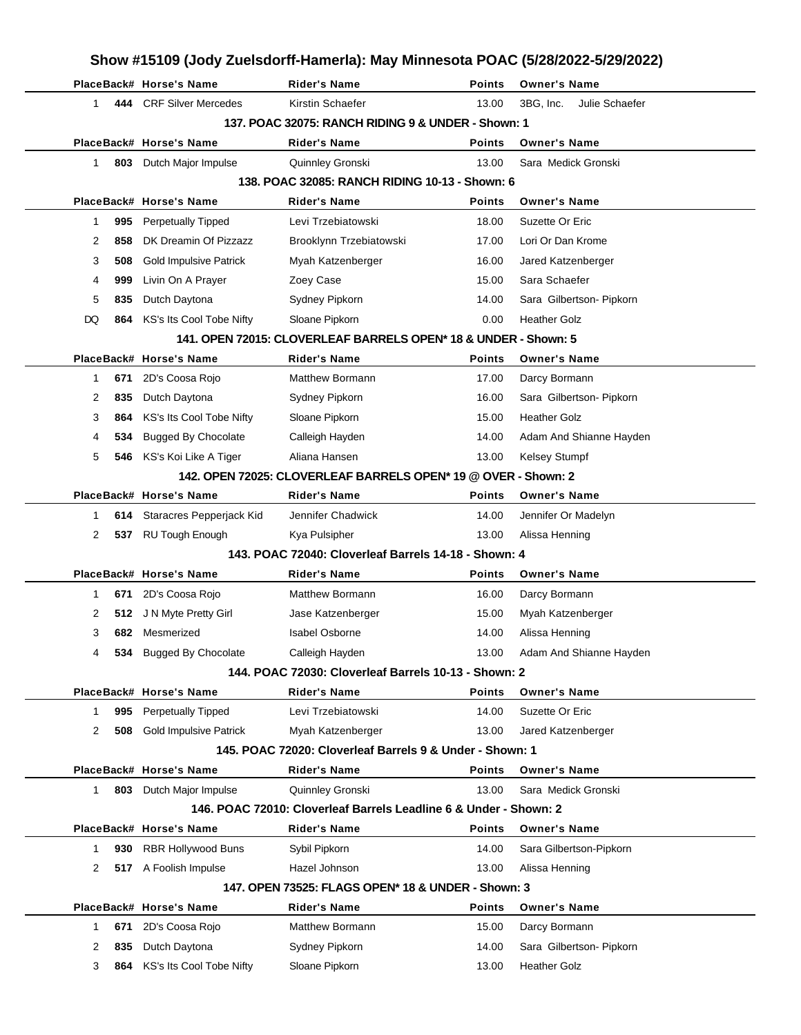|          |                                      | Show #15109 (Jody Zuelsdorff-Hamerla): May Minnesota POAC (5/28/2022-5/29/2022) |               |                             |
|----------|--------------------------------------|---------------------------------------------------------------------------------|---------------|-----------------------------|
|          | PlaceBack# Horse's Name              | <b>Rider's Name</b>                                                             | <b>Points</b> | <b>Owner's Name</b>         |
| 1        | 444 CRF Silver Mercedes              | Kirstin Schaefer                                                                | 13.00         | 3BG, Inc.<br>Julie Schaefer |
|          |                                      | 137. POAC 32075: RANCH RIDING 9 & UNDER - Shown: 1                              |               |                             |
|          | PlaceBack# Horse's Name              | <b>Rider's Name</b>                                                             | Points        | <b>Owner's Name</b>         |
| 1        | 803<br>Dutch Major Impulse           | Quinnley Gronski                                                                | 13.00         | Sara Medick Gronski         |
|          |                                      | 138. POAC 32085: RANCH RIDING 10-13 - Shown: 6                                  |               |                             |
|          | PlaceBack# Horse's Name              | <b>Rider's Name</b>                                                             | Points        | <b>Owner's Name</b>         |
| 1<br>995 | <b>Perpetually Tipped</b>            | Levi Trzebiatowski                                                              | 18.00         | Suzette Or Eric             |
| 2<br>858 | DK Dreamin Of Pizzazz                | Brooklynn Trzebiatowski                                                         | 17.00         | Lori Or Dan Krome           |
| 3<br>508 | <b>Gold Impulsive Patrick</b>        | Myah Katzenberger                                                               | 16.00         | Jared Katzenberger          |
| 999<br>4 | Livin On A Prayer                    | Zoey Case                                                                       | 15.00         | Sara Schaefer               |
| 5<br>835 | Dutch Daytona                        | Sydney Pipkorn                                                                  | 14.00         | Sara Gilbertson- Pipkorn    |
| DQ       | KS's Its Cool Tobe Nifty<br>864      | Sloane Pipkorn                                                                  | 0.00          | <b>Heather Golz</b>         |
|          |                                      | 141. OPEN 72015: CLOVERLEAF BARRELS OPEN* 18 & UNDER - Shown: 5                 |               |                             |
|          | PlaceBack# Horse's Name              | Rider's Name                                                                    | Points        | <b>Owner's Name</b>         |
| 671<br>1 | 2D's Coosa Rojo                      | Matthew Bormann                                                                 | 17.00         | Darcy Bormann               |
| 2<br>835 | Dutch Daytona                        | Sydney Pipkorn                                                                  | 16.00         | Sara Gilbertson- Pipkorn    |
| 3<br>864 | KS's Its Cool Tobe Nifty             | Sloane Pipkorn                                                                  | 15.00         | <b>Heather Golz</b>         |
| 4        | <b>Bugged By Chocolate</b><br>534    | Calleigh Hayden                                                                 | 14.00         | Adam And Shianne Hayden     |
| 5        | 546 KS's Koi Like A Tiger            | Aliana Hansen                                                                   | 13.00         | Kelsey Stumpf               |
|          |                                      | 142. OPEN 72025: CLOVERLEAF BARRELS OPEN* 19 @ OVER - Shown: 2                  |               |                             |
|          | PlaceBack# Horse's Name              | <b>Rider's Name</b>                                                             | Points        | <b>Owner's Name</b>         |
| 1        | Staracres Pepperjack Kid<br>614      | Jennifer Chadwick                                                               | 14.00         | Jennifer Or Madelyn         |
| 2        | 537 RU Tough Enough                  | Kya Pulsipher                                                                   | 13.00         | Alissa Henning              |
|          |                                      | 143. POAC 72040: Cloverleaf Barrels 14-18 - Shown: 4                            |               |                             |
|          | PlaceBack# Horse's Name              | <b>Rider's Name</b>                                                             | <b>Points</b> | <b>Owner's Name</b>         |
| 671<br>1 | 2D's Coosa Rojo                      | Matthew Bormann                                                                 | 16.00         | Darcy Bormann               |
| 2        | 512 J N Myte Pretty Girl             | Jase Katzenberger                                                               | 15.00         | Myah Katzenberger           |
| 3        | 682 Mesmerized                       | <b>Isabel Osborne</b>                                                           | 14.00         | Alissa Henning              |
|          | 534 Bugged By Chocolate              | Calleigh Hayden                                                                 | 13.00         | Adam And Shianne Hayden     |
|          |                                      | 144, POAC 72030: Cloverleaf Barrels 10-13 - Shown: 2                            |               |                             |
|          | PlaceBack# Horse's Name              | <b>Rider's Name</b>                                                             | Points        | <b>Owner's Name</b>         |
| 995<br>1 | Perpetually Tipped                   | Levi Trzebiatowski                                                              | 14.00         | Suzette Or Eric             |
| 2        | <b>Gold Impulsive Patrick</b><br>508 | Myah Katzenberger                                                               | 13.00         | Jared Katzenberger          |
|          |                                      | 145. POAC 72020: Cloverleaf Barrels 9 & Under - Shown: 1                        |               |                             |
|          | PlaceBack# Horse's Name              | Rider's Name                                                                    | <b>Points</b> | <b>Owner's Name</b>         |
| 1.       | 803 Dutch Major Impulse              | Quinnley Gronski                                                                | 13.00         | Sara Medick Gronski         |
|          |                                      | 146. POAC 72010: Cloverleaf Barrels Leadline 6 & Under - Shown: 2               |               |                             |
|          | PlaceBack# Horse's Name              | <b>Rider's Name</b>                                                             | Points        | <b>Owner's Name</b>         |
| 1        | <b>RBR Hollywood Buns</b><br>930     | Sybil Pipkorn                                                                   | 14.00         | Sara Gilbertson-Pipkorn     |
| 2        | 517 A Foolish Impulse                | Hazel Johnson                                                                   | 13.00         | Alissa Henning              |
|          |                                      | 147. OPEN 73525: FLAGS OPEN* 18 & UNDER - Shown: 3                              |               |                             |
|          | PlaceBack# Horse's Name              | <b>Rider's Name</b>                                                             | <b>Points</b> | <b>Owner's Name</b>         |
| 671<br>1 | 2D's Coosa Rojo                      | <b>Matthew Bormann</b>                                                          | 15.00         | Darcy Bormann               |
| 2<br>835 | Dutch Daytona                        | Sydney Pipkorn                                                                  | 14.00         | Sara Gilbertson- Pipkorn    |
| 3<br>864 | KS's Its Cool Tobe Nifty             | Sloane Pipkorn                                                                  | 13.00         | <b>Heather Golz</b>         |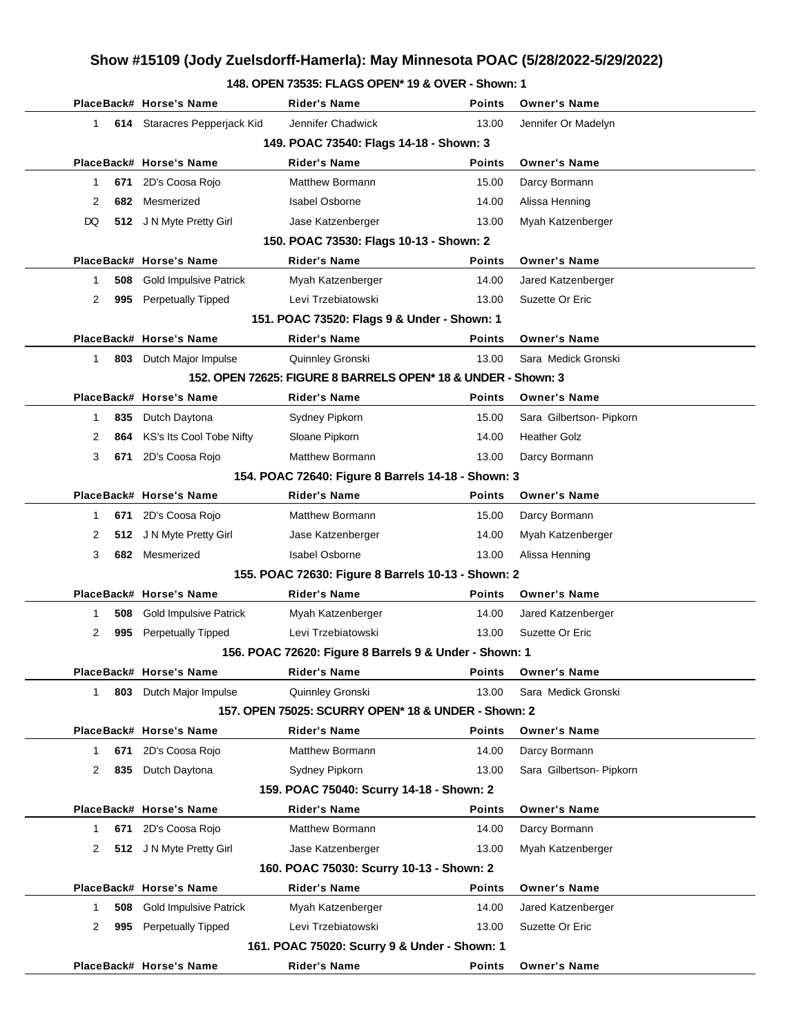### **148. OPEN 73535: FLAGS OPEN\* 19 & OVER - Shown: 1**

|                                                    |     | PlaceBack# Horse's Name       | <b>Rider's Name</b>                                            | <b>Points</b> | <b>Owner's Name</b>      |  |  |
|----------------------------------------------------|-----|-------------------------------|----------------------------------------------------------------|---------------|--------------------------|--|--|
| $\mathbf 1$                                        |     | 614 Staracres Pepperjack Kid  | Jennifer Chadwick                                              | 13.00         | Jennifer Or Madelyn      |  |  |
|                                                    |     |                               | 149. POAC 73540: Flags 14-18 - Shown: 3                        |               |                          |  |  |
|                                                    |     | PlaceBack# Horse's Name       | <b>Rider's Name</b>                                            | <b>Points</b> | <b>Owner's Name</b>      |  |  |
| 1                                                  | 671 | 2D's Coosa Rojo               | Matthew Bormann                                                | 15.00         | Darcy Bormann            |  |  |
| 2                                                  | 682 | Mesmerized                    | <b>Isabel Osborne</b>                                          | 14.00         |                          |  |  |
|                                                    |     |                               |                                                                |               | Alissa Henning           |  |  |
| DQ                                                 | 512 | J N Myte Pretty Girl          | Jase Katzenberger                                              | 13.00         | Myah Katzenberger        |  |  |
|                                                    |     | PlaceBack# Horse's Name       | 150. POAC 73530: Flags 10-13 - Shown: 2<br><b>Rider's Name</b> | <b>Points</b> | <b>Owner's Name</b>      |  |  |
|                                                    |     |                               |                                                                |               |                          |  |  |
| 1                                                  | 508 | <b>Gold Impulsive Patrick</b> | Myah Katzenberger                                              | 14.00         | Jared Katzenberger       |  |  |
| 2                                                  | 995 | Perpetually Tipped            | Levi Trzebiatowski                                             | 13.00         | Suzette Or Eric          |  |  |
|                                                    |     |                               | 151. POAC 73520: Flags 9 & Under - Shown: 1                    |               |                          |  |  |
|                                                    |     | PlaceBack# Horse's Name       | <b>Rider's Name</b>                                            | <b>Points</b> | <b>Owner's Name</b>      |  |  |
| $\mathbf{1}$                                       |     | 803 Dutch Major Impulse       | Quinnley Gronski                                               | 13.00         | Sara Medick Gronski      |  |  |
|                                                    |     |                               | 152. OPEN 72625: FIGURE 8 BARRELS OPEN* 18 & UNDER - Shown: 3  |               |                          |  |  |
|                                                    |     | PlaceBack# Horse's Name       | <b>Rider's Name</b>                                            | <b>Points</b> | <b>Owner's Name</b>      |  |  |
| 1                                                  | 835 | Dutch Daytona                 | Sydney Pipkorn                                                 | 15.00         | Sara Gilbertson- Pipkorn |  |  |
| 2                                                  | 864 | KS's Its Cool Tobe Nifty      | Sloane Pipkorn                                                 | 14.00         | <b>Heather Golz</b>      |  |  |
| 3                                                  | 671 | 2D's Coosa Rojo               | Matthew Bormann                                                | 13.00         | Darcy Bormann            |  |  |
| 154. POAC 72640: Figure 8 Barrels 14-18 - Shown: 3 |     |                               |                                                                |               |                          |  |  |
|                                                    |     | PlaceBack# Horse's Name       | <b>Rider's Name</b>                                            | <b>Points</b> | <b>Owner's Name</b>      |  |  |
| 1                                                  | 671 | 2D's Coosa Rojo               | Matthew Bormann                                                | 15.00         | Darcy Bormann            |  |  |
| 2                                                  | 512 | J N Myte Pretty Girl          | Jase Katzenberger                                              | 14.00         | Myah Katzenberger        |  |  |
| 3                                                  | 682 | Mesmerized                    | <b>Isabel Osborne</b>                                          | 13.00         | Alissa Henning           |  |  |
|                                                    |     |                               | 155. POAC 72630: Figure 8 Barrels 10-13 - Shown: 2             |               |                          |  |  |
|                                                    |     | PlaceBack# Horse's Name       | <b>Rider's Name</b>                                            | <b>Points</b> | <b>Owner's Name</b>      |  |  |
| 1                                                  | 508 | <b>Gold Impulsive Patrick</b> | Myah Katzenberger                                              | 14.00         | Jared Katzenberger       |  |  |
| 2                                                  | 995 | Perpetually Tipped            | Levi Trzebiatowski                                             | 13.00         | Suzette Or Eric          |  |  |
|                                                    |     |                               | 156. POAC 72620: Figure 8 Barrels 9 & Under - Shown: 1         |               |                          |  |  |
|                                                    |     | PlaceBack# Horse's Name       | Rider's Name                                                   | <b>Points</b> | <b>Owner's Name</b>      |  |  |
| 1                                                  |     | 803 Dutch Major Impulse       | Quinnley Gronski                                               | 13.00         | Sara Medick Gronski      |  |  |
|                                                    |     |                               | 157. OPEN 75025: SCURRY OPEN* 18 & UNDER - Shown: 2            |               |                          |  |  |
|                                                    |     | PlaceBack# Horse's Name       | <b>Rider's Name</b>                                            | <b>Points</b> | <b>Owner's Name</b>      |  |  |
| 1                                                  | 671 | 2D's Coosa Rojo               | Matthew Bormann                                                | 14.00         | Darcy Bormann            |  |  |
| 2                                                  | 835 | Dutch Daytona                 | Sydney Pipkorn                                                 | 13.00         | Sara Gilbertson- Pipkorn |  |  |
|                                                    |     |                               | 159. POAC 75040: Scurry 14-18 - Shown: 2                       |               |                          |  |  |
|                                                    |     | PlaceBack# Horse's Name       | <b>Rider's Name</b>                                            | <b>Points</b> | <b>Owner's Name</b>      |  |  |
| 1                                                  | 671 | 2D's Coosa Rojo               | <b>Matthew Bormann</b>                                         | 14.00         | Darcy Bormann            |  |  |
| 2                                                  | 512 | J N Myte Pretty Girl          | Jase Katzenberger                                              | 13.00         | Myah Katzenberger        |  |  |
|                                                    |     |                               | 160. POAC 75030: Scurry 10-13 - Shown: 2                       |               |                          |  |  |
|                                                    |     | PlaceBack# Horse's Name       | <b>Rider's Name</b>                                            | <b>Points</b> | <b>Owner's Name</b>      |  |  |
| 1                                                  | 508 | <b>Gold Impulsive Patrick</b> | Myah Katzenberger                                              | 14.00         | Jared Katzenberger       |  |  |
| 2                                                  | 995 | <b>Perpetually Tipped</b>     | Levi Trzebiatowski                                             | 13.00         | Suzette Or Eric          |  |  |
|                                                    |     |                               | 161. POAC 75020: Scurry 9 & Under - Shown: 1                   |               |                          |  |  |
|                                                    |     | PlaceBack# Horse's Name       | <b>Rider's Name</b>                                            | <b>Points</b> | <b>Owner's Name</b>      |  |  |
|                                                    |     |                               |                                                                |               |                          |  |  |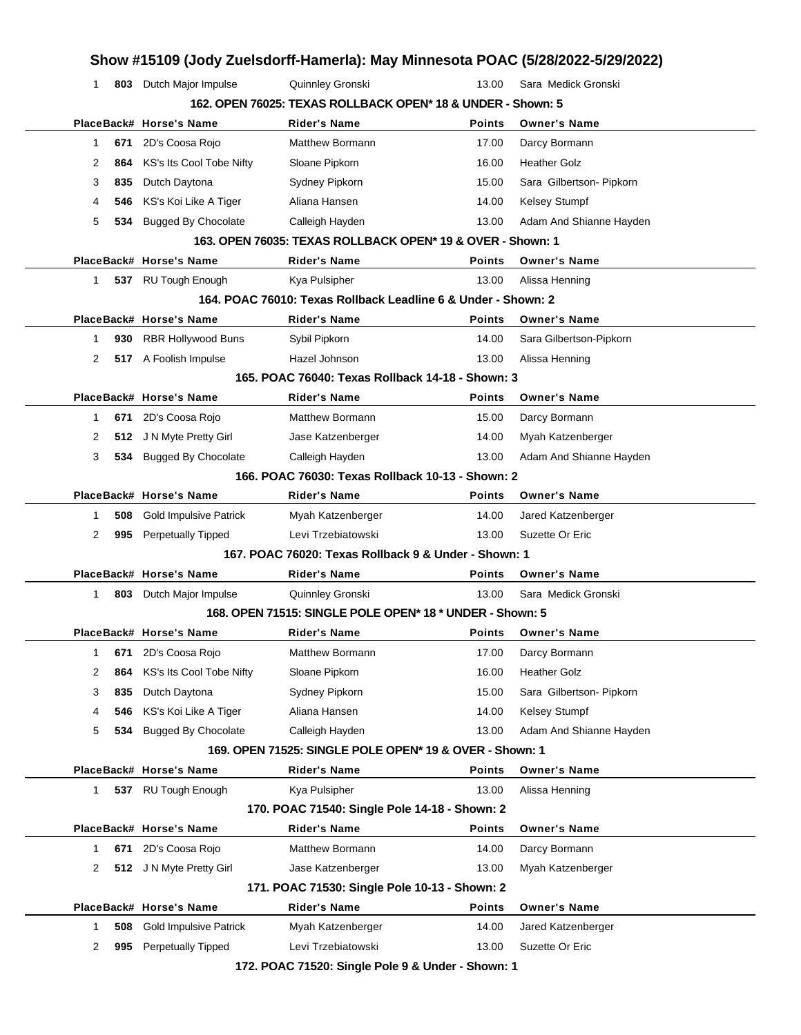|   |     |                               |                                                               |               | Show #15109 (Jody Zuelsdorff-Hamerla): May Minnesota POAC (5/28/2022-5/29/2022) |
|---|-----|-------------------------------|---------------------------------------------------------------|---------------|---------------------------------------------------------------------------------|
| 1 |     | 803 Dutch Major Impulse       | Quinnley Gronski                                              | 13.00         | Sara Medick Gronski                                                             |
|   |     |                               | 162. OPEN 76025: TEXAS ROLLBACK OPEN* 18 & UNDER - Shown: 5   |               |                                                                                 |
|   |     | PlaceBack# Horse's Name       | <b>Rider's Name</b>                                           | <b>Points</b> | <b>Owner's Name</b>                                                             |
| 1 | 671 | 2D's Coosa Rojo               | Matthew Bormann                                               | 17.00         | Darcy Bormann                                                                   |
| 2 | 864 | KS's Its Cool Tobe Nifty      | Sloane Pipkorn                                                | 16.00         | <b>Heather Golz</b>                                                             |
| 3 | 835 | Dutch Daytona                 | Sydney Pipkorn                                                | 15.00         | Sara Gilbertson- Pipkorn                                                        |
| 4 | 546 | KS's Koi Like A Tiger         | Aliana Hansen                                                 | 14.00         | Kelsey Stumpf                                                                   |
| 5 | 534 | <b>Bugged By Chocolate</b>    | Calleigh Hayden                                               | 13.00         | Adam And Shianne Hayden                                                         |
|   |     |                               | 163, OPEN 76035: TEXAS ROLLBACK OPEN* 19 & OVER - Shown: 1    |               |                                                                                 |
|   |     | PlaceBack# Horse's Name       | <b>Rider's Name</b>                                           | <b>Points</b> | <b>Owner's Name</b>                                                             |
| 1 |     | 537 RU Tough Enough           | Kya Pulsipher                                                 | 13.00         | Alissa Henning                                                                  |
|   |     |                               | 164. POAC 76010: Texas Rollback Leadline 6 & Under - Shown: 2 |               |                                                                                 |
|   |     | PlaceBack# Horse's Name       | <b>Rider's Name</b>                                           | <b>Points</b> | <b>Owner's Name</b>                                                             |
| 1 | 930 | <b>RBR Hollywood Buns</b>     | Sybil Pipkorn                                                 | 14.00         | Sara Gilbertson-Pipkorn                                                         |
| 2 |     | 517 A Foolish Impulse         | Hazel Johnson                                                 | 13.00         | Alissa Henning                                                                  |
|   |     |                               | 165. POAC 76040: Texas Rollback 14-18 - Shown: 3              |               |                                                                                 |
|   |     | PlaceBack# Horse's Name       | <b>Rider's Name</b>                                           | <b>Points</b> | <b>Owner's Name</b>                                                             |
| 1 | 671 | 2D's Coosa Rojo               | <b>Matthew Bormann</b>                                        | 15.00         | Darcy Bormann                                                                   |
| 2 | 512 | J N Myte Pretty Girl          | Jase Katzenberger                                             | 14.00         | Myah Katzenberger                                                               |
| 3 | 534 | <b>Bugged By Chocolate</b>    | Calleigh Hayden                                               | 13.00         | Adam And Shianne Hayden                                                         |
|   |     |                               | 166. POAC 76030: Texas Rollback 10-13 - Shown: 2              |               |                                                                                 |
|   |     | PlaceBack# Horse's Name       | <b>Rider's Name</b>                                           | <b>Points</b> | <b>Owner's Name</b>                                                             |
| 1 | 508 | <b>Gold Impulsive Patrick</b> | Myah Katzenberger                                             | 14.00         | Jared Katzenberger                                                              |
| 2 | 995 | <b>Perpetually Tipped</b>     | Levi Trzebiatowski                                            | 13.00         | Suzette Or Eric                                                                 |
|   |     |                               | 167, POAC 76020: Texas Rollback 9 & Under - Shown: 1          |               |                                                                                 |
|   |     | PlaceBack# Horse's Name       | <b>Rider's Name</b>                                           | <b>Points</b> | <b>Owner's Name</b>                                                             |
| 1 |     | 803 Dutch Major Impulse       | Quinnley Gronski                                              | 13.00         | Sara Medick Gronski                                                             |
|   |     |                               | 168. OPEN 71515: SINGLE POLE OPEN* 18 * UNDER - Shown: 5      |               |                                                                                 |
|   |     | PlaceBack# Horse's Name       | <b>Rider's Name</b>                                           | <b>Points</b> | <b>Owner's Name</b>                                                             |
| 1 | 671 | 2D's Coosa Rojo               | <b>Matthew Bormann</b>                                        | 17.00         | Darcy Bormann                                                                   |
| 2 | 864 | KS's Its Cool Tobe Nifty      | Sloane Pipkorn                                                | 16.00         | <b>Heather Golz</b>                                                             |
| 3 | 835 | Dutch Daytona                 | Sydney Pipkorn                                                | 15.00         | Sara Gilbertson- Pipkorn                                                        |
| 4 | 546 | KS's Koi Like A Tiger         | Aliana Hansen                                                 | 14.00         | Kelsey Stumpf                                                                   |
| 5 | 534 | <b>Bugged By Chocolate</b>    | Calleigh Hayden                                               | 13.00         | Adam And Shianne Hayden                                                         |
|   |     |                               | 169. OPEN 71525: SINGLE POLE OPEN* 19 & OVER - Shown: 1       |               |                                                                                 |
|   |     | PlaceBack# Horse's Name       | <b>Rider's Name</b>                                           | <b>Points</b> | <b>Owner's Name</b>                                                             |
| 1 |     | 537 RU Tough Enough           | Kya Pulsipher                                                 | 13.00         | Alissa Henning                                                                  |
|   |     |                               | 170. POAC 71540: Single Pole 14-18 - Shown: 2                 |               |                                                                                 |
|   |     | PlaceBack# Horse's Name       | <b>Rider's Name</b>                                           | <b>Points</b> | <b>Owner's Name</b>                                                             |
| 1 | 671 | 2D's Coosa Rojo               | Matthew Bormann                                               | 14.00         | Darcy Bormann                                                                   |
| 2 | 512 | J N Myte Pretty Girl          | Jase Katzenberger                                             | 13.00         | Myah Katzenberger                                                               |
|   |     |                               | 171. POAC 71530: Single Pole 10-13 - Shown: 2                 |               |                                                                                 |
|   |     | PlaceBack# Horse's Name       | <b>Rider's Name</b>                                           | <b>Points</b> | <b>Owner's Name</b>                                                             |
| 1 | 508 | <b>Gold Impulsive Patrick</b> | Myah Katzenberger                                             | 14.00         | Jared Katzenberger                                                              |
|   |     | <b>Perpetually Tipped</b>     | Levi Trzebiatowski                                            | 13.00         | Suzette Or Eric                                                                 |
| 2 | 995 |                               |                                                               |               |                                                                                 |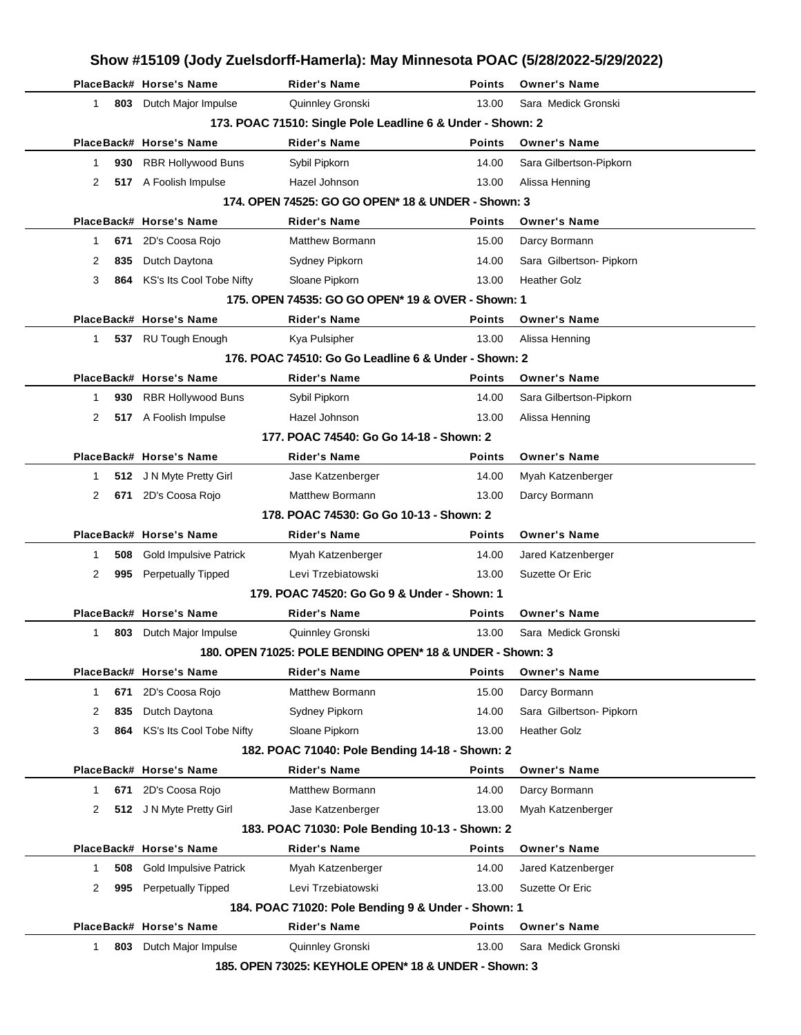|        |     | PlaceBack# Horse's Name                                                                                                                | Show #15109 (Jody Zuelsdorff-Hamerla): May Minnesota POAC (5/28/2022-5/29/2022)<br><b>Rider's Name</b> | Points        | <b>Owner's Name</b>                             |  |
|--------|-----|----------------------------------------------------------------------------------------------------------------------------------------|--------------------------------------------------------------------------------------------------------|---------------|-------------------------------------------------|--|
| 1.     |     | 803 Dutch Major Impulse                                                                                                                | Quinnley Gronski                                                                                       | 13.00         | Sara Medick Gronski                             |  |
|        |     |                                                                                                                                        |                                                                                                        |               |                                                 |  |
|        |     | 173. POAC 71510: Single Pole Leadline 6 & Under - Shown: 2<br>PlaceBack# Horse's Name<br>Rider's Name<br>Points<br><b>Owner's Name</b> |                                                                                                        |               |                                                 |  |
| 1      | 930 | RBR Hollywood Buns                                                                                                                     | Sybil Pipkorn                                                                                          | 14.00         | Sara Gilbertson-Pipkorn                         |  |
| 2      |     | 517 A Foolish Impulse                                                                                                                  | Hazel Johnson                                                                                          | 13.00         | Alissa Henning                                  |  |
|        |     |                                                                                                                                        | 174. OPEN 74525: GO GO OPEN* 18 & UNDER - Shown: 3                                                     |               |                                                 |  |
|        |     | PlaceBack# Horse's Name                                                                                                                |                                                                                                        | Points        | <b>Owner's Name</b>                             |  |
|        |     | 2D's Coosa Rojo                                                                                                                        | Rider's Name<br>Matthew Bormann                                                                        |               |                                                 |  |
| 1      | 671 | Dutch Daytona                                                                                                                          |                                                                                                        | 15.00         | Darcy Bormann                                   |  |
| 2<br>3 | 835 | KS's Its Cool Tobe Nifty                                                                                                               | Sydney Pipkorn                                                                                         | 14.00         | Sara Gilbertson- Pipkorn<br><b>Heather Golz</b> |  |
|        | 864 |                                                                                                                                        | Sloane Pipkorn                                                                                         | 13.00         |                                                 |  |
|        |     |                                                                                                                                        | 175. OPEN 74535: GO GO OPEN* 19 & OVER - Shown: 1                                                      |               |                                                 |  |
|        |     | PlaceBack# Horse's Name                                                                                                                | <b>Rider's Name</b>                                                                                    | Points        | <b>Owner's Name</b>                             |  |
| 1.     |     | 537 RU Tough Enough                                                                                                                    | Kya Pulsipher                                                                                          | 13.00         | Alissa Henning                                  |  |
|        |     |                                                                                                                                        | 176, POAC 74510: Go Go Leadline 6 & Under - Shown: 2                                                   |               |                                                 |  |
|        |     | PlaceBack# Horse's Name                                                                                                                | Rider's Name                                                                                           | Points        | <b>Owner's Name</b>                             |  |
| 1      | 930 | <b>RBR Hollywood Buns</b>                                                                                                              | Sybil Pipkorn                                                                                          | 14.00         | Sara Gilbertson-Pipkorn                         |  |
| 2      |     | 517 A Foolish Impulse                                                                                                                  | Hazel Johnson                                                                                          | 13.00         | Alissa Henning                                  |  |
|        |     |                                                                                                                                        | 177. POAC 74540: Go Go 14-18 - Shown: 2                                                                |               |                                                 |  |
|        |     | PlaceBack# Horse's Name                                                                                                                | Rider's Name                                                                                           | Points        | <b>Owner's Name</b>                             |  |
| 1      |     | 512 J N Myte Pretty Girl                                                                                                               | Jase Katzenberger                                                                                      | 14.00         | Myah Katzenberger                               |  |
| 2      | 671 | 2D's Coosa Rojo                                                                                                                        | Matthew Bormann                                                                                        | 13.00         | Darcy Bormann                                   |  |
|        |     |                                                                                                                                        | 178. POAC 74530: Go Go 10-13 - Shown: 2                                                                |               |                                                 |  |
|        |     | PlaceBack# Horse's Name                                                                                                                | Rider's Name                                                                                           | Points        | <b>Owner's Name</b>                             |  |
| 1      | 508 | Gold Impulsive Patrick                                                                                                                 | Myah Katzenberger                                                                                      | 14.00         | Jared Katzenberger                              |  |
| 2      | 995 | <b>Perpetually Tipped</b>                                                                                                              | Levi Trzebiatowski                                                                                     | 13.00         | Suzette Or Eric                                 |  |
|        |     |                                                                                                                                        | 179. POAC 74520: Go Go 9 & Under - Shown: 1                                                            |               |                                                 |  |
|        |     | PlaceBack# Horse's Name                                                                                                                | <b>Rider's Name</b>                                                                                    | Points        | <b>Owner's Name</b>                             |  |
| 1.     |     | 803 Dutch Major Impulse                                                                                                                | Quinnley Gronski                                                                                       | 13.00         | Sara Medick Gronski                             |  |
|        |     |                                                                                                                                        | 180. OPEN 71025: POLE BENDING OPEN* 18 & UNDER - Shown: 3                                              |               |                                                 |  |
|        |     | PlaceBack# Horse's Name                                                                                                                | <b>Rider's Name</b>                                                                                    | Points        | <b>Owner's Name</b>                             |  |
| 1      | 671 | 2D's Coosa Rojo                                                                                                                        | Matthew Bormann                                                                                        | 15.00         | Darcy Bormann                                   |  |
| 2      | 835 | Dutch Daytona                                                                                                                          | Sydney Pipkorn                                                                                         | 14.00         | Sara Gilbertson- Pipkorn                        |  |
| 3      |     | 864 KS's Its Cool Tobe Nifty                                                                                                           | Sloane Pipkorn                                                                                         | 13.00         | <b>Heather Golz</b>                             |  |
|        |     |                                                                                                                                        | 182. POAC 71040: Pole Bending 14-18 - Shown: 2                                                         |               |                                                 |  |
|        |     | PlaceBack# Horse's Name                                                                                                                | <b>Rider's Name</b>                                                                                    | <b>Points</b> | <b>Owner's Name</b>                             |  |
| 1      |     | 671 2D's Coosa Rojo                                                                                                                    | Matthew Bormann                                                                                        | 14.00         | Darcy Bormann                                   |  |
| 2      |     | 512 J N Myte Pretty Girl                                                                                                               | Jase Katzenberger                                                                                      | 13.00         | Myah Katzenberger                               |  |
|        |     |                                                                                                                                        | 183. POAC 71030: Pole Bending 10-13 - Shown: 2                                                         |               |                                                 |  |
|        |     | PlaceBack# Horse's Name                                                                                                                | <b>Rider's Name</b>                                                                                    | <b>Points</b> | <b>Owner's Name</b>                             |  |
| 1      | 508 | <b>Gold Impulsive Patrick</b>                                                                                                          | Myah Katzenberger                                                                                      | 14.00         | Jared Katzenberger                              |  |
|        | 995 | <b>Perpetually Tipped</b>                                                                                                              | Levi Trzebiatowski                                                                                     | 13.00         | Suzette Or Eric                                 |  |
| 2      |     |                                                                                                                                        |                                                                                                        |               |                                                 |  |
|        |     |                                                                                                                                        | 184. POAC 71020: Pole Bending 9 & Under - Shown: 1                                                     |               |                                                 |  |
|        |     | PlaceBack# Horse's Name                                                                                                                | <b>Rider's Name</b>                                                                                    | <b>Points</b> | <b>Owner's Name</b>                             |  |